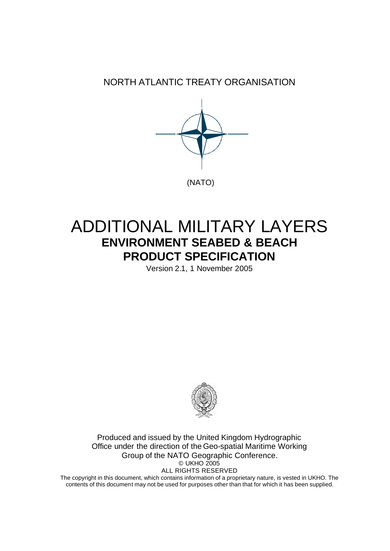NORTH ATLANTIC TREATY ORGANISATION



# ADDITIONAL MILITARY LAYERS **ENVIRONMENT SEABED & BEACH PRODUCT SPECIFICATION**

Version 2.1, 1 November 2005



Produced and issued by the United Kingdom Hydrographic Office under the direction of the Geo-spatial Maritime Working Group of the NATO Geographic Conference. © UKHO 2005 ALL RIGHTS RESERVED

The copyright in this document, which contains information of a proprietary nature, is vested in UKHO. The contents of this document may not be used for purposes other than that for which it has been supplied.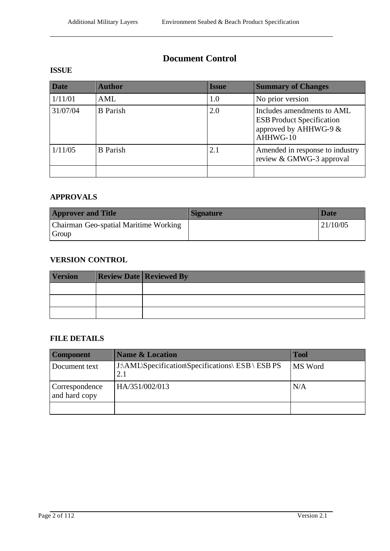## **Document Control**

#### **ISSUE**

| <b>Date</b> | <b>Author</b>   | <b>Issue</b> | <b>Summary of Changes</b>                                                                           |
|-------------|-----------------|--------------|-----------------------------------------------------------------------------------------------------|
| 1/11/01     | AML             | 1.0          | No prior version                                                                                    |
| 31/07/04    | <b>B</b> Parish | 2.0          | Includes amendments to AML<br><b>ESB Product Specification</b><br>approved by AHHWG-9 &<br>AHHWG-10 |
| 1/11/05     | <b>B</b> Parish | 2.1          | Amended in response to industry<br>review & GMWG-3 approval                                         |
|             |                 |              |                                                                                                     |

#### **APPROVALS**

| <b>Approver and Title</b>             | Signature | <b>Date</b> |
|---------------------------------------|-----------|-------------|
| Chairman Geo-spatial Maritime Working |           | 121/10/05   |
| Group                                 |           |             |

### **VERSION CONTROL**

| <b>Version</b> | <b>Review Date Reviewed By</b> |
|----------------|--------------------------------|
|                |                                |
|                |                                |
|                |                                |

#### **FILE DETAILS**

| <b>Component</b>                | <b>Name &amp; Location</b>                               | <b>Tool</b> |
|---------------------------------|----------------------------------------------------------|-------------|
| Document text                   | J:\AML\Specification\Specifications\ ESB \ ESB PS<br>2.1 | MS Word     |
| Correspondence<br>and hard copy | HA/351/002/013                                           | N/A         |
|                                 |                                                          |             |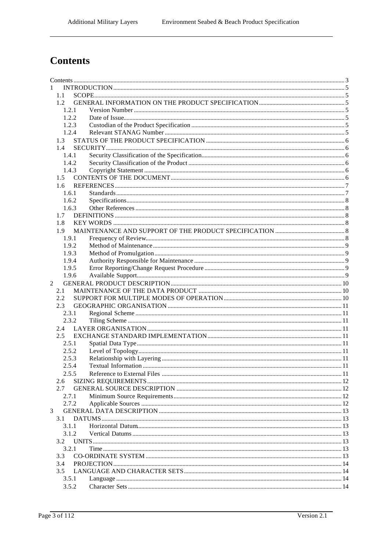## **Contents**

| 1 |                |  |  |
|---|----------------|--|--|
|   | 1.1            |  |  |
|   | 1.2            |  |  |
|   | 1.2.1          |  |  |
|   | 1.2.2          |  |  |
|   | 1.2.3          |  |  |
|   | 1.2.4          |  |  |
|   | 1.3            |  |  |
|   | 1.4            |  |  |
|   | 1.4.1          |  |  |
|   | 1.4.2          |  |  |
|   | 1.4.3          |  |  |
|   | $1.5^{\circ}$  |  |  |
|   | $1.6^{\circ}$  |  |  |
|   | 1.6.1          |  |  |
|   | 1.6.2          |  |  |
|   | 1.6.3          |  |  |
|   | 1.7            |  |  |
|   | 1.8            |  |  |
|   | 1.9            |  |  |
|   | 1.9.1          |  |  |
|   | 1.9.2          |  |  |
|   | 1.9.3          |  |  |
|   | 1.9.4          |  |  |
|   | 1.9.5          |  |  |
|   | 1.9.6          |  |  |
| 2 |                |  |  |
|   | 2.1<br>2.2     |  |  |
|   |                |  |  |
|   | $2.3^{\circ}$  |  |  |
|   | 2.3.1<br>2.3.2 |  |  |
|   |                |  |  |
|   | 2.4<br>2.5     |  |  |
|   | 2.5.1          |  |  |
|   |                |  |  |
|   | 2.5.2<br>2.5.3 |  |  |
|   | 2.5.4          |  |  |
|   | 2.5.5          |  |  |
|   | 2.6            |  |  |
|   | 2.7            |  |  |
|   | 2.7.1          |  |  |
|   | 2.7.2          |  |  |
| 3 |                |  |  |
|   | 3.1            |  |  |
|   | 3.1.1          |  |  |
|   | 3.1.2          |  |  |
|   | 3.2            |  |  |
|   | 3.2.1          |  |  |
|   | 3.3            |  |  |
|   | 3.4            |  |  |
|   | 3.5            |  |  |
|   | 3.5.1          |  |  |
|   | 3.5.2          |  |  |
|   |                |  |  |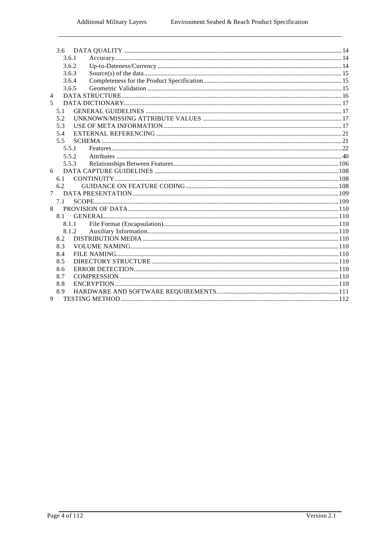| 3.6            |       |  |
|----------------|-------|--|
|                | 3.6.1 |  |
|                | 3.6.2 |  |
|                | 3.6.3 |  |
|                | 3.6.4 |  |
|                | 3.6.5 |  |
| 4              |       |  |
| 5              |       |  |
| 5.1            |       |  |
| 5.2            |       |  |
| 5.3            |       |  |
| 5.4            |       |  |
| 5.5            |       |  |
|                | 5.5.1 |  |
|                | 5.5.2 |  |
|                | 5.5.3 |  |
| 6              |       |  |
| 6.1            |       |  |
| 6.2            |       |  |
| 7 <sup>7</sup> |       |  |
| 7.1            |       |  |
| 8              |       |  |
|                |       |  |
|                | 8.1.1 |  |
|                | 8.1.2 |  |
| 8.2            |       |  |
| 8.3            |       |  |
| 8.4            |       |  |
| 8.5            |       |  |
| 8.6            |       |  |
| 8.7            |       |  |
| 8.8            |       |  |
| 8.9            |       |  |
| 9              |       |  |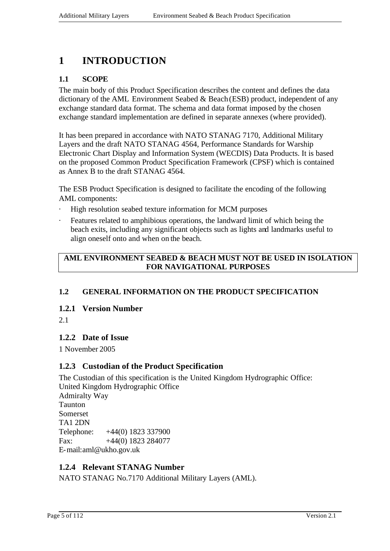## **1 INTRODUCTION**

## **1.1 SCOPE**

The main body of this Product Specification describes the content and defines the data dictionary of the AML Environment Seabed  $\&$  Beach (ESB) product, independent of any exchange standard data format. The schema and data format imposed by the chosen exchange standard implementation are defined in separate annexes (where provided).

It has been prepared in accordance with NATO STANAG 7170, Additional Military Layers and the draft NATO STANAG 4564, Performance Standards for Warship Electronic Chart Display and Information System (WECDIS) Data Products. It is based on the proposed Common Product Specification Framework (CPSF) which is contained as Annex B to the draft STANAG 4564.

The ESB Product Specification is designed to facilitate the encoding of the following AML components:

- High resolution seabed texture information for MCM purposes
- Features related to amphibious operations, the landward limit of which being the beach exits, including any significant objects such as lights and landmarks useful to align oneself onto and when on the beach.

#### **AML ENVIRONMENT SEABED & BEACH MUST NOT BE USED IN ISOLATION FOR NAVIGATIONAL PURPOSES**

#### **1.2 GENERAL INFORMATION ON THE PRODUCT SPECIFICATION**

#### **1.2.1 Version Number**

2.1

#### **1.2.2 Date of Issue**

1 November 2005

#### **1.2.3 Custodian of the Product Specification**

The Custodian of this specification is the United Kingdom Hydrographic Office: United Kingdom Hydrographic Office Admiralty Way Taunton Somerset TA1 2DN Telephone: +44(0) 1823 337900 Fax:  $+44(0)$  1823 284077 E-mail:aml@ukho.gov.uk

#### **1.2.4 Relevant STANAG Number**

NATO STANAG No.7170 Additional Military Layers (AML).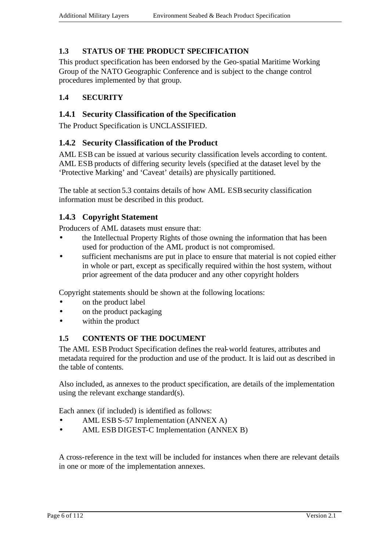## **1.3 STATUS OF THE PRODUCT SPECIFICATION**

This product specification has been endorsed by the Geo-spatial Maritime Working Group of the NATO Geographic Conference and is subject to the change control procedures implemented by that group.

## **1.4 SECURITY**

### **1.4.1 Security Classification of the Specification**

The Product Specification is UNCLASSIFIED.

#### **1.4.2 Security Classification of the Product**

AML ESB can be issued at various security classification levels according to content. AML ESB products of differing security levels (specified at the dataset level by the 'Protective Marking' and 'Caveat' details) are physically partitioned.

The table at section 5.3 contains details of how AML ESB security classification information must be described in this product.

### **1.4.3 Copyright Statement**

Producers of AML datasets must ensure that:

- the Intellectual Property Rights of those owning the information that has been used for production of the AML product is not compromised.
- sufficient mechanisms are put in place to ensure that material is not copied either in whole or part, except as specifically required within the host system, without prior agreement of the data producer and any other copyright holders

Copyright statements should be shown at the following locations:

- on the product label
- on the product packaging
- within the product

#### **1.5 CONTENTS OF THE DOCUMENT**

The AML ESB Product Specification defines the real-world features, attributes and metadata required for the production and use of the product. It is laid out as described in the table of contents.

Also included, as annexes to the product specification, are details of the implementation using the relevant exchange standard(s).

Each annex (if included) is identified as follows:

- AML ESB S-57 Implementation (ANNEX A)
- AML ESB DIGEST-C Implementation (ANNEX B)

A cross-reference in the text will be included for instances when there are relevant details in one or more of the implementation annexes.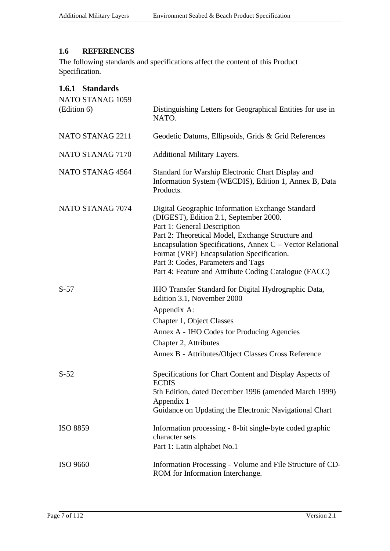## **1.6 REFERENCES**

The following standards and specifications affect the content of this Product Specification.

| 1.6.1 Standards<br>NATO STANAG 1059<br>(Edition 6) | Distinguishing Letters for Geographical Entities for use in<br>NATO.                                                                                                                                                                                                                                                                                                                    |
|----------------------------------------------------|-----------------------------------------------------------------------------------------------------------------------------------------------------------------------------------------------------------------------------------------------------------------------------------------------------------------------------------------------------------------------------------------|
| NATO STANAG 2211                                   | Geodetic Datums, Ellipsoids, Grids & Grid References                                                                                                                                                                                                                                                                                                                                    |
| NATO STANAG 7170                                   | Additional Military Layers.                                                                                                                                                                                                                                                                                                                                                             |
| NATO STANAG 4564                                   | Standard for Warship Electronic Chart Display and<br>Information System (WECDIS), Edition 1, Annex B, Data<br>Products.                                                                                                                                                                                                                                                                 |
| NATO STANAG 7074                                   | Digital Geographic Information Exchange Standard<br>(DIGEST), Edition 2.1, September 2000.<br>Part 1: General Description<br>Part 2: Theoretical Model, Exchange Structure and<br>Encapsulation Specifications, Annex C – Vector Relational<br>Format (VRF) Encapsulation Specification.<br>Part 3: Codes, Parameters and Tags<br>Part 4: Feature and Attribute Coding Catalogue (FACC) |
| $S-57$                                             | IHO Transfer Standard for Digital Hydrographic Data,<br>Edition 3.1, November 2000<br>Appendix A:<br>Chapter 1, Object Classes<br>Annex A - IHO Codes for Producing Agencies<br>Chapter 2, Attributes<br>Annex B - Attributes/Object Classes Cross Reference                                                                                                                            |
| $S-52$                                             | Specifications for Chart Content and Display Aspects of<br><b>ECDIS</b><br>5th Edition, dated December 1996 (amended March 1999)<br>Appendix 1<br>Guidance on Updating the Electronic Navigational Chart                                                                                                                                                                                |
| <b>ISO 8859</b>                                    | Information processing - 8-bit single-byte coded graphic<br>character sets<br>Part 1: Latin alphabet No.1                                                                                                                                                                                                                                                                               |
| <b>ISO 9660</b>                                    | Information Processing - Volume and File Structure of CD-<br>ROM for Information Interchange.                                                                                                                                                                                                                                                                                           |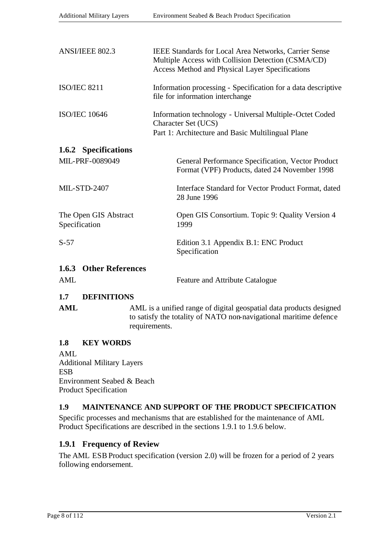| ANSI/IEEE 802.3                        | IEEE Standards for Local Area Networks, Carrier Sense<br>Multiple Access with Collision Detection (CSMA/CD)<br><b>Access Method and Physical Layer Specifications</b> |
|----------------------------------------|-----------------------------------------------------------------------------------------------------------------------------------------------------------------------|
| <b>ISO/IEC 8211</b>                    | Information processing - Specification for a data descriptive<br>file for information interchange                                                                     |
| <b>ISO/IEC 10646</b>                   | Information technology - Universal Multiple-Octet Coded<br>Character Set (UCS)<br>Part 1: Architecture and Basic Multilingual Plane                                   |
| 1.6.2 Specifications                   |                                                                                                                                                                       |
| MIL-PRF-0089049                        | General Performance Specification, Vector Product<br>Format (VPF) Products, dated 24 November 1998                                                                    |
| <b>MIL-STD-2407</b>                    | Interface Standard for Vector Product Format, dated<br>28 June 1996                                                                                                   |
| The Open GIS Abstract<br>Specification | Open GIS Consortium. Topic 9: Quality Version 4<br>1999                                                                                                               |
| $S-57$                                 | Edition 3.1 Appendix B.1: ENC Product<br>Specification                                                                                                                |
| 1.6.3 Other References                 |                                                                                                                                                                       |
| <b>AML</b>                             | <b>Feature and Attribute Catalogue</b>                                                                                                                                |

## **1.7 DEFINITIONS**

| AML | AML is a unified range of digital geospatial data products designed |
|-----|---------------------------------------------------------------------|
|     | to satisfy the totality of NATO non-navigational maritime defence   |
|     | requirements.                                                       |

#### **1.8 KEY WORDS**

AML Additional Military Layers ESB Environment Seabed & Beach Product Specification

#### **1.9 MAINTENANCE AND SUPPORT OF THE PRODUCT SPECIFICATION**

Specific processes and mechanisms that are established for the maintenance of AML Product Specifications are described in the sections 1.9.1 to 1.9.6 below.

## **1.9.1 Frequency of Review**

The AML ESB Product specification (version 2.0) will be frozen for a period of 2 years following endorsement.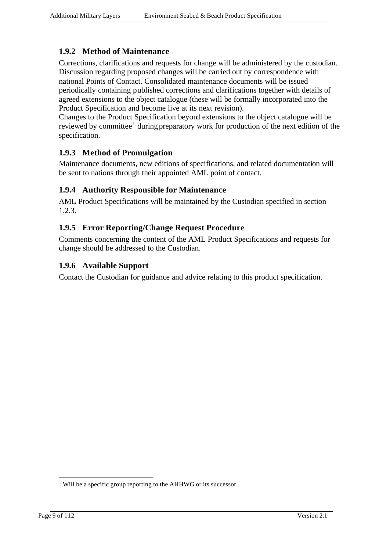## **1.9.2 Method of Maintenance**

Corrections, clarifications and requests for change will be administered by the custodian. Discussion regarding proposed changes will be carried out by correspondence with national Points of Contact. Consolidated maintenance documents will be issued periodically containing published corrections and clarifications together with details of agreed extensions to the object catalogue (these will be formally incorporated into the Product Specification and become live at its next revision).

Changes to the Product Specification beyond extensions to the object catalogue will be reviewed by committee<sup>1</sup> during preparatory work for production of the next edition of the specification.

## **1.9.3 Method of Promulgation**

Maintenance documents, new editions of specifications, and related documentation will be sent to nations through their appointed AML point of contact.

### **1.9.4 Authority Responsible for Maintenance**

AML Product Specifications will be maintained by the Custodian specified in section 1.2.3.

### **1.9.5 Error Reporting/Change Request Procedure**

Comments concerning the content of the AML Product Specifications and requests for change should be addressed to the Custodian.

#### **1.9.6 Available Support**

Contact the Custodian for guidance and advice relating to this product specification.

l

 $<sup>1</sup>$  Will be a specific group reporting to the AHHWG or its successor.</sup>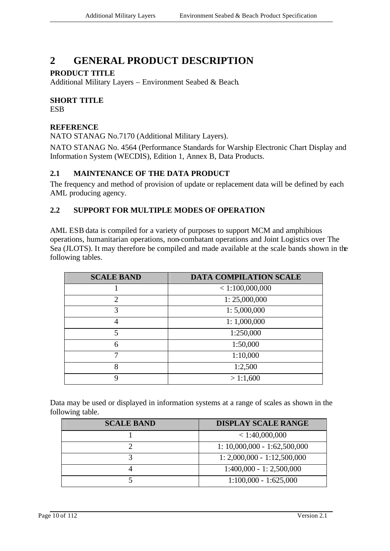## **2 GENERAL PRODUCT DESCRIPTION**

### **PRODUCT TITLE**

Additional Military Layers – Environment Seabed & Beach.

## **SHORT TITLE**

**ESB** 

#### **REFERENCE**

NATO STANAG No.7170 (Additional Military Layers).

NATO STANAG No. 4564 (Performance Standards for Warship Electronic Chart Display and Information System (WECDIS), Edition 1, Annex B, Data Products.

### **2.1 MAINTENANCE OF THE DATA PRODUCT**

The frequency and method of provision of update or replacement data will be defined by each AML producing agency.

## **2.2 SUPPORT FOR MULTIPLE MODES OF OPERATION**

AML ESB data is compiled for a variety of purposes to support MCM and amphibious operations, humanitarian operations, non-combatant operations and Joint Logistics over The Sea (JLOTS). It may therefore be compiled and made available at the scale bands shown in the following tables.

| <b>SCALE BAND</b> | <b>DATA COMPILATION SCALE</b> |
|-------------------|-------------------------------|
|                   | < 1:100,000,000               |
| $\overline{2}$    | 1: 25,000,000                 |
| 3                 | 1: 5,000,000                  |
| $\overline{A}$    | 1:1,000,000                   |
| 5                 | 1:250,000                     |
| 6                 | 1:50,000                      |
|                   | 1:10,000                      |
| 8                 | 1:2,500                       |
| Q                 | >1:1,600                      |

Data may be used or displayed in information systems at a range of scales as shown in the following table.

| <b>SCALE BAND</b> | <b>DISPLAY SCALE RANGE</b>     |
|-------------------|--------------------------------|
|                   | < 1:40,000,000                 |
|                   | $1: 10,000,000 - 1:62,500,000$ |
|                   | $1: 2,000,000 - 1:12,500,000$  |
|                   | $1:400,000 - 1:2,500,000$      |
|                   | $1:100,000 - 1:625,000$        |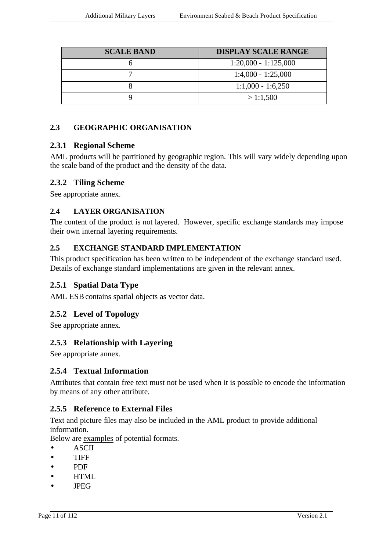| <b>SCALE BAND</b> | <b>DISPLAY SCALE RANGE</b> |
|-------------------|----------------------------|
|                   | $1:20,000 - 1:125,000$     |
|                   | $1:4,000 - 1:25,000$       |
|                   | $1:1,000 - 1:6,250$        |
|                   | >1:1,500                   |

## **2.3 GEOGRAPHIC ORGANISATION**

### **2.3.1 Regional Scheme**

AML products will be partitioned by geographic region. This will vary widely depending upon the scale band of the product and the density of the data.

### **2.3.2 Tiling Scheme**

See appropriate annex.

#### **2.4 LAYER ORGANISATION**

The content of the product is not layered. However, specific exchange standards may impose their own internal layering requirements.

### **2.5 EXCHANGE STANDARD IMPLEMENTATION**

This product specification has been written to be independent of the exchange standard used. Details of exchange standard implementations are given in the relevant annex.

## **2.5.1 Spatial Data Type**

AML ESB contains spatial objects as vector data.

## **2.5.2 Level of Topology**

See appropriate annex.

#### **2.5.3 Relationship with Layering**

See appropriate annex.

#### **2.5.4 Textual Information**

Attributes that contain free text must not be used when it is possible to encode the information by means of any other attribute.

## **2.5.5 Reference to External Files**

Text and picture files may also be included in the AML product to provide additional information.

Below are examples of potential formats.

- ASCII
- TIFF
- PDF
- HTML
- JPEG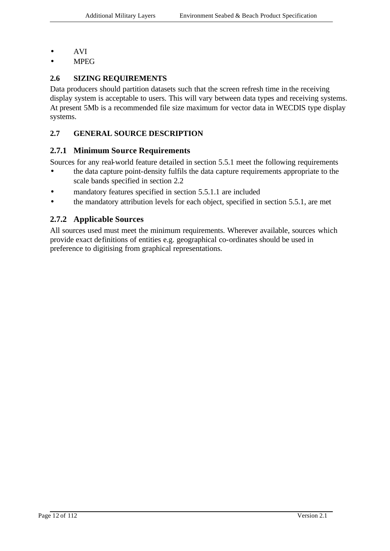- AVI
- MPEG

## **2.6 SIZING REQUIREMENTS**

Data producers should partition datasets such that the screen refresh time in the receiving display system is acceptable to users. This will vary between data types and receiving systems. At present 5Mb is a recommended file size maximum for vector data in WECDIS type display systems.

### **2.7 GENERAL SOURCE DESCRIPTION**

#### **2.7.1 Minimum Source Requirements**

Sources for any real-world feature detailed in section 5.5.1 meet the following requirements

- the data capture point-density fulfils the data capture requirements appropriate to the scale bands specified in section 2.2
- mandatory features specified in section 5.5.1.1 are included
- the mandatory attribution levels for each object, specified in section 5.5.1, are met

## **2.7.2 Applicable Sources**

All sources used must meet the minimum requirements. Wherever available, sources which provide exact definitions of entities e.g. geographical co-ordinates should be used in preference to digitising from graphical representations.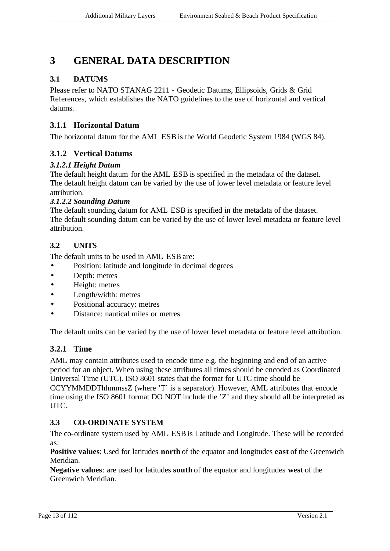## **3 GENERAL DATA DESCRIPTION**

## **3.1 DATUMS**

Please refer to NATO STANAG 2211 - Geodetic Datums, Ellipsoids, Grids & Grid References, which establishes the NATO guidelines to the use of horizontal and vertical datums.

## **3.1.1 Horizontal Datum**

The horizontal datum for the AML ESB is the World Geodetic System 1984 (WGS 84).

## **3.1.2 Vertical Datums**

### *3.1.2.1 Height Datum*

The default height datum for the AML ESB is specified in the metadata of the dataset. The default height datum can be varied by the use of lower level metadata or feature level attribution.

#### *3.1.2.2 Sounding Datum*

The default sounding datum for AML ESB is specified in the metadata of the dataset. The default sounding datum can be varied by the use of lower level metadata or feature level attribution.

## **3.2 UNITS**

The default units to be used in AML ESB are:

- Position: latitude and longitude in decimal degrees
- Depth: metres
- Height: metres
- Length/width: metres
- Positional accuracy: metres
- Distance: nautical miles or metres

The default units can be varied by the use of lower level metadata or feature level attribution.

## **3.2.1 Time**

AML may contain attributes used to encode time e.g. the beginning and end of an active period for an object. When using these attributes all times should be encoded as Coordinated Universal Time (UTC). ISO 8601 states that the format for UTC time should be CCYYMMDDThhmmssZ (where 'T' is a separator). However, AML attributes that encode time using the ISO 8601 format DO NOT include the 'Z' and they should all be interpreted as UTC.

## **3.3 CO-ORDINATE SYSTEM**

The co-ordinate system used by AML ESB is Latitude and Longitude. These will be recorded as:

**Positive values**: Used for latitudes **north** of the equator and longitudes **east** of the Greenwich Meridian.

**Negative values**: are used for latitudes **south** of the equator and longitudes **west** of the Greenwich Meridian.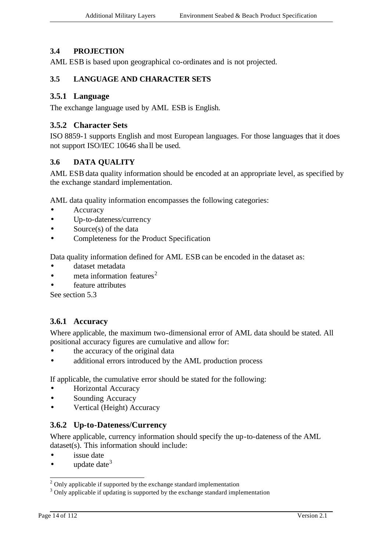### **3.4 PROJECTION**

AML ESB is based upon geographical co-ordinates and is not projected.

#### **3.5 LANGUAGE AND CHARACTER SETS**

#### **3.5.1 Language**

The exchange language used by AML ESB is English.

#### **3.5.2 Character Sets**

ISO 8859-1 supports English and most European languages. For those languages that it does not support ISO/IEC 10646 sha ll be used.

#### **3.6 DATA QUALITY**

AML ESB data quality information should be encoded at an appropriate level, as specified by the exchange standard implementation.

AML data quality information encompasses the following categories:

- **Accuracy**
- Up-to-dateness/currency
- Source(s) of the data
- Completeness for the Product Specification

Data quality information defined for AML ESB can be encoded in the dataset as:

- dataset metadata
- meta information features<sup>2</sup>
- feature attributes

See section 5.3

#### **3.6.1 Accuracy**

Where applicable, the maximum two-dimensional error of AML data should be stated. All positional accuracy figures are cumulative and allow for:

- the accuracy of the original data
- additional errors introduced by the AML production process

If applicable, the cumulative error should be stated for the following:

- Horizontal Accuracy
- Sounding Accuracy
- Vertical (Height) Accuracy

#### **3.6.2 Up-to-Dateness/Currency**

Where applicable, currency information should specify the up-to-dateness of the AML dataset(s). This information should include:

- issue date
- update date  $3$

l

 $2$  Only applicable if supported by the exchange standard implementation

<sup>&</sup>lt;sup>3</sup> Only applicable if updating is supported by the exchange standard implementation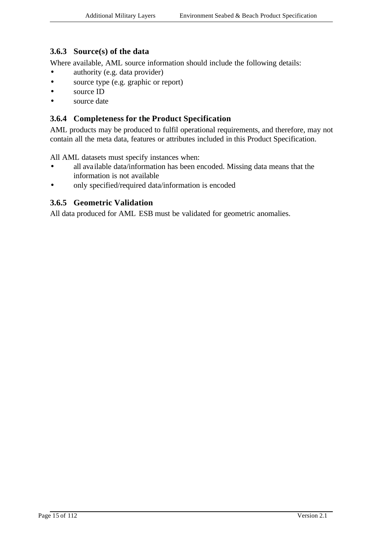## **3.6.3 Source(s) of the data**

Where available, AML source information should include the following details:

- authority (e.g. data provider)
- source type (e.g. graphic or report)
- source ID
- source date

#### **3.6.4 Completeness for the Product Specification**

AML products may be produced to fulfil operational requirements, and therefore, may not contain all the meta data, features or attributes included in this Product Specification.

All AML datasets must specify instances when:

- all available data/information has been encoded. Missing data means that the information is not available
- only specified/required data/information is encoded

#### **3.6.5 Geometric Validation**

All data produced for AML ESB must be validated for geometric anomalies.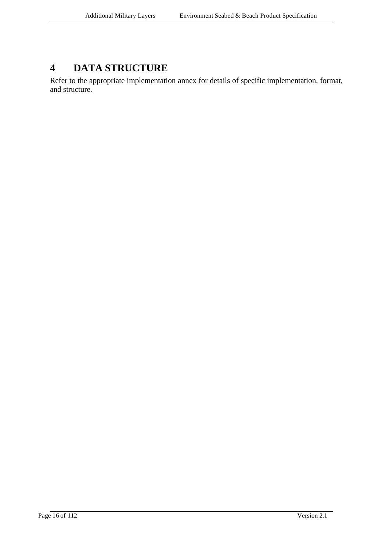## **4 DATA STRUCTURE**

Refer to the appropriate implementation annex for details of specific implementation, format, and structure.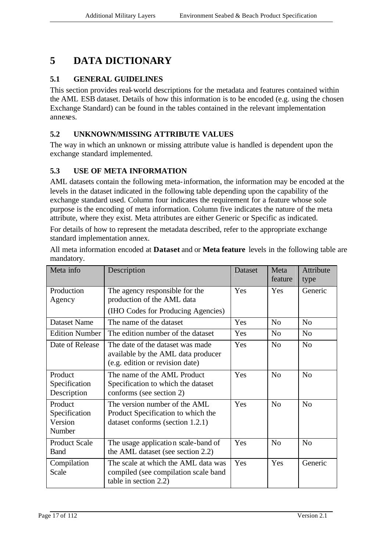## **5 DATA DICTIONARY**

## **5.1 GENERAL GUIDELINES**

This section provides real-world descriptions for the metadata and features contained within the AML ESB dataset. Details of how this information is to be encoded (e.g. using the chosen Exchange Standard) can be found in the tables contained in the relevant implementation annexes.

## **5.2 UNKNOWN/MISSING ATTRIBUTE VALUES**

The way in which an unknown or missing attribute value is handled is dependent upon the exchange standard implemented.

## **5.3 USE OF META INFORMATION**

AML datasets contain the following meta-information, the information may be encoded at the levels in the dataset indicated in the following table depending upon the capability of the exchange standard used. Column four indicates the requirement for a feature whose sole purpose is the encoding of meta information. Column five indicates the nature of the meta attribute, where they exist. Meta attributes are either Generic or Specific as indicated.

For details of how to represent the metadata described, refer to the appropriate exchange standard implementation annex.

All meta information encoded at **Dataset** and or **Meta feature** levels in the following table are mandatory.

| Meta info                                     | Description                                                                                               | Dataset | Meta<br>feature | Attribute<br>type |
|-----------------------------------------------|-----------------------------------------------------------------------------------------------------------|---------|-----------------|-------------------|
| Production<br>Agency                          | The agency responsible for the<br>production of the AML data<br>(IHO Codes for Producing Agencies)        | Yes     | <b>Yes</b>      | Generic           |
| <b>Dataset Name</b>                           | The name of the dataset                                                                                   | Yes     | No              | N <sub>0</sub>    |
|                                               |                                                                                                           |         |                 |                   |
| Edition Number                                | The edition number of the dataset                                                                         | Yes     | N <sub>o</sub>  | N <sub>o</sub>    |
| Date of Release                               | The date of the dataset was made<br>available by the AML data producer<br>(e.g. edition or revision date) | Yes     | N <sub>o</sub>  | N <sub>o</sub>    |
| Product<br>Specification<br>Description       | The name of the AML Product<br>Specification to which the dataset<br>conforms (see section 2)             | Yes     | N <sub>o</sub>  | N <sub>0</sub>    |
| Product<br>Specification<br>Version<br>Number | The version number of the AML<br>Product Specification to which the<br>dataset conforms (section 1.2.1)   | Yes     | N <sub>0</sub>  | N <sub>0</sub>    |
| <b>Product Scale</b><br><b>Band</b>           | The usage application scale-band of<br>the AML dataset (see section 2.2)                                  | Yes     | No              | N <sub>0</sub>    |
| Compilation<br>Scale                          | The scale at which the AML data was<br>compiled (see compilation scale band<br>table in section 2.2)      | Yes     | Yes             | Generic           |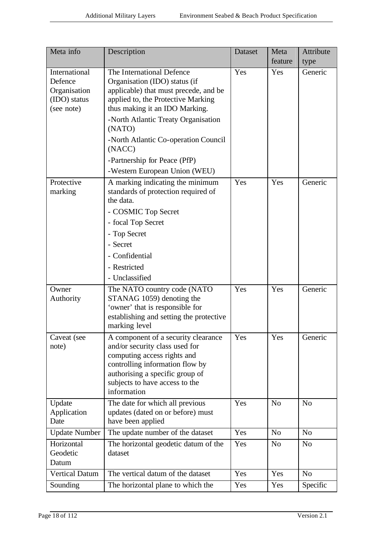| Meta info                                                              | Description                                                                                                                                                                                                                                                                                                                                     | Dataset | Meta<br>feature | Attribute<br>type |
|------------------------------------------------------------------------|-------------------------------------------------------------------------------------------------------------------------------------------------------------------------------------------------------------------------------------------------------------------------------------------------------------------------------------------------|---------|-----------------|-------------------|
| International<br>Defence<br>Organisation<br>(IDO) status<br>(see note) | The International Defence<br>Organisation (IDO) status (if<br>applicable) that must precede, and be<br>applied to, the Protective Marking<br>thus making it an IDO Marking.<br>-North Atlantic Treaty Organisation<br>(NATO)<br>-North Atlantic Co-operation Council<br>(NACC)<br>-Partnership for Peace (PfP)<br>-Western European Union (WEU) | Yes     | Yes             | Generic           |
| Protective<br>marking                                                  | A marking indicating the minimum<br>standards of protection required of<br>the data.<br>- COSMIC Top Secret<br>- focal Top Secret<br>- Top Secret<br>- Secret<br>- Confidential<br>- Restricted<br>- Unclassified                                                                                                                               | Yes     | Yes             | Generic           |
| Owner<br>Authority                                                     | The NATO country code (NATO<br>STANAG 1059) denoting the<br>'owner' that is responsible for<br>establishing and setting the protective<br>marking level                                                                                                                                                                                         | Yes     | Yes             | Generic           |
| Caveat (see<br>note)                                                   | A component of a security clearance<br>and/or security class used for<br>computing access rights and<br>controlling information flow by<br>authorising a specific group of<br>subjects to have access to the<br>information                                                                                                                     | Yes     | Yes             | Generic           |
| Update<br>Application<br>Date                                          | The date for which all previous<br>updates (dated on or before) must<br>have been applied                                                                                                                                                                                                                                                       | Yes     | N <sub>o</sub>  | N <sub>o</sub>    |
| <b>Update Number</b>                                                   | The update number of the dataset                                                                                                                                                                                                                                                                                                                | Yes     | N <sub>o</sub>  | N <sub>o</sub>    |
| Horizontal<br>Geodetic<br>Datum                                        | The horizontal geodetic datum of the<br>dataset                                                                                                                                                                                                                                                                                                 | Yes     | No              | N <sub>o</sub>    |
| <b>Vertical Datum</b>                                                  | The vertical datum of the dataset                                                                                                                                                                                                                                                                                                               | Yes     | Yes             | N <sub>o</sub>    |
| Sounding                                                               | The horizontal plane to which the                                                                                                                                                                                                                                                                                                               | Yes     | Yes             | Specific          |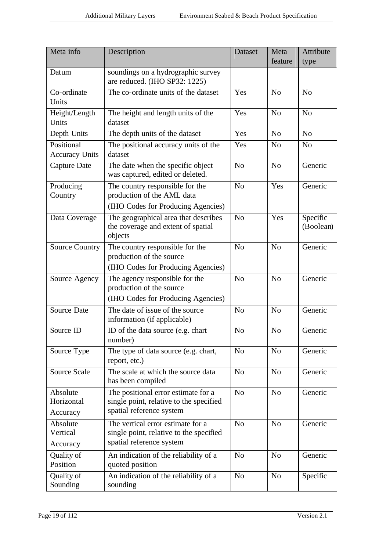| Meta info                           | Description                                                                                                                 | Dataset        | Meta<br>feature | Attribute<br>type     |
|-------------------------------------|-----------------------------------------------------------------------------------------------------------------------------|----------------|-----------------|-----------------------|
| Datum                               | soundings on a hydrographic survey<br>are reduced. (IHO SP32: 1225)                                                         |                |                 |                       |
| Co-ordinate<br>Units                | The co-ordinate units of the dataset                                                                                        | Yes            | N <sub>o</sub>  | N <sub>o</sub>        |
| Height/Length<br>Units              | The height and length units of the<br>dataset                                                                               | Yes            | N <sub>o</sub>  | N <sub>o</sub>        |
| Depth Units                         | The depth units of the dataset                                                                                              | Yes            | N <sub>0</sub>  | N <sub>o</sub>        |
| Positional<br><b>Accuracy Units</b> | The positional accuracy units of the<br>dataset                                                                             | Yes            | N <sub>0</sub>  | N <sub>o</sub>        |
| Capture Date                        | The date when the specific object<br>was captured, edited or deleted.                                                       | N <sub>o</sub> | N <sub>o</sub>  | Generic               |
| Producing<br>Country                | The country responsible for the<br>production of the AML data                                                               | N <sub>o</sub> | Yes             | Generic               |
| Data Coverage                       | (IHO Codes for Producing Agencies)<br>The geographical area that describes<br>the coverage and extent of spatial<br>objects | No             | Yes             | Specific<br>(Boolean) |
| <b>Source Country</b>               | The country responsible for the<br>production of the source<br>(IHO Codes for Producing Agencies)                           | N <sub>o</sub> | N <sub>o</sub>  | Generic               |
| Source Agency                       | The agency responsible for the<br>production of the source<br>(IHO Codes for Producing Agencies)                            | N <sub>o</sub> | N <sub>o</sub>  | Generic               |
| <b>Source Date</b>                  | The date of issue of the source<br>information (if applicable)                                                              | N <sub>o</sub> | N <sub>o</sub>  | Generic               |
| Source ID                           | ID of the data source (e.g. chart<br>number)                                                                                | N <sub>o</sub> | N <sub>o</sub>  | Generic               |
| Source Type                         | The type of data source (e.g. chart,<br>report, etc.)                                                                       | N <sub>o</sub> | N <sub>o</sub>  | Generic               |
| Source Scale                        | The scale at which the source data<br>has been compiled                                                                     | N <sub>o</sub> | N <sub>o</sub>  | Generic               |
| Absolute<br>Horizontal<br>Accuracy  | The positional error estimate for a<br>single point, relative to the specified<br>spatial reference system                  | N <sub>o</sub> | N <sub>o</sub>  | Generic               |
| Absolute<br>Vertical<br>Accuracy    | The vertical error estimate for a<br>single point, relative to the specified<br>spatial reference system                    | N <sub>o</sub> | N <sub>o</sub>  | Generic               |
| Quality of<br>Position              | An indication of the reliability of a<br>quoted position                                                                    | N <sub>o</sub> | N <sub>o</sub>  | Generic               |
| Quality of<br>Sounding              | An indication of the reliability of a<br>sounding                                                                           | N <sub>o</sub> | N <sub>o</sub>  | Specific              |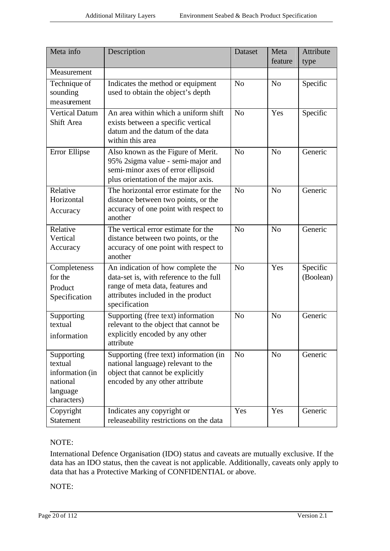| Meta info                                                                       | Description                                                                                                                                                             | Dataset        | Meta           | Attribute             |
|---------------------------------------------------------------------------------|-------------------------------------------------------------------------------------------------------------------------------------------------------------------------|----------------|----------------|-----------------------|
|                                                                                 |                                                                                                                                                                         |                | feature        | type                  |
| Measurement                                                                     |                                                                                                                                                                         |                |                |                       |
| Technique of<br>sounding<br>measurement                                         | Indicates the method or equipment<br>used to obtain the object's depth                                                                                                  | N <sub>o</sub> | N <sub>o</sub> | Specific              |
| <b>Vertical Datum</b><br>Shift Area                                             | An area within which a uniform shift<br>exists between a specific vertical<br>datum and the datum of the data<br>within this area                                       | No             | Yes            | Specific              |
| Error Ellipse                                                                   | Also known as the Figure of Merit.<br>95% 2sigma value - semi-major and<br>semi-minor axes of error ellipsoid<br>plus orientation of the major axis.                    | N <sub>o</sub> | N <sub>o</sub> | Generic               |
| Relative<br>Horizontal<br>Accuracy                                              | The horizontal error estimate for the<br>distance between two points, or the<br>accuracy of one point with respect to<br>another                                        | No             | N <sub>0</sub> | Generic               |
| Relative<br>Vertical<br>Accuracy                                                | The vertical error estimate for the<br>distance between two points, or the<br>accuracy of one point with respect to<br>another                                          | N <sub>o</sub> | N <sub>o</sub> | Generic               |
| Completeness<br>for the<br>Product<br>Specification                             | An indication of how complete the<br>data-set is, with reference to the full<br>range of meta data, features and<br>attributes included in the product<br>specification | N <sub>o</sub> | Yes            | Specific<br>(Boolean) |
| Supporting<br>textual<br>information                                            | Supporting (free text) information<br>relevant to the object that cannot be<br>explicitly encoded by any other<br>attribute                                             | N <sub>o</sub> | N <sub>o</sub> | Generic               |
| Supporting<br>textual<br>information (in<br>national<br>language<br>characters) | Supporting (free text) information (in<br>national language) relevant to the<br>object that cannot be explicitly<br>encoded by any other attribute                      | N <sub>o</sub> | N <sub>o</sub> | Generic               |
| Copyright<br><b>Statement</b>                                                   | Indicates any copyright or<br>releaseability restrictions on the data                                                                                                   | Yes            | Yes            | Generic               |

#### NOTE:

International Defence Organisation (IDO) status and caveats are mutually exclusive. If the data has an IDO status, then the caveat is not applicable. Additionally, caveats only apply to data that has a Protective Marking of CONFIDENTIAL or above.

NOTE: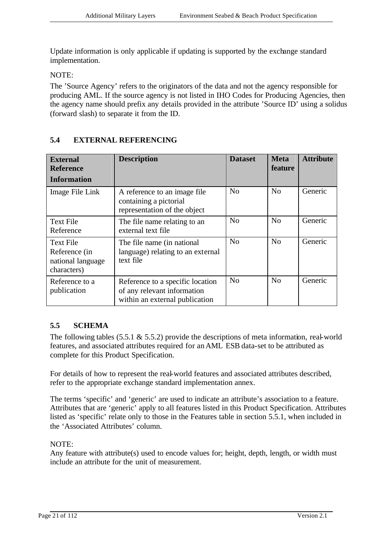Update information is only applicable if updating is supported by the exchange standard implementation.

NOTE:

The 'Source Agency' refers to the originators of the data and not the agency responsible for producing AML. If the source agency is not listed in IHO Codes for Producing Agencies, then the agency name should prefix any details provided in the attribute 'Source ID' using a solidus (forward slash) to separate it from the ID.

| <b>External</b><br><b>Reference</b><br><b>Information</b>             | <b>Description</b>                                                                                | <b>Dataset</b> | <b>Meta</b><br><b>feature</b> | <b>Attribute</b> |
|-----------------------------------------------------------------------|---------------------------------------------------------------------------------------------------|----------------|-------------------------------|------------------|
| Image File Link                                                       | A reference to an image file.<br>containing a pictorial<br>representation of the object           | N <sub>0</sub> | No                            | Generic          |
| <b>Text File</b><br>Reference                                         | The file name relating to an<br>external text file                                                | N <sub>0</sub> | No                            | Generic          |
| <b>Text File</b><br>Reference (in<br>national language<br>characters) | The file name (in national<br>language) relating to an external<br>text file                      | N <sub>0</sub> | No                            | Generic          |
| Reference to a<br>publication                                         | Reference to a specific location<br>of any relevant information<br>within an external publication | No             | No                            | Generic          |

### **5.4 EXTERNAL REFERENCING**

## **5.5 SCHEMA**

The following tables  $(5.5.1 \& 5.5.2)$  provide the descriptions of meta information, real-world features, and associated attributes required for an AML ESB data-set to be attributed as complete for this Product Specification.

For details of how to represent the real-world features and associated attributes described, refer to the appropriate exchange standard implementation annex.

The terms 'specific' and 'generic' are used to indicate an attribute's association to a feature. Attributes that are 'generic' apply to all features listed in this Product Specification. Attributes listed as 'specific' relate only to those in the Features table in section 5.5.1, when included in the 'Associated Attributes' column.

#### NOTE:

Any feature with attribute(s) used to encode values for; height, depth, length, or width must include an attribute for the unit of measurement.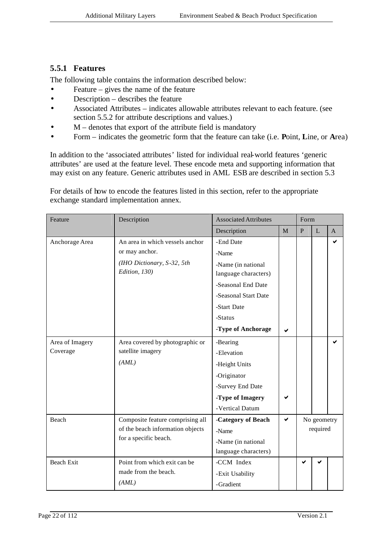## **5.5.1 Features**

The following table contains the information described below:

- Feature gives the name of the feature
- Description describes the feature
- Associated Attributes indicates allowable attributes relevant to each feature. (see section 5.5.2 for attribute descriptions and values.)
- $M$  denotes that export of the attribute field is mandatory
- Form indicates the geometric form that the feature can take (i.e. **P**oint, **L**ine, or **A**rea)

In addition to the 'associated attributes' listed for individual real-world features 'generic attributes' are used at the feature level. These encode meta and supporting information that may exist on any feature. Generic attributes used in AML ESB are described in section 5.3

For details of how to encode the features listed in this section, refer to the appropriate exchange standard implementation annex.

| Feature                     | Description                                                                                      | <b>Associated Attributes</b>                                                                                                             |   | Form                    |   |                |
|-----------------------------|--------------------------------------------------------------------------------------------------|------------------------------------------------------------------------------------------------------------------------------------------|---|-------------------------|---|----------------|
|                             |                                                                                                  | Description                                                                                                                              | M | $\mathbf{P}$            | L | $\overline{A}$ |
| Anchorage Area              | An area in which vessels anchor<br>or may anchor.<br>(IHO Dictionary, S-32, 5th<br>Edition, 130) | -End Date<br>-Name<br>-Name (in national<br>language characters)<br>-Seasonal End Date<br>-Seasonal Start Date<br>-Start Date<br>-Status |   |                         |   | ✔              |
|                             |                                                                                                  | -Type of Anchorage                                                                                                                       | ✔ |                         |   |                |
| Area of Imagery<br>Coverage | Area covered by photographic or<br>satellite imagery<br>(AML)                                    | -Bearing<br>-Elevation<br>-Height Units<br>-Originator<br>-Survey End Date<br>-Type of Imagery<br>-Vertical Datum                        |   |                         |   |                |
| Beach                       | Composite feature comprising all<br>of the beach information objects<br>for a specific beach.    | -Category of Beach<br>-Name<br>-Name (in national<br>language characters)                                                                | ✔ | No geometry<br>required |   |                |
| <b>Beach Exit</b>           | Point from which exit can be<br>made from the beach.<br>(AML)                                    | -CCM Index<br>-Exit Usability<br>-Gradient                                                                                               |   | ✔                       |   |                |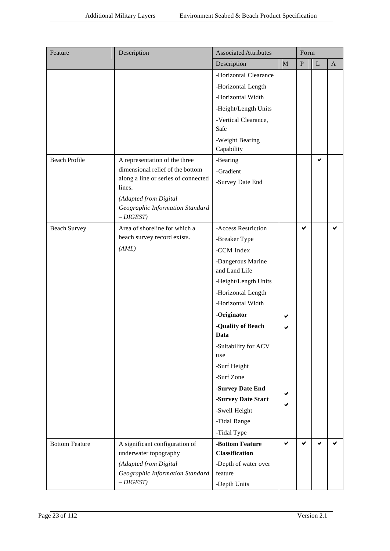| Feature               | Description                                                             | <b>Associated Attributes</b> |             | Form      |             |                |
|-----------------------|-------------------------------------------------------------------------|------------------------------|-------------|-----------|-------------|----------------|
|                       |                                                                         | Description                  | $\mathbf M$ | ${\bf P}$ | $\mathbf L$ | $\overline{A}$ |
|                       |                                                                         | -Horizontal Clearance        |             |           |             |                |
|                       |                                                                         | -Horizontal Length           |             |           |             |                |
|                       |                                                                         | -Horizontal Width            |             |           |             |                |
|                       |                                                                         | -Height/Length Units         |             |           |             |                |
|                       |                                                                         | -Vertical Clearance,         |             |           |             |                |
|                       |                                                                         | Safe                         |             |           |             |                |
|                       |                                                                         | -Weight Bearing              |             |           |             |                |
|                       |                                                                         | Capability                   |             |           |             |                |
| <b>Beach Profile</b>  | A representation of the three                                           | -Bearing                     |             |           | ✔           |                |
|                       | dimensional relief of the bottom<br>along a line or series of connected | -Gradient                    |             |           |             |                |
|                       | lines.                                                                  | -Survey Date End             |             |           |             |                |
|                       | (Adapted from Digital                                                   |                              |             |           |             |                |
|                       | Geographic Information Standard                                         |                              |             |           |             |                |
|                       | $-DIGEST$                                                               |                              |             |           |             |                |
| <b>Beach Survey</b>   | Area of shoreline for which a                                           | -Access Restriction          |             | ✔         |             | ✔              |
|                       | beach survey record exists.                                             | -Breaker Type                |             |           |             |                |
|                       | (AML)                                                                   | -CCM Index                   |             |           |             |                |
|                       |                                                                         | -Dangerous Marine            |             |           |             |                |
|                       |                                                                         | and Land Life                |             |           |             |                |
|                       |                                                                         | -Height/Length Units         |             |           |             |                |
|                       |                                                                         | -Horizontal Length           |             |           |             |                |
|                       |                                                                         | -Horizontal Width            |             |           |             |                |
|                       |                                                                         | -Originator                  |             |           |             |                |
|                       |                                                                         | -Quality of Beach<br>Data    |             |           |             |                |
|                       |                                                                         |                              |             |           |             |                |
|                       |                                                                         | -Suitability for ACV<br>use  |             |           |             |                |
|                       |                                                                         | -Surf Height                 |             |           |             |                |
|                       |                                                                         | -Surf Zone                   |             |           |             |                |
|                       |                                                                         | -Survey Date End             |             |           |             |                |
|                       |                                                                         | -Survey Date Start           |             |           |             |                |
|                       |                                                                         | -Swell Height                |             |           |             |                |
|                       |                                                                         | -Tidal Range                 |             |           |             |                |
|                       |                                                                         | -Tidal Type                  |             |           |             |                |
| <b>Bottom Feature</b> | A significant configuration of                                          | -Bottom Feature              | ✔           | ✔         | ✔           | ✔              |
|                       | underwater topography                                                   | <b>Classification</b>        |             |           |             |                |
|                       | (Adapted from Digital                                                   | -Depth of water over         |             |           |             |                |
|                       | Geographic Information Standard                                         | feature                      |             |           |             |                |
|                       | $-DIGEST$                                                               | -Depth Units                 |             |           |             |                |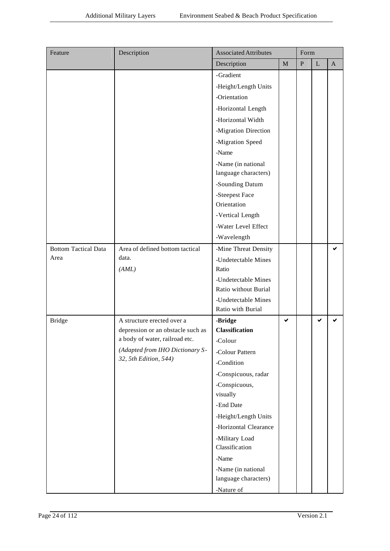| Feature                     | Description                       | <b>Associated Attributes</b>             |             | Form      |             |              |
|-----------------------------|-----------------------------------|------------------------------------------|-------------|-----------|-------------|--------------|
|                             |                                   | Description                              | $\mathbf M$ | ${\bf P}$ | $\mathbf L$ | $\mathbf{A}$ |
|                             |                                   | -Gradient                                |             |           |             |              |
|                             |                                   | -Height/Length Units                     |             |           |             |              |
|                             |                                   | -Orientation                             |             |           |             |              |
|                             |                                   | -Horizontal Length                       |             |           |             |              |
|                             |                                   | -Horizontal Width                        |             |           |             |              |
|                             |                                   | -Migration Direction                     |             |           |             |              |
|                             |                                   | -Migration Speed                         |             |           |             |              |
|                             |                                   | -Name                                    |             |           |             |              |
|                             |                                   | -Name (in national                       |             |           |             |              |
|                             |                                   | language characters)                     |             |           |             |              |
|                             |                                   | -Sounding Datum                          |             |           |             |              |
|                             |                                   | -Steepest Face                           |             |           |             |              |
|                             |                                   | Orientation                              |             |           |             |              |
|                             |                                   | -Vertical Length                         |             |           |             |              |
|                             |                                   | -Water Level Effect                      |             |           |             |              |
|                             |                                   | -Wavelength                              |             |           |             |              |
| <b>Bottom Tactical Data</b> | Area of defined bottom tactical   | -Mine Threat Density                     |             |           |             | ✔            |
| Area                        | data.                             | -Undetectable Mines                      |             |           |             |              |
|                             | (AML)                             | Ratio                                    |             |           |             |              |
|                             |                                   | -Undetectable Mines                      |             |           |             |              |
|                             |                                   | Ratio without Burial                     |             |           |             |              |
|                             |                                   | -Undetectable Mines<br>Ratio with Burial |             |           |             |              |
|                             | A structure erected over a        | -Bridge                                  | ✔           |           | ✔           |              |
| <b>Bridge</b>               | depression or an obstacle such as | <b>Classification</b>                    |             |           |             |              |
|                             | a body of water, railroad etc.    | -Colour                                  |             |           |             |              |
|                             | (Adapted from IHO Dictionary S-   | -Colour Pattern                          |             |           |             |              |
|                             | 32, 5th Edition, 544)             | -Condition                               |             |           |             |              |
|                             |                                   | -Conspicuous, radar                      |             |           |             |              |
|                             |                                   | -Conspicuous,                            |             |           |             |              |
|                             |                                   | visually                                 |             |           |             |              |
|                             |                                   | -End Date                                |             |           |             |              |
|                             |                                   | -Height/Length Units                     |             |           |             |              |
|                             |                                   | -Horizontal Clearance                    |             |           |             |              |
|                             |                                   | -Military Load                           |             |           |             |              |
|                             |                                   | Classification                           |             |           |             |              |
|                             |                                   | -Name                                    |             |           |             |              |
|                             |                                   | -Name (in national                       |             |           |             |              |
|                             |                                   | language characters)                     |             |           |             |              |
|                             |                                   | -Nature of                               |             |           |             |              |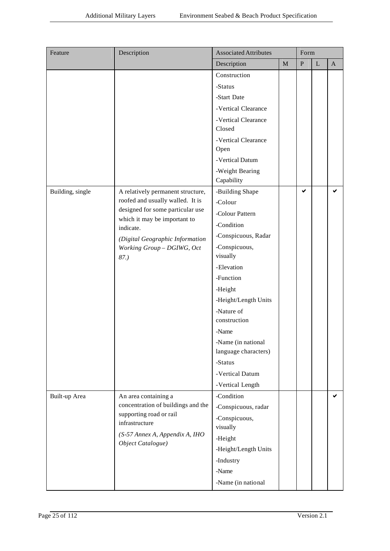| Feature          | Description                                                   | <b>Associated Attributes</b>  |              | Form      |             |              |
|------------------|---------------------------------------------------------------|-------------------------------|--------------|-----------|-------------|--------------|
|                  |                                                               | Description                   | $\mathbf{M}$ | ${\bf P}$ | $\mathbf L$ | $\mathbf{A}$ |
|                  |                                                               | Construction                  |              |           |             |              |
|                  |                                                               | -Status                       |              |           |             |              |
|                  |                                                               | -Start Date                   |              |           |             |              |
|                  |                                                               | -Vertical Clearance           |              |           |             |              |
|                  |                                                               | -Vertical Clearance<br>Closed |              |           |             |              |
|                  |                                                               | -Vertical Clearance           |              |           |             |              |
|                  |                                                               | Open                          |              |           |             |              |
|                  |                                                               | -Vertical Datum               |              |           |             |              |
|                  |                                                               | -Weight Bearing<br>Capability |              |           |             |              |
| Building, single | A relatively permanent structure,                             | -Building Shape               |              | ✔         |             | ✔            |
|                  | roofed and usually walled. It is                              | -Colour                       |              |           |             |              |
|                  | designed for some particular use                              | -Colour Pattern               |              |           |             |              |
|                  | which it may be important to                                  | -Condition                    |              |           |             |              |
|                  | indicate.                                                     | -Conspicuous, Radar           |              |           |             |              |
|                  | (Digital Geographic Information<br>Working Group - DGIWG, Oct | -Conspicuous,                 |              |           |             |              |
| 87.              | visually                                                      |                               |              |           |             |              |
|                  |                                                               | -Elevation                    |              |           |             |              |
|                  |                                                               | -Function                     |              |           |             |              |
|                  |                                                               | -Height                       |              |           |             |              |
|                  |                                                               | -Height/Length Units          |              |           |             |              |
|                  |                                                               | -Nature of                    |              |           |             |              |
|                  |                                                               | construction                  |              |           |             |              |
|                  |                                                               | -Name                         |              |           |             |              |
|                  |                                                               | -Name (in national            |              |           |             |              |
|                  |                                                               | language characters)          |              |           |             |              |
|                  |                                                               | -Status                       |              |           |             |              |
|                  |                                                               | -Vertical Datum               |              |           |             |              |
|                  |                                                               | -Vertical Length              |              |           |             |              |
| Built-up Area    | An area containing a                                          | -Condition                    |              |           |             | ✔            |
|                  | concentration of buildings and the<br>supporting road or rail | -Conspicuous, radar           |              |           |             |              |
|                  | infrastructure                                                | -Conspicuous,<br>visually     |              |           |             |              |
|                  | (S-57 Annex A, Appendix A, IHO                                | -Height                       |              |           |             |              |
|                  | Object Catalogue)                                             | -Height/Length Units          |              |           |             |              |
|                  |                                                               | -Industry                     |              |           |             |              |
|                  |                                                               | -Name                         |              |           |             |              |
|                  |                                                               | -Name (in national            |              |           |             |              |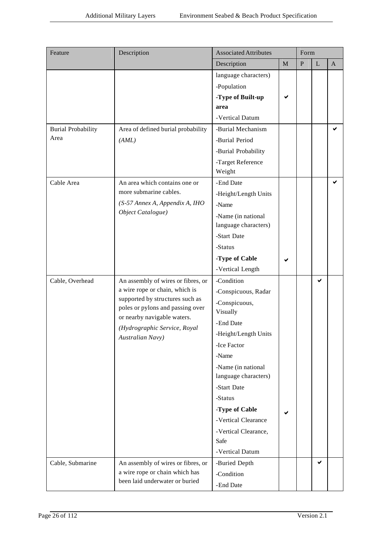| Feature                                                                                                                                                | Description                        | <b>Associated Attributes</b> |             | Form      |              |              |
|--------------------------------------------------------------------------------------------------------------------------------------------------------|------------------------------------|------------------------------|-------------|-----------|--------------|--------------|
|                                                                                                                                                        |                                    | Description                  | $\mathbf M$ | ${\bf P}$ | $\mathbf{L}$ | $\mathbf{A}$ |
|                                                                                                                                                        |                                    | language characters)         |             |           |              |              |
|                                                                                                                                                        |                                    | -Population                  |             |           |              |              |
|                                                                                                                                                        |                                    | -Type of Built-up            |             |           |              |              |
|                                                                                                                                                        |                                    | area                         |             |           |              |              |
|                                                                                                                                                        |                                    | -Vertical Datum              |             |           |              |              |
| <b>Burial Probability</b>                                                                                                                              | Area of defined burial probability | -Burial Mechanism            |             |           |              | ✔            |
| Area                                                                                                                                                   | (AML)                              | -Burial Period               |             |           |              |              |
|                                                                                                                                                        |                                    | -Burial Probability          |             |           |              |              |
|                                                                                                                                                        |                                    | -Target Reference            |             |           |              |              |
|                                                                                                                                                        |                                    | Weight                       |             |           |              |              |
| Cable Area                                                                                                                                             | An area which contains one or      | -End Date                    |             |           |              | ✔            |
|                                                                                                                                                        | more submarine cables.             | -Height/Length Units         |             |           |              |              |
| Object Catalogue)                                                                                                                                      | (S-57 Annex A, Appendix A, IHO     | -Name                        |             |           |              |              |
|                                                                                                                                                        |                                    | -Name (in national           |             |           |              |              |
|                                                                                                                                                        |                                    | language characters)         |             |           |              |              |
|                                                                                                                                                        |                                    | -Start Date                  |             |           |              |              |
|                                                                                                                                                        |                                    | -Status                      |             |           |              |              |
|                                                                                                                                                        |                                    | -Type of Cable               |             |           |              |              |
|                                                                                                                                                        |                                    | -Vertical Length             |             |           |              |              |
| Cable, Overhead                                                                                                                                        | An assembly of wires or fibres, or | -Condition                   |             |           | ✔            |              |
|                                                                                                                                                        | a wire rope or chain, which is     | -Conspicuous, Radar          |             |           |              |              |
|                                                                                                                                                        |                                    | -Conspicuous,                |             |           |              |              |
|                                                                                                                                                        |                                    | Visually                     |             |           |              |              |
| supported by structures such as<br>poles or pylons and passing over<br>or nearby navigable waters.<br>(Hydrographic Service, Royal<br>Australian Navy) | -End Date                          |                              |             |           |              |              |
|                                                                                                                                                        | -Height/Length Units               |                              |             |           |              |              |
|                                                                                                                                                        |                                    | -Ice Factor                  |             |           |              |              |
|                                                                                                                                                        |                                    | -Name                        |             |           |              |              |
|                                                                                                                                                        |                                    | -Name (in national           |             |           |              |              |
|                                                                                                                                                        |                                    | language characters)         |             |           |              |              |
|                                                                                                                                                        |                                    | -Start Date                  |             |           |              |              |
|                                                                                                                                                        |                                    | -Status                      |             |           |              |              |
|                                                                                                                                                        |                                    | -Type of Cable               |             |           |              |              |
|                                                                                                                                                        |                                    | -Vertical Clearance          |             |           |              |              |
|                                                                                                                                                        |                                    | -Vertical Clearance,         |             |           |              |              |
|                                                                                                                                                        |                                    | Safe                         |             |           |              |              |
|                                                                                                                                                        |                                    | -Vertical Datum              |             |           |              |              |
| Cable, Submarine                                                                                                                                       | An assembly of wires or fibres, or | -Buried Depth                |             |           | ✔            |              |
|                                                                                                                                                        | a wire rope or chain which has     | -Condition                   |             |           |              |              |
|                                                                                                                                                        | been laid underwater or buried     | -End Date                    |             |           |              |              |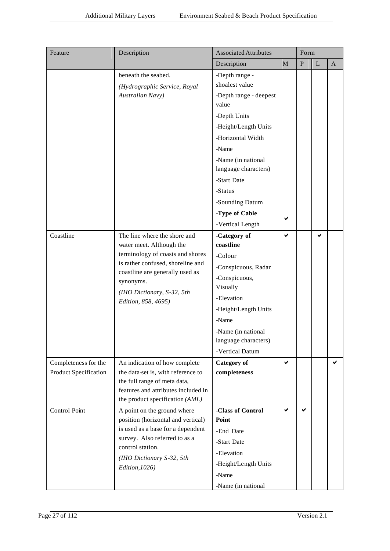| Feature                                              | Description                                                                                                                                                                                                                            | <b>Associated Attributes</b>                                                                                                                                                                                                                                               |             | Form      |              |              |
|------------------------------------------------------|----------------------------------------------------------------------------------------------------------------------------------------------------------------------------------------------------------------------------------------|----------------------------------------------------------------------------------------------------------------------------------------------------------------------------------------------------------------------------------------------------------------------------|-------------|-----------|--------------|--------------|
|                                                      |                                                                                                                                                                                                                                        | Description                                                                                                                                                                                                                                                                | $\mathbf M$ | ${\bf P}$ | $\mathbf{L}$ | $\mathbf{A}$ |
|                                                      | beneath the seabed.<br>(Hydrographic Service, Royal<br>Australian Navy)                                                                                                                                                                | -Depth range -<br>shoalest value<br>-Depth range - deepest<br>value<br>-Depth Units<br>-Height/Length Units<br>-Horizontal Width<br>-Name<br>-Name (in national<br>language characters)<br>-Start Date<br>-Status<br>-Sounding Datum<br>-Type of Cable<br>-Vertical Length | ✔           |           |              |              |
| Coastline                                            | The line where the shore and<br>water meet. Although the<br>terminology of coasts and shores<br>is rather confused, shoreline and<br>coastline are generally used as<br>synonyms.<br>(IHO Dictionary, S-32, 5th<br>Edition, 858, 4695) | -Category of<br>coastline<br>-Colour<br>-Conspicuous, Radar<br>-Conspicuous,<br>Visually<br>-Elevation<br>-Height/Length Units<br>-Name<br>-Name (in national<br>language characters)<br>-Vertical Datum                                                                   | ✔           |           | ✔            |              |
| Completeness for the<br><b>Product Specification</b> | An indication of how complete<br>the data-set is, with reference to<br>the full range of meta data,<br>features and attributes included in<br>the product specification (AML)                                                          | <b>Category</b> of<br>completeness                                                                                                                                                                                                                                         | ✔           |           |              | ✔            |
| Control Point                                        | A point on the ground where<br>position (horizontal and vertical)<br>is used as a base for a dependent<br>survey. Also referred to as a<br>control station.<br>(IHO Dictionary S-32, 5th<br>Edition, 1026)                             | -Class of Control<br>Point<br>-End Date<br>-Start Date<br>-Elevation<br>-Height/Length Units<br>-Name<br>-Name (in national                                                                                                                                                | ✔           | ✔         |              |              |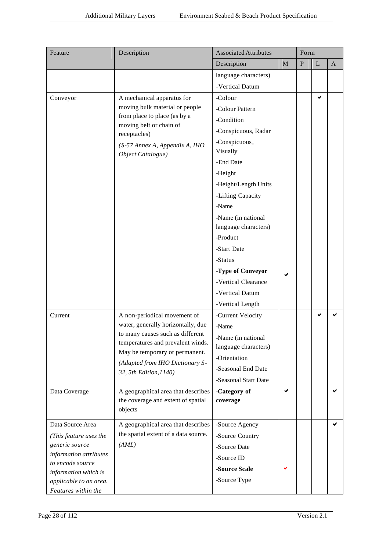| Feature                                                                                                                                                          | Description                                                                | <b>Associated Attributes</b> |             | Form      |              |              |
|------------------------------------------------------------------------------------------------------------------------------------------------------------------|----------------------------------------------------------------------------|------------------------------|-------------|-----------|--------------|--------------|
|                                                                                                                                                                  |                                                                            | Description                  | $\mathbf M$ | ${\bf P}$ | $\mathbf{L}$ | $\mathbf{A}$ |
|                                                                                                                                                                  |                                                                            | language characters)         |             |           |              |              |
|                                                                                                                                                                  |                                                                            | -Vertical Datum              |             |           |              |              |
| Conveyor                                                                                                                                                         | A mechanical apparatus for                                                 | -Colour                      |             |           | ✔            |              |
| moving bulk material or people<br>from place to place (as by a<br>moving belt or chain of<br>receptacles)<br>(S-57 Annex A, Appendix A, IHO<br>Object Catalogue) | -Colour Pattern                                                            |                              |             |           |              |              |
|                                                                                                                                                                  |                                                                            | -Condition                   |             |           |              |              |
|                                                                                                                                                                  |                                                                            | -Conspicuous, Radar          |             |           |              |              |
|                                                                                                                                                                  |                                                                            | -Conspicuous,                |             |           |              |              |
|                                                                                                                                                                  |                                                                            | Visually                     |             |           |              |              |
|                                                                                                                                                                  |                                                                            | -End Date                    |             |           |              |              |
|                                                                                                                                                                  |                                                                            | -Height                      |             |           |              |              |
|                                                                                                                                                                  |                                                                            | -Height/Length Units         |             |           |              |              |
|                                                                                                                                                                  |                                                                            | -Lifting Capacity            |             |           |              |              |
|                                                                                                                                                                  |                                                                            | -Name                        |             |           |              |              |
|                                                                                                                                                                  |                                                                            | -Name (in national           |             |           |              |              |
|                                                                                                                                                                  |                                                                            | language characters)         |             |           |              |              |
|                                                                                                                                                                  |                                                                            | -Product                     |             |           |              |              |
|                                                                                                                                                                  |                                                                            | -Start Date                  |             |           |              |              |
|                                                                                                                                                                  |                                                                            | -Status                      |             |           |              |              |
|                                                                                                                                                                  |                                                                            | -Type of Conveyor            |             |           |              |              |
|                                                                                                                                                                  |                                                                            | -Vertical Clearance          |             |           |              |              |
|                                                                                                                                                                  |                                                                            | -Vertical Datum              |             |           |              |              |
|                                                                                                                                                                  |                                                                            | -Vertical Length             |             |           |              |              |
| Current                                                                                                                                                          | A non-periodical movement of                                               | -Current Velocity            |             |           | ✔            |              |
|                                                                                                                                                                  | water, generally horizontally, due<br>to many causes such as different     | -Name                        |             |           |              |              |
|                                                                                                                                                                  | temperatures and prevalent winds.                                          | Name (in national            |             |           |              |              |
|                                                                                                                                                                  | May be temporary or permanent.                                             | language characters)         |             |           |              |              |
|                                                                                                                                                                  | (Adapted from IHO Dictionary S-                                            | -Orientation                 |             |           |              |              |
|                                                                                                                                                                  | 32, 5th Edition, 1140)                                                     | -Seasonal End Date           |             |           |              |              |
|                                                                                                                                                                  |                                                                            | -Seasonal Start Date         |             |           |              |              |
| Data Coverage                                                                                                                                                    | A geographical area that describes<br>the coverage and extent of spatial   | -Category of<br>coverage     | ✔           |           |              |              |
|                                                                                                                                                                  | objects                                                                    |                              |             |           |              |              |
|                                                                                                                                                                  |                                                                            |                              |             |           |              |              |
| Data Source Area                                                                                                                                                 | A geographical area that describes<br>the spatial extent of a data source. | -Source Agency               |             |           |              | ✔            |
| (This feature uses the<br>generic source                                                                                                                         | (AML)                                                                      | -Source Country              |             |           |              |              |
| information attributes                                                                                                                                           |                                                                            | -Source Date                 |             |           |              |              |
| to encode source                                                                                                                                                 |                                                                            | -Source ID                   |             |           |              |              |
| information which is                                                                                                                                             |                                                                            | -Source Scale                |             |           |              |              |
| applicable to an area.                                                                                                                                           |                                                                            | -Source Type                 |             |           |              |              |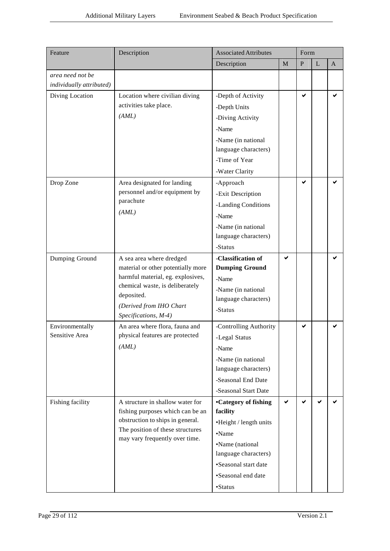| Feature                  | Description                                     | <b>Associated Attributes</b> |              | Form      |              |              |  |
|--------------------------|-------------------------------------------------|------------------------------|--------------|-----------|--------------|--------------|--|
|                          |                                                 | Description                  | M            | ${\bf P}$ | $\mathbf{L}$ | $\mathbf{A}$ |  |
| area need not be         |                                                 |                              |              |           |              |              |  |
| individually attributed) |                                                 |                              |              |           |              |              |  |
| Diving Location          | Location where civilian diving                  | -Depth of Activity           |              | ✔         |              | ✔            |  |
|                          | activities take place.                          | -Depth Units                 |              |           |              |              |  |
|                          | (AML)                                           | -Diving Activity             |              |           |              |              |  |
|                          |                                                 | -Name                        |              |           |              |              |  |
|                          |                                                 | -Name (in national           |              |           |              |              |  |
|                          |                                                 | language characters)         |              |           |              |              |  |
|                          |                                                 | -Time of Year                |              |           |              |              |  |
|                          |                                                 | -Water Clarity               |              |           |              |              |  |
| Drop Zone                | Area designated for landing                     | -Approach                    |              | ✔         |              |              |  |
|                          | personnel and/or equipment by                   | -Exit Description            |              |           |              |              |  |
|                          | parachute                                       | -Landing Conditions          |              |           |              |              |  |
|                          | (AML)                                           | -Name                        |              |           |              |              |  |
|                          |                                                 | -Name (in national           |              |           |              |              |  |
|                          |                                                 | language characters)         |              |           |              |              |  |
|                          |                                                 | -Status                      |              |           |              |              |  |
| Dumping Ground           | A sea area where dredged                        | -Classification of           | ✔            |           |              |              |  |
|                          | material or other potentially more              | <b>Dumping Ground</b>        |              |           |              |              |  |
|                          | harmful material, eg. explosives,               | -Name                        |              |           |              |              |  |
|                          | chemical waste, is deliberately<br>deposited.   | -Name (in national           |              |           |              |              |  |
|                          |                                                 | language characters)         |              |           |              |              |  |
|                          | (Derived from IHO Chart<br>Specifications, M-4) | -Status                      |              |           |              |              |  |
| Environmentally          | An area where flora, fauna and                  | -Controlling Authority       |              | ✔         |              |              |  |
| Sensitive Area           | physical features are protected                 | -Legal Status                |              |           |              |              |  |
|                          | (AML)                                           | -Name                        |              |           |              |              |  |
|                          |                                                 | -Name (in national           |              |           |              |              |  |
|                          |                                                 | language characters)         |              |           |              |              |  |
|                          |                                                 | -Seasonal End Date           |              |           |              |              |  |
|                          |                                                 | -Seasonal Start Date         |              |           |              |              |  |
| Fishing facility         | A structure in shallow water for                | <b>•Category of fishing</b>  | $\checkmark$ | ✔         | ✔            |              |  |
|                          | fishing purposes which can be an                | facility                     |              |           |              |              |  |
|                          | obstruction to ships in general.                | •Height / length units       |              |           |              |              |  |
|                          | The position of these structures                | •Name                        |              |           |              |              |  |
|                          | may vary frequently over time.                  | •Name (national              |              |           |              |              |  |
|                          |                                                 | language characters)         |              |           |              |              |  |
|                          |                                                 | •Seasonal start date         |              |           |              |              |  |
|                          |                                                 | •Seasonal end date           |              |           |              |              |  |
|                          |                                                 | •Status                      |              |           |              |              |  |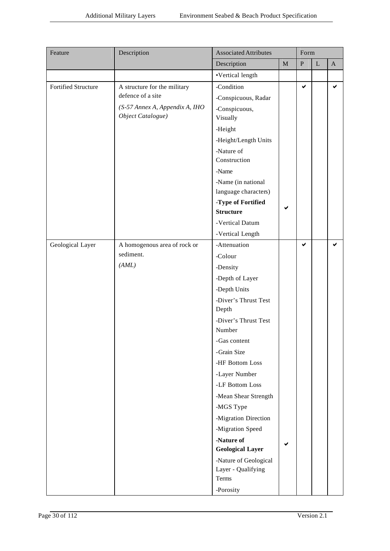| Feature                    | Description                                         | <b>Associated Attributes</b>           | Form        |           |             |              |
|----------------------------|-----------------------------------------------------|----------------------------------------|-------------|-----------|-------------|--------------|
|                            |                                                     | Description                            | $\mathbf M$ | ${\bf P}$ | $\mathbf L$ | $\mathbf{A}$ |
|                            |                                                     | •Vertical length                       |             |           |             |              |
| <b>Fortified Structure</b> | A structure for the military                        | -Condition                             |             | ✔         |             | ✔            |
|                            | defence of a site                                   | -Conspicuous, Radar                    |             |           |             |              |
|                            | (S-57 Annex A, Appendix A, IHO<br>Object Catalogue) | -Conspicuous,<br>Visually              |             |           |             |              |
|                            |                                                     | -Height                                |             |           |             |              |
|                            |                                                     | -Height/Length Units                   |             |           |             |              |
|                            |                                                     | -Nature of                             |             |           |             |              |
|                            |                                                     | Construction                           |             |           |             |              |
|                            |                                                     | -Name                                  |             |           |             |              |
|                            |                                                     | -Name (in national                     |             |           |             |              |
|                            |                                                     | language characters)                   |             |           |             |              |
|                            |                                                     | -Type of Fortified<br><b>Structure</b> | ✔           |           |             |              |
|                            |                                                     |                                        |             |           |             |              |
|                            |                                                     | -Vertical Datum                        |             |           |             |              |
|                            |                                                     | -Vertical Length                       |             | ✔         |             | ✔            |
| Geological Layer           | A homogenous area of rock or<br>sediment.           | -Attenuation                           |             |           |             |              |
|                            | (AML)                                               | -Colour                                |             |           |             |              |
|                            |                                                     | -Density                               |             |           |             |              |
|                            |                                                     | -Depth of Layer                        |             |           |             |              |
|                            |                                                     | -Depth Units                           |             |           |             |              |
|                            |                                                     | -Diver's Thrust Test<br>Depth          |             |           |             |              |
|                            |                                                     | -Diver's Thrust Test                   |             |           |             |              |
|                            |                                                     | Number                                 |             |           |             |              |
|                            |                                                     | -Gas content                           |             |           |             |              |
|                            |                                                     | -Grain Size                            |             |           |             |              |
|                            |                                                     | -HF Bottom Loss                        |             |           |             |              |
|                            |                                                     | -Layer Number                          |             |           |             |              |
|                            |                                                     | -LF Bottom Loss                        |             |           |             |              |
|                            |                                                     | -Mean Shear Strength                   |             |           |             |              |
|                            |                                                     | -MGS Type                              |             |           |             |              |
|                            |                                                     | -Migration Direction                   |             |           |             |              |
|                            |                                                     | -Migration Speed                       |             |           |             |              |
|                            |                                                     | -Nature of<br><b>Geological Layer</b>  | ✔           |           |             |              |
|                            |                                                     | -Nature of Geological                  |             |           |             |              |
|                            |                                                     | Layer - Qualifying                     |             |           |             |              |
|                            |                                                     | Terms                                  |             |           |             |              |
|                            |                                                     | -Porosity                              |             |           |             |              |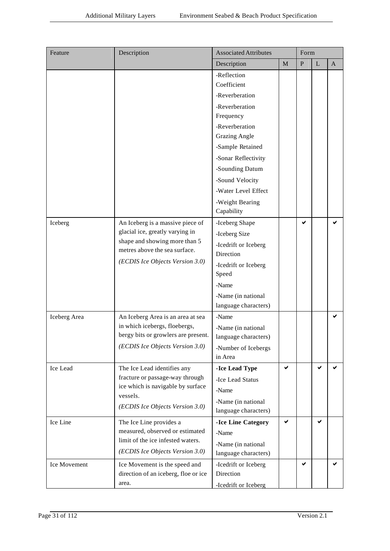| Feature              | Description                                                                                                                                                                      | <b>Associated Attributes</b>                                                                                                                                                                                                                                   |             | Form      |             |              |  |  |
|----------------------|----------------------------------------------------------------------------------------------------------------------------------------------------------------------------------|----------------------------------------------------------------------------------------------------------------------------------------------------------------------------------------------------------------------------------------------------------------|-------------|-----------|-------------|--------------|--|--|
|                      |                                                                                                                                                                                  | Description                                                                                                                                                                                                                                                    | $\mathbf M$ | ${\bf P}$ | $\mathbf L$ | $\mathbf{A}$ |  |  |
|                      |                                                                                                                                                                                  | -Reflection<br>Coefficient<br>-Reverberation<br>-Reverberation<br>Frequency<br>-Reverberation<br><b>Grazing Angle</b><br>-Sample Retained<br>-Sonar Reflectivity<br>-Sounding Datum<br>-Sound Velocity<br>-Water Level Effect<br>-Weight Bearing<br>Capability |             |           |             |              |  |  |
| Iceberg              | An Iceberg is a massive piece of<br>glacial ice, greatly varying in<br>shape and showing more than 5<br>metres above the sea surface.<br>(ECDIS Ice Objects Version 3.0)         | -Iceberg Shape<br>-Iceberg Size<br>-Icedrift or Iceberg<br>Direction<br>-Icedrift or Iceberg<br>Speed<br>-Name<br>-Name (in national<br>language characters)                                                                                                   |             | ✔         |             |              |  |  |
| Iceberg Area         | An Iceberg Area is an area at sea<br>in which icebergs, floebergs,<br>bergy bits or growlers are present.<br>(ECDIS Ice Objects Version 3.0)                                     | -Name<br>-Name (in national<br>language characters)<br>-Number of Icebergs<br>in Area                                                                                                                                                                          |             |           |             | ✔            |  |  |
| Ice Lead<br>Ice Line | The Ice Lead identifies any<br>fracture or passage-way through<br>ice which is navigable by surface<br>vessels.<br>(ECDIS Ice Objects Version 3.0)<br>The Ice Line provides a    | -Ice Lead Type<br>-Ice Lead Status<br>-Name<br>-Name (in national<br>language characters)<br>-Ice Line Category                                                                                                                                                | ✔<br>✔      |           | ✔<br>✔      |              |  |  |
| Ice Movement         | measured, observed or estimated<br>limit of the ice infested waters.<br>(ECDIS Ice Objects Version 3.0)<br>Ice Movement is the speed and<br>direction of an iceberg, floe or ice | -Name<br>-Name (in national<br>language characters)<br>-Icedrift or Iceberg<br>Direction                                                                                                                                                                       |             | ✔         |             | ✔            |  |  |
|                      | area.                                                                                                                                                                            | -Icedrift or Iceberg                                                                                                                                                                                                                                           |             |           |             |              |  |  |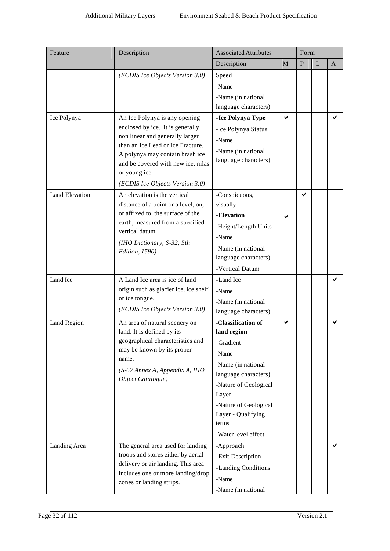| Feature               | Description                                                                                                                                                                                                                           | <b>Associated Attributes</b>                                                                                                                                                                                           |   | Form         |   |   |
|-----------------------|---------------------------------------------------------------------------------------------------------------------------------------------------------------------------------------------------------------------------------------|------------------------------------------------------------------------------------------------------------------------------------------------------------------------------------------------------------------------|---|--------------|---|---|
|                       |                                                                                                                                                                                                                                       | Description                                                                                                                                                                                                            | M | $\mathbf{P}$ | L | A |
| Ice Polynya           | (ECDIS Ice Objects Version 3.0)<br>An Ice Polynya is any opening                                                                                                                                                                      | Speed<br>-Name<br>-Name (in national)<br>language characters)<br>-Ice Polynya Type                                                                                                                                     | ✔ |              |   |   |
|                       | enclosed by ice. It is generally<br>non linear and generally larger<br>than an Ice Lead or Ice Fracture.<br>A polynya may contain brash ice<br>and be covered with new ice, nilas<br>or young ice.<br>(ECDIS Ice Objects Version 3.0) | -Ice Polynya Status<br>-Name<br>-Name (in national)<br>language characters)                                                                                                                                            |   |              |   |   |
| <b>Land Elevation</b> | An elevation is the vertical<br>distance of a point or a level, on,<br>or affixed to, the surface of the<br>earth, measured from a specified<br>vertical datum.<br>(IHO Dictionary, S-32, 5th<br>Edition, 1590)                       | -Conspicuous,<br>visually<br>-Elevation<br>-Height/Length Units<br>-Name<br>-Name (in national<br>language characters)<br>-Vertical Datum                                                                              |   | ✔            |   |   |
| Land Ice              | A Land Ice area is ice of land<br>origin such as glacier ice, ice shelf<br>or ice tongue.<br>(ECDIS Ice Objects Version 3.0)                                                                                                          | -Land Ice<br>-Name<br>-Name (in national<br>language characters)                                                                                                                                                       |   |              |   |   |
| Land Region           | An area of natural scenery on<br>land. It is defined by its<br>geographical characteristics and<br>may be known by its proper<br>name.<br>(S-57 Annex A, Appendix A, IHO<br>Object Catalogue)                                         | -Classification of<br>land region<br>-Gradient<br>-Name<br>-Name (in national<br>language characters)<br>-Nature of Geological<br>Layer<br>-Nature of Geological<br>Layer - Qualifying<br>terms<br>-Water level effect | ✔ |              |   |   |
| Landing Area          | The general area used for landing<br>troops and stores either by aerial<br>delivery or air landing. This area<br>includes one or more landing/drop<br>zones or landing strips.                                                        | -Approach<br>-Exit Description<br>-Landing Conditions<br>-Name<br>-Name (in national                                                                                                                                   |   |              |   |   |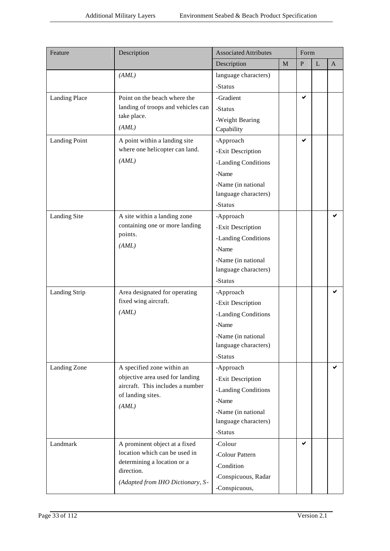| Feature              | Description                                                         | <b>Associated Attributes</b> |             | Form      |   |   |
|----------------------|---------------------------------------------------------------------|------------------------------|-------------|-----------|---|---|
|                      |                                                                     | Description                  | $\mathbf M$ | ${\bf P}$ | L | A |
|                      | (AML)                                                               | language characters)         |             |           |   |   |
|                      |                                                                     | -Status                      |             |           |   |   |
| Landing Place        | Point on the beach where the                                        | -Gradient                    |             | ✔         |   |   |
|                      | landing of troops and vehicles can                                  | -Status                      |             |           |   |   |
|                      | take place.                                                         | -Weight Bearing              |             |           |   |   |
|                      | (AML)                                                               | Capability                   |             |           |   |   |
| <b>Landing Point</b> | A point within a landing site                                       | -Approach                    |             | ✔         |   |   |
|                      | where one helicopter can land.                                      | -Exit Description            |             |           |   |   |
|                      | (AML)                                                               | -Landing Conditions          |             |           |   |   |
|                      |                                                                     | -Name                        |             |           |   |   |
|                      |                                                                     | -Name (in national           |             |           |   |   |
|                      |                                                                     | language characters)         |             |           |   |   |
|                      |                                                                     | -Status                      |             |           |   |   |
| <b>Landing Site</b>  | A site within a landing zone                                        | -Approach                    |             |           |   | ✔ |
|                      | containing one or more landing<br>points.                           | -Exit Description            |             |           |   |   |
|                      |                                                                     | -Landing Conditions          |             |           |   |   |
|                      | (AML)                                                               | -Name                        |             |           |   |   |
|                      |                                                                     | -Name (in national           |             |           |   |   |
|                      |                                                                     | language characters)         |             |           |   |   |
|                      |                                                                     | -Status                      |             |           |   |   |
| <b>Landing Strip</b> | Area designated for operating                                       | -Approach                    |             |           |   |   |
|                      | fixed wing aircraft.                                                | -Exit Description            |             |           |   |   |
|                      | (AML)                                                               | -Landing Conditions          |             |           |   |   |
|                      |                                                                     | -Name                        |             |           |   |   |
|                      |                                                                     | -Name (in national           |             |           |   |   |
|                      |                                                                     | language characters)         |             |           |   |   |
|                      |                                                                     | -Status                      |             |           |   |   |
| Landing Zone         | A specified zone within an                                          | -Approach                    |             |           |   | ✔ |
|                      | objective area used for landing<br>aircraft. This includes a number | -Exit Description            |             |           |   |   |
|                      | of landing sites.                                                   | -Landing Conditions          |             |           |   |   |
|                      | (AML)                                                               | -Name                        |             |           |   |   |
|                      |                                                                     | -Name (in national           |             |           |   |   |
|                      |                                                                     | language characters)         |             |           |   |   |
|                      |                                                                     | -Status                      |             |           |   |   |
| Landmark             | A prominent object at a fixed                                       | -Colour                      |             | ✔         |   |   |
|                      | location which can be used in<br>determining a location or a        | -Colour Pattern              |             |           |   |   |
|                      | direction.                                                          | -Condition                   |             |           |   |   |
|                      | (Adapted from IHO Dictionary, S-                                    | -Conspicuous, Radar          |             |           |   |   |
|                      |                                                                     | -Conspicuous,                |             |           |   |   |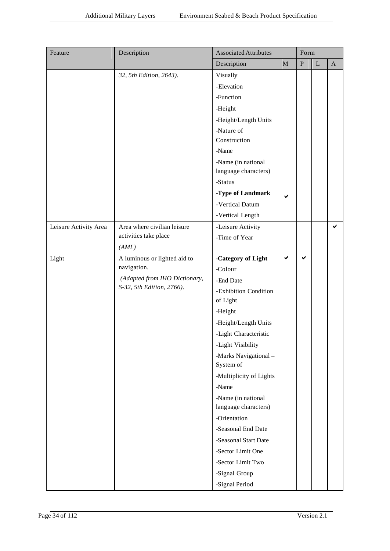| Feature               | Description                   | <b>Associated Attributes</b><br>Form       |             |           |             |              |  |  |
|-----------------------|-------------------------------|--------------------------------------------|-------------|-----------|-------------|--------------|--|--|
|                       |                               | Description                                | $\mathbf M$ | ${\bf P}$ | $\mathbf L$ | $\mathbf{A}$ |  |  |
|                       | 32, 5th Edition, 2643).       | Visually                                   |             |           |             |              |  |  |
|                       |                               | -Elevation                                 |             |           |             |              |  |  |
|                       |                               | -Function                                  |             |           |             |              |  |  |
|                       |                               | -Height                                    |             |           |             |              |  |  |
|                       |                               | -Height/Length Units                       |             |           |             |              |  |  |
|                       |                               | -Nature of                                 |             |           |             |              |  |  |
|                       |                               | Construction                               |             |           |             |              |  |  |
|                       |                               | -Name                                      |             |           |             |              |  |  |
|                       |                               | -Name (in national<br>language characters) |             |           |             |              |  |  |
|                       |                               | -Status                                    |             |           |             |              |  |  |
|                       |                               | -Type of Landmark                          | ✔           |           |             |              |  |  |
|                       |                               | -Vertical Datum                            |             |           |             |              |  |  |
|                       |                               | -Vertical Length                           |             |           |             |              |  |  |
| Leisure Activity Area | Area where civilian leisure   | -Leisure Activity                          |             |           |             | ✔            |  |  |
|                       | activities take place         | -Time of Year                              |             |           |             |              |  |  |
|                       | (AML)                         |                                            |             |           |             |              |  |  |
| Light                 | A luminous or lighted aid to  | -Category of Light                         | ✔           | ✔         |             |              |  |  |
|                       | navigation.                   | -Colour                                    |             |           |             |              |  |  |
|                       | (Adapted from IHO Dictionary, | -End Date                                  |             |           |             |              |  |  |
|                       | S-32, 5th Edition, 2766).     | -Exhibition Condition                      |             |           |             |              |  |  |
|                       |                               | of Light                                   |             |           |             |              |  |  |
|                       |                               | -Height                                    |             |           |             |              |  |  |
|                       |                               | -Height/Length Units                       |             |           |             |              |  |  |
|                       |                               | -Light Characteristic                      |             |           |             |              |  |  |
|                       |                               | -Light Visibility                          |             |           |             |              |  |  |
|                       |                               | -Marks Navigational-<br>System of          |             |           |             |              |  |  |
|                       |                               | -Multiplicity of Lights                    |             |           |             |              |  |  |
|                       |                               | -Name                                      |             |           |             |              |  |  |
|                       |                               | -Name (in national<br>language characters) |             |           |             |              |  |  |
|                       |                               | -Orientation                               |             |           |             |              |  |  |
|                       |                               | -Seasonal End Date                         |             |           |             |              |  |  |
|                       |                               | -Seasonal Start Date                       |             |           |             |              |  |  |
|                       |                               | -Sector Limit One                          |             |           |             |              |  |  |
|                       |                               | -Sector Limit Two                          |             |           |             |              |  |  |
|                       |                               | -Signal Group                              |             |           |             |              |  |  |
|                       |                               | -Signal Period                             |             |           |             |              |  |  |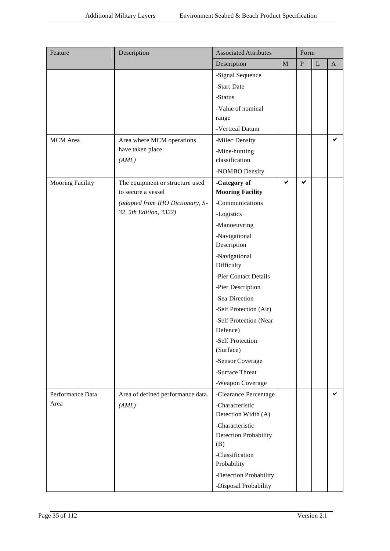| Feature                 | Description                       | <b>Associated Attributes</b>                    |              | Form      |             |             |
|-------------------------|-----------------------------------|-------------------------------------------------|--------------|-----------|-------------|-------------|
|                         |                                   | Description                                     | $\mathbf M$  | ${\bf P}$ | $\mathbf L$ | $\mathbf A$ |
|                         |                                   | -Signal Sequence                                |              |           |             |             |
|                         |                                   | -Start Date                                     |              |           |             |             |
|                         |                                   | -Status                                         |              |           |             |             |
|                         |                                   | -Value of nominal                               |              |           |             |             |
|                         |                                   | range                                           |              |           |             |             |
|                         |                                   | -Vertical Datum                                 |              |           |             |             |
| <b>MCM</b> Area         | Area where MCM operations         | -Milec Density                                  |              |           |             | ✔           |
|                         | have taken place.                 | -Mine-hunting                                   |              |           |             |             |
|                         | (AML)                             | classification                                  |              |           |             |             |
|                         |                                   | -NOMBO Density                                  |              |           |             |             |
| <b>Mooring Facility</b> | The equipment or structure used   | -Category of                                    | $\checkmark$ | ✔         |             |             |
|                         | to secure a vessel                | <b>Mooring Facility</b>                         |              |           |             |             |
|                         | (adapted from IHO Dictionary, S-  | -Communications                                 |              |           |             |             |
|                         | 32, 5th Edition, 3322)            | -Logistics                                      |              |           |             |             |
|                         |                                   | -Manoeuvring                                    |              |           |             |             |
|                         |                                   | -Navigational                                   |              |           |             |             |
|                         |                                   | Description                                     |              |           |             |             |
|                         |                                   | -Navigational                                   |              |           |             |             |
|                         |                                   | Difficulty                                      |              |           |             |             |
|                         |                                   | -Pier Contact Details                           |              |           |             |             |
|                         |                                   | -Pier Description                               |              |           |             |             |
|                         |                                   | -Sea Direction                                  |              |           |             |             |
|                         |                                   | -Self Protection (Air)                          |              |           |             |             |
|                         |                                   | -Self Protection (Near                          |              |           |             |             |
|                         |                                   | Defence)                                        |              |           |             |             |
|                         |                                   | -Self Protection                                |              |           |             |             |
|                         |                                   | (Surface)                                       |              |           |             |             |
|                         |                                   | -Sensor Coverage                                |              |           |             |             |
|                         |                                   | -Surface Threat                                 |              |           |             |             |
|                         |                                   | -Weapon Coverage                                |              |           |             |             |
| Performance Data        | Area of defined performance data. | -Clearance Percentage                           |              |           |             | ✔           |
| Area                    | (AML)                             | -Characteristic<br>Detection Width (A)          |              |           |             |             |
|                         |                                   | -Characteristic<br>Detection Probability<br>(B) |              |           |             |             |
|                         |                                   | -Classification<br>Probability                  |              |           |             |             |
|                         |                                   | -Detection Probability                          |              |           |             |             |
|                         |                                   | -Disposal Probability                           |              |           |             |             |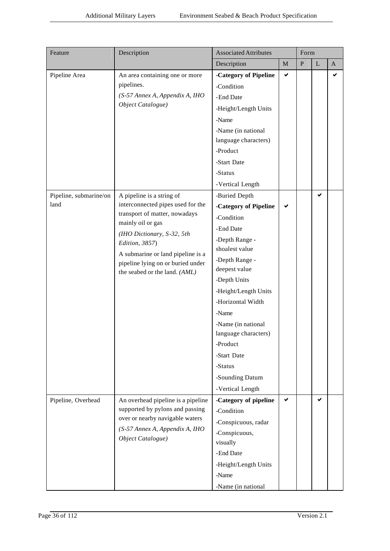| Feature                | Description                                                                                                                                                                                                   | <b>Associated Attributes</b> |              |           | Form         |              |  |  |  |
|------------------------|---------------------------------------------------------------------------------------------------------------------------------------------------------------------------------------------------------------|------------------------------|--------------|-----------|--------------|--------------|--|--|--|
|                        |                                                                                                                                                                                                               | Description                  | M            | ${\bf P}$ | $\mathbf{L}$ | $\mathbf{A}$ |  |  |  |
| Pipeline Area          | An area containing one or more                                                                                                                                                                                | -Category of Pipeline        | $\checkmark$ |           |              | ✔            |  |  |  |
|                        | pipelines.                                                                                                                                                                                                    | -Condition                   |              |           |              |              |  |  |  |
|                        | (S-57 Annex A, Appendix A, IHO                                                                                                                                                                                | -End Date                    |              |           |              |              |  |  |  |
|                        | Object Catalogue)                                                                                                                                                                                             | -Height/Length Units         |              |           |              |              |  |  |  |
|                        |                                                                                                                                                                                                               | -Name                        |              |           |              |              |  |  |  |
|                        |                                                                                                                                                                                                               | -Name (in national           |              |           |              |              |  |  |  |
|                        |                                                                                                                                                                                                               | language characters)         |              |           |              |              |  |  |  |
|                        |                                                                                                                                                                                                               | -Product                     |              |           |              |              |  |  |  |
|                        |                                                                                                                                                                                                               | -Start Date                  |              |           |              |              |  |  |  |
|                        |                                                                                                                                                                                                               | -Status                      |              |           |              |              |  |  |  |
|                        |                                                                                                                                                                                                               | -Vertical Length             |              |           |              |              |  |  |  |
| Pipeline, submarine/on | A pipeline is a string of                                                                                                                                                                                     | -Buried Depth                |              |           | ✔            |              |  |  |  |
| land                   | interconnected pipes used for the                                                                                                                                                                             | -Category of Pipeline        |              |           |              |              |  |  |  |
|                        | transport of matter, nowadays<br>mainly oil or gas<br>(IHO Dictionary, S-32, 5th<br>Edition, 3857)<br>A submarine or land pipeline is a<br>pipeline lying on or buried under<br>the seabed or the land. (AML) | -Condition                   |              |           |              |              |  |  |  |
|                        |                                                                                                                                                                                                               | -End Date                    |              |           |              |              |  |  |  |
|                        |                                                                                                                                                                                                               | -Depth Range -               |              |           |              |              |  |  |  |
|                        |                                                                                                                                                                                                               | shoalest value               |              |           |              |              |  |  |  |
|                        |                                                                                                                                                                                                               | -Depth Range -               |              |           |              |              |  |  |  |
|                        |                                                                                                                                                                                                               | deepest value                |              |           |              |              |  |  |  |
|                        |                                                                                                                                                                                                               | -Depth Units                 |              |           |              |              |  |  |  |
|                        |                                                                                                                                                                                                               | -Height/Length Units         |              |           |              |              |  |  |  |
|                        |                                                                                                                                                                                                               | -Horizontal Width            |              |           |              |              |  |  |  |
|                        |                                                                                                                                                                                                               | -Name                        |              |           |              |              |  |  |  |
|                        |                                                                                                                                                                                                               | -Name (in national           |              |           |              |              |  |  |  |
|                        |                                                                                                                                                                                                               | language characters)         |              |           |              |              |  |  |  |
|                        |                                                                                                                                                                                                               | -Product                     |              |           |              |              |  |  |  |
|                        |                                                                                                                                                                                                               | -Start Date                  |              |           |              |              |  |  |  |
|                        |                                                                                                                                                                                                               | -Status                      |              |           |              |              |  |  |  |
|                        |                                                                                                                                                                                                               | -Sounding Datum              |              |           |              |              |  |  |  |
|                        |                                                                                                                                                                                                               | -Vertical Length             |              |           |              |              |  |  |  |
| Pipeline, Overhead     | An overhead pipeline is a pipeline                                                                                                                                                                            | -Category of pipeline        | ✔            |           | ✔            |              |  |  |  |
|                        | supported by pylons and passing<br>over or nearby navigable waters                                                                                                                                            | -Condition                   |              |           |              |              |  |  |  |
|                        | (S-57 Annex A, Appendix A, IHO                                                                                                                                                                                | -Conspicuous, radar          |              |           |              |              |  |  |  |
|                        | Object Catalogue)                                                                                                                                                                                             | -Conspicuous,                |              |           |              |              |  |  |  |
|                        |                                                                                                                                                                                                               | visually                     |              |           |              |              |  |  |  |
|                        |                                                                                                                                                                                                               | -End Date                    |              |           |              |              |  |  |  |
|                        |                                                                                                                                                                                                               | -Height/Length Units         |              |           |              |              |  |  |  |
|                        |                                                                                                                                                                                                               | -Name                        |              |           |              |              |  |  |  |
|                        |                                                                                                                                                                                                               | -Name (in national           |              |           |              |              |  |  |  |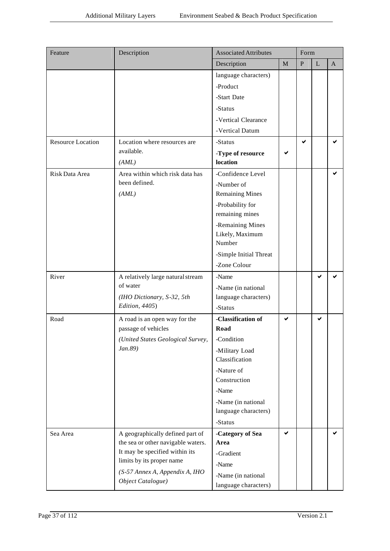| Feature                  | Description                                                 | <b>Associated Attributes</b>               |   | Form      |           |              |
|--------------------------|-------------------------------------------------------------|--------------------------------------------|---|-----------|-----------|--------------|
|                          |                                                             | Description                                | M | ${\bf P}$ | ${\bf L}$ | $\mathbf{A}$ |
|                          |                                                             | language characters)                       |   |           |           |              |
|                          |                                                             | -Product                                   |   |           |           |              |
|                          |                                                             | -Start Date                                |   |           |           |              |
|                          |                                                             | -Status                                    |   |           |           |              |
|                          |                                                             | -Vertical Clearance                        |   |           |           |              |
|                          |                                                             | -Vertical Datum                            |   |           |           |              |
| <b>Resource Location</b> | Location where resources are                                | -Status                                    |   | ✔         |           | ✔            |
|                          | available.                                                  | -Type of resource                          | ✔ |           |           |              |
|                          | (AML)                                                       | location                                   |   |           |           |              |
| Risk Data Area           | Area within which risk data has                             | -Confidence Level                          |   |           |           | ✔            |
|                          | been defined.                                               | -Number of                                 |   |           |           |              |
|                          | (AML)                                                       | <b>Remaining Mines</b>                     |   |           |           |              |
|                          |                                                             | -Probability for                           |   |           |           |              |
|                          |                                                             | remaining mines                            |   |           |           |              |
|                          |                                                             | -Remaining Mines                           |   |           |           |              |
|                          |                                                             | Likely, Maximum<br>Number                  |   |           |           |              |
|                          |                                                             |                                            |   |           |           |              |
|                          |                                                             | -Simple Initial Threat<br>-Zone Colour     |   |           |           |              |
|                          |                                                             |                                            |   |           |           |              |
| River                    | A relatively large natural stream<br>of water               | -Name                                      |   |           | ✔         |              |
|                          | (IHO Dictionary, S-32, 5th                                  | -Name (in national<br>language characters) |   |           |           |              |
|                          | Edition, 4405)                                              | -Status                                    |   |           |           |              |
| Road                     | A road is an open way for the                               | -Classification of                         | ✔ |           | ✔         |              |
|                          | passage of vehicles                                         | Road                                       |   |           |           |              |
|                          | (United States Geological Survey,                           | -Condition                                 |   |           |           |              |
|                          | Jan.89)                                                     | -Military Load                             |   |           |           |              |
|                          |                                                             | Classification                             |   |           |           |              |
|                          |                                                             | -Nature of                                 |   |           |           |              |
|                          |                                                             | Construction                               |   |           |           |              |
|                          |                                                             | -Name                                      |   |           |           |              |
|                          |                                                             | -Name (in national                         |   |           |           |              |
|                          |                                                             | language characters)                       |   |           |           |              |
|                          |                                                             | -Status                                    |   |           |           |              |
| Sea Area                 | A geographically defined part of                            | -Category of Sea                           | ✔ |           |           | ✔            |
|                          | the sea or other navigable waters.                          | Area                                       |   |           |           |              |
|                          | It may be specified within its<br>limits by its proper name | -Gradient                                  |   |           |           |              |
|                          |                                                             | -Name                                      |   |           |           |              |
|                          | (S-57 Annex A, Appendix A, IHO<br>Object Catalogue)         | -Name (in national                         |   |           |           |              |
|                          |                                                             | language characters)                       |   |           |           |              |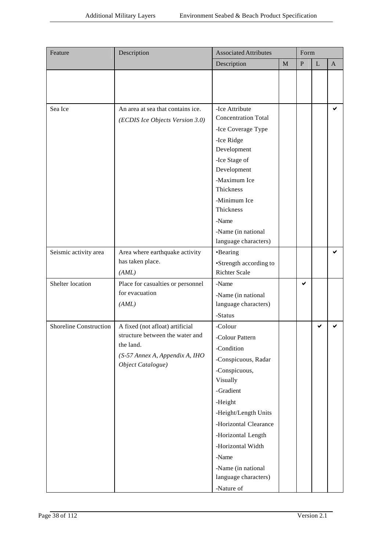| Feature                       | Description<br><b>Associated Attributes</b>                                                                                            |                                                                                                                                                                                                                                                                                       |             | Form      |              |                |
|-------------------------------|----------------------------------------------------------------------------------------------------------------------------------------|---------------------------------------------------------------------------------------------------------------------------------------------------------------------------------------------------------------------------------------------------------------------------------------|-------------|-----------|--------------|----------------|
|                               |                                                                                                                                        | Description                                                                                                                                                                                                                                                                           | $\mathbf M$ | ${\bf P}$ | $\mathbf{L}$ | $\overline{A}$ |
|                               |                                                                                                                                        |                                                                                                                                                                                                                                                                                       |             |           |              |                |
| Sea Ice                       | An area at sea that contains ice.<br>(ECDIS Ice Objects Version 3.0)                                                                   | -Ice Attribute<br><b>Concentration Total</b><br>-Ice Coverage Type<br>-Ice Ridge<br>Development<br>-Ice Stage of<br>Development<br>-Maximum Ice<br>Thickness<br>-Minimum Ice<br>Thickness<br>-Name<br>-Name (in national<br>language characters)                                      |             |           |              | ✔              |
| Seismic activity area         | Area where earthquake activity<br>has taken place.<br>(AML)                                                                            | •Bearing<br>•Strength according to<br><b>Richter Scale</b>                                                                                                                                                                                                                            |             |           |              | ✔              |
| Shelter location              | Place for casualties or personnel<br>for evacuation<br>(AML)                                                                           | -Name<br>-Name (in national<br>language characters)<br>-Status                                                                                                                                                                                                                        |             | ✔         |              |                |
| <b>Shoreline Construction</b> | A fixed (not afloat) artificial<br>structure between the water and<br>the land.<br>(S-57 Annex A, Appendix A, IHO<br>Object Catalogue) | -Colour<br>-Colour Pattern<br>-Condition<br>-Conspicuous, Radar<br>-Conspicuous,<br>Visually<br>-Gradient<br>-Height<br>-Height/Length Units<br>-Horizontal Clearance<br>-Horizontal Length<br>-Horizontal Width<br>-Name<br>-Name (in national<br>language characters)<br>-Nature of |             |           | ✔            |                |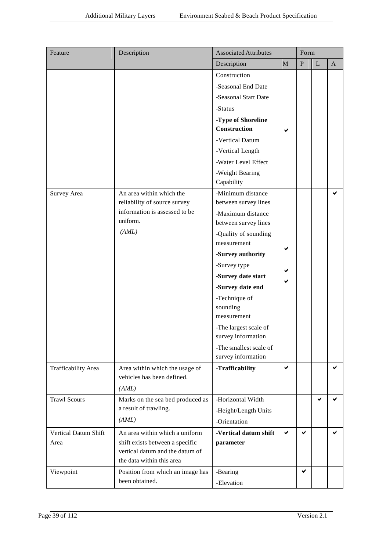| Feature                      | Description                                                                                                                       | <b>Associated Attributes</b>                 |              | Form      |             |              |
|------------------------------|-----------------------------------------------------------------------------------------------------------------------------------|----------------------------------------------|--------------|-----------|-------------|--------------|
|                              |                                                                                                                                   | Description                                  | $\mathbf{M}$ | ${\bf P}$ | $\mathbf L$ | $\mathbf{A}$ |
|                              |                                                                                                                                   | Construction                                 |              |           |             |              |
|                              |                                                                                                                                   | -Seasonal End Date                           |              |           |             |              |
|                              |                                                                                                                                   | -Seasonal Start Date                         |              |           |             |              |
|                              |                                                                                                                                   | -Status                                      |              |           |             |              |
|                              |                                                                                                                                   | -Type of Shoreline<br>Construction           |              |           |             |              |
|                              |                                                                                                                                   | -Vertical Datum                              |              |           |             |              |
|                              |                                                                                                                                   | -Vertical Length                             |              |           |             |              |
|                              |                                                                                                                                   | -Water Level Effect                          |              |           |             |              |
|                              |                                                                                                                                   | -Weight Bearing                              |              |           |             |              |
|                              |                                                                                                                                   | Capability                                   |              |           |             |              |
| Survey Area                  | An area within which the<br>reliability of source survey                                                                          | -Minimum distance<br>between survey lines    |              |           |             | ✔            |
|                              | information is assessed to be                                                                                                     | -Maximum distance                            |              |           |             |              |
|                              | uniform.                                                                                                                          | between survey lines                         |              |           |             |              |
|                              | (AML)                                                                                                                             | -Quality of sounding                         |              |           |             |              |
|                              |                                                                                                                                   | measurement                                  | ✔            |           |             |              |
|                              |                                                                                                                                   | -Survey authority                            |              |           |             |              |
|                              |                                                                                                                                   | -Survey type                                 |              |           |             |              |
|                              |                                                                                                                                   | -Survey date start                           |              |           |             |              |
|                              |                                                                                                                                   | -Survey date end                             |              |           |             |              |
|                              |                                                                                                                                   | -Technique of<br>sounding<br>measurement     |              |           |             |              |
|                              |                                                                                                                                   | -The largest scale of<br>survey information  |              |           |             |              |
|                              |                                                                                                                                   | -The smallest scale of<br>survey information |              |           |             |              |
| Trafficability Area          | Area within which the usage of<br>vehicles has been defined.<br>(AML)                                                             | -Trafficability                              | $\checkmark$ |           |             | ✔            |
| <b>Trawl Scours</b>          | Marks on the sea bed produced as                                                                                                  | -Horizontal Width                            |              |           | ✔           | ✔            |
|                              | a result of trawling.                                                                                                             | -Height/Length Units                         |              |           |             |              |
|                              | (AML)                                                                                                                             | -Orientation                                 |              |           |             |              |
| Vertical Datum Shift<br>Area | An area within which a uniform<br>shift exists between a specific<br>vertical datum and the datum of<br>the data within this area | -Vertical datum shift<br>parameter           | ✔            | ✔         |             | ✔            |
| Viewpoint                    | Position from which an image has                                                                                                  | -Bearing                                     |              | ✔         |             |              |
|                              | been obtained.                                                                                                                    | -Elevation                                   |              |           |             |              |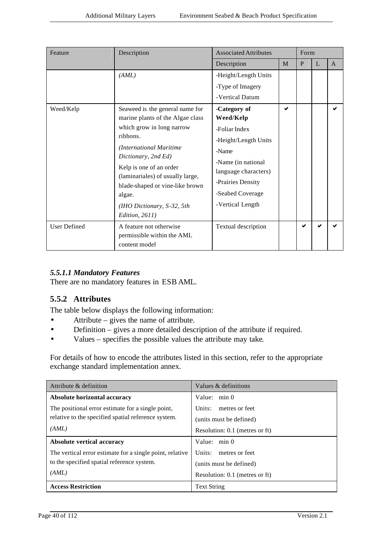| Feature             | Description                                                                                                                                                                                                                                                                                                                   | <b>Associated Attributes</b>                                                                                                                                                           |   | Form |   |   |
|---------------------|-------------------------------------------------------------------------------------------------------------------------------------------------------------------------------------------------------------------------------------------------------------------------------------------------------------------------------|----------------------------------------------------------------------------------------------------------------------------------------------------------------------------------------|---|------|---|---|
|                     |                                                                                                                                                                                                                                                                                                                               | Description                                                                                                                                                                            | M | P    | L | A |
|                     | (AML)                                                                                                                                                                                                                                                                                                                         | -Height/Length Units                                                                                                                                                                   |   |      |   |   |
|                     |                                                                                                                                                                                                                                                                                                                               | -Type of Imagery                                                                                                                                                                       |   |      |   |   |
|                     |                                                                                                                                                                                                                                                                                                                               | -Vertical Datum                                                                                                                                                                        |   |      |   |   |
| Weed/Kelp           | Seaweed is the general name for<br>marine plants of the Algae class<br>which grow in long narrow<br>ribbons.<br>(International Maritime<br>Dictionary, 2nd Ed)<br>Kelp is one of an order<br>(laminariales) of usually large,<br>blade-shaped or vine-like brown<br>algae.<br>(IHO Dictionary, S-32, 5th<br>Edition, $2611$ ) | -Category of<br>Weed/Kelp<br>-Foliar Index<br>-Height/Length Units<br>-Name<br>-Name (in national<br>language characters)<br>-Prairies Density<br>-Seabed Coverage<br>-Vertical Length | ✔ |      |   |   |
| <b>User Defined</b> | A feature not otherwise<br>permissible within the AML<br>content model                                                                                                                                                                                                                                                        | Textual description                                                                                                                                                                    |   | ✔    |   |   |

## *5.5.1.1 Mandatory Features*

There are no mandatory features in ESB AML.

## **5.5.2 Attributes**

The table below displays the following information:

- Attribute gives the name of attribute.
- Definition gives a more detailed description of the attribute if required.
- Values specifies the possible values the attribute may take.

For details of how to encode the attributes listed in this section, refer to the appropriate exchange standard implementation annex.

| Attribute & definition                                   | Values & definitions           |
|----------------------------------------------------------|--------------------------------|
| Absolute horizontal accuracy                             | Value: $min 0$                 |
| The positional error estimate for a single point,        | metres or feet<br>Units:       |
| relative to the specified spatial reference system.      | (units must be defined)        |
| (AML)                                                    | Resolution: 0.1 (metres or ft) |
| <b>Absolute vertical accuracy</b>                        | Value: $min 0$                 |
| The vertical error estimate for a single point, relative | Units:<br>metres or feet       |
| to the specified spatial reference system.               | (units must be defined)        |
| (AML)                                                    | Resolution: 0.1 (metres or ft) |
| <b>Access Restriction</b>                                | <b>Text String</b>             |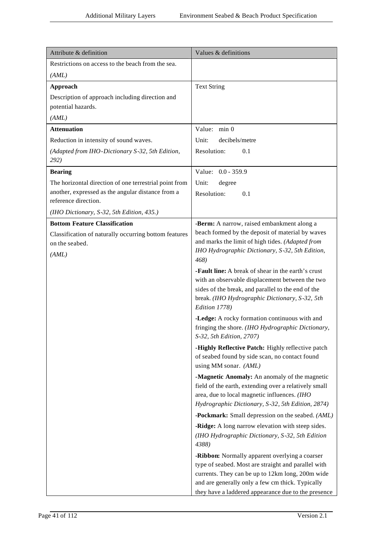| Attribute & definition                                                    | Values & definitions                                                                                                                                                                                                                                                 |
|---------------------------------------------------------------------------|----------------------------------------------------------------------------------------------------------------------------------------------------------------------------------------------------------------------------------------------------------------------|
| Restrictions on access to the beach from the sea.                         |                                                                                                                                                                                                                                                                      |
| (AML)                                                                     |                                                                                                                                                                                                                                                                      |
| Approach                                                                  | <b>Text String</b>                                                                                                                                                                                                                                                   |
| Description of approach including direction and                           |                                                                                                                                                                                                                                                                      |
| potential hazards.                                                        |                                                                                                                                                                                                                                                                      |
| (AML)                                                                     |                                                                                                                                                                                                                                                                      |
| <b>Attenuation</b>                                                        | Value: min 0                                                                                                                                                                                                                                                         |
| Reduction in intensity of sound waves.                                    | Unit:<br>decibels/metre                                                                                                                                                                                                                                              |
| (Adapted from IHO-Dictionary S-32, 5th Edition,<br>292)                   | Resolution:<br>0.1                                                                                                                                                                                                                                                   |
| <b>Bearing</b>                                                            | Value: 0.0 - 359.9                                                                                                                                                                                                                                                   |
| The horizontal direction of one terrestrial point from                    | Unit:<br>degree                                                                                                                                                                                                                                                      |
| another, expressed as the angular distance from a<br>reference direction. | Resolution:<br>0.1                                                                                                                                                                                                                                                   |
| (IHO Dictionary, S-32, 5th Edition, 435.)                                 |                                                                                                                                                                                                                                                                      |
| <b>Bottom Feature Classification</b>                                      | -Berm: A narrow, raised embankment along a                                                                                                                                                                                                                           |
| Classification of naturally occurring bottom features                     | beach formed by the deposit of material by waves                                                                                                                                                                                                                     |
| on the seabed.                                                            | and marks the limit of high tides. (Adapted from<br>IHO Hydrographic Dictionary, S-32, 5th Edition,                                                                                                                                                                  |
| (AML)                                                                     | 468)                                                                                                                                                                                                                                                                 |
|                                                                           | <b>-Fault line:</b> A break of shear in the earth's crust<br>with an observable displacement between the two<br>sides of the break, and parallel to the end of the<br>break. (IHO Hydrographic Dictionary, S-32, 5th<br>Edition 1778)                                |
|                                                                           | -Ledge: A rocky formation continuous with and<br>fringing the shore. (IHO Hydrographic Dictionary,<br>S-32, 5th Edition, 2707)                                                                                                                                       |
|                                                                           | -Highly Reflective Patch: Highly reflective patch<br>of seabed found by side scan, no contact found<br>using MM sonar. (AML)                                                                                                                                         |
|                                                                           | -Magnetic Anomaly: An anomaly of the magnetic<br>field of the earth, extending over a relatively small<br>area, due to local magnetic influences. (IHO<br>Hydrographic Dictionary, S-32, 5th Edition, 2874)                                                          |
|                                                                           | <b>-Pockmark:</b> Small depression on the seabed. (AML)                                                                                                                                                                                                              |
|                                                                           | -Ridge: A long narrow elevation with steep sides.<br>(IHO Hydrographic Dictionary, S-32, 5th Edition<br>4388)                                                                                                                                                        |
|                                                                           | -Ribbon: Normally apparent overlying a coarser<br>type of seabed. Most are straight and parallel with<br>currents. They can be up to 12km long, 200m wide<br>and are generally only a few cm thick. Typically<br>they have a laddered appearance due to the presence |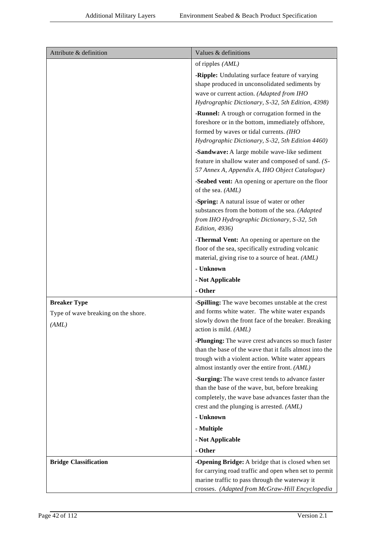| Attribute & definition                                              | Values & definitions                                                                                                                                                                                                      |
|---------------------------------------------------------------------|---------------------------------------------------------------------------------------------------------------------------------------------------------------------------------------------------------------------------|
|                                                                     | of ripples (AML)                                                                                                                                                                                                          |
|                                                                     | -Ripple: Undulating surface feature of varying<br>shape produced in unconsolidated sediments by<br>wave or current action. (Adapted from IHO<br>Hydrographic Dictionary, S-32, 5th Edition, 4398)                         |
|                                                                     | -Runnel: A trough or corrugation formed in the<br>foreshore or in the bottom, immediately offshore,<br>formed by waves or tidal currents. (IHO<br>Hydrographic Dictionary, S-32, 5th Edition 4460)                        |
|                                                                     | -Sandwave: A large mobile wave-like sediment<br>feature in shallow water and composed of sand. (S-<br>57 Annex A, Appendix A, IHO Object Catalogue)                                                                       |
|                                                                     | -Seabed vent: An opening or aperture on the floor<br>of the sea. (AML)                                                                                                                                                    |
|                                                                     | -Spring: A natural issue of water or other<br>substances from the bottom of the sea. (Adapted<br>from IHO Hydrographic Dictionary, S-32, 5th<br>Edition, 4936)                                                            |
|                                                                     | -Thermal Vent: An opening or aperture on the                                                                                                                                                                              |
|                                                                     | floor of the sea, specifically extruding volcanic                                                                                                                                                                         |
|                                                                     | material, giving rise to a source of heat. (AML)                                                                                                                                                                          |
|                                                                     | - Unknown                                                                                                                                                                                                                 |
|                                                                     | - Not Applicable                                                                                                                                                                                                          |
|                                                                     | - Other                                                                                                                                                                                                                   |
| <b>Breaker Type</b><br>Type of wave breaking on the shore.<br>(AML) | -Spilling: The wave becomes unstable at the crest<br>and forms white water. The white water expands<br>slowly down the front face of the breaker. Breaking<br>action is mild. (AML)                                       |
|                                                                     | <b>-Plunging:</b> The wave crest advances so much faster<br>than the base of the wave that it falls almost into the<br>trough with a violent action. White water appears<br>almost instantly over the entire front. (AML) |
|                                                                     | -Surging: The wave crest tends to advance faster<br>than the base of the wave, but, before breaking<br>completely, the wave base advances faster than the<br>crest and the plunging is arrested. (AML)                    |
|                                                                     | - Unknown                                                                                                                                                                                                                 |
|                                                                     | - Multiple                                                                                                                                                                                                                |
|                                                                     | - Not Applicable                                                                                                                                                                                                          |
|                                                                     | - Other                                                                                                                                                                                                                   |
| <b>Bridge Classification</b>                                        | -Opening Bridge: A bridge that is closed when set<br>for carrying road traffic and open when set to permit<br>marine traffic to pass through the waterway it<br>crosses. (Adapted from McGraw-Hill Encyclopedia           |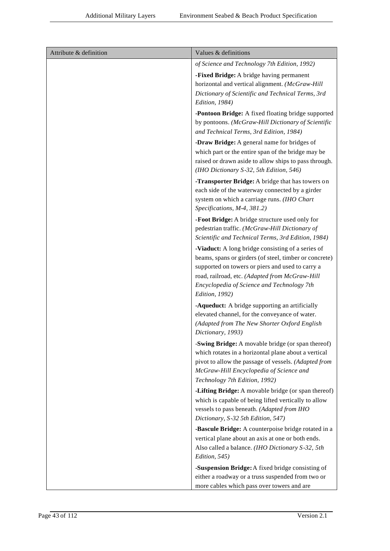| Attribute & definition | Values & definitions                                                                                                                                                                                                                                                              |
|------------------------|-----------------------------------------------------------------------------------------------------------------------------------------------------------------------------------------------------------------------------------------------------------------------------------|
|                        | of Science and Technology 7th Edition, 1992)                                                                                                                                                                                                                                      |
|                        | -Fixed Bridge: A bridge having permanent<br>horizontal and vertical alignment. (McGraw-Hill<br>Dictionary of Scientific and Technical Terms, 3rd<br>Edition, 1984)                                                                                                                |
|                        | -Pontoon Bridge: A fixed floating bridge supported<br>by pontoons. (McGraw-Hill Dictionary of Scientific<br>and Technical Terms, 3rd Edition, 1984)                                                                                                                               |
|                        | -Draw Bridge: A general name for bridges of<br>which part or the entire span of the bridge may be<br>raised or drawn aside to allow ships to pass through.<br>(IHO Dictionary S-32, 5th Edition, 546)                                                                             |
|                        | -Transporter Bridge: A bridge that has towers on<br>each side of the waterway connected by a girder<br>system on which a carriage runs. (IHO Chart<br>Specifications, M-4, 381.2)                                                                                                 |
|                        | -Foot Bridge: A bridge structure used only for<br>pedestrian traffic. (McGraw-Hill Dictionary of<br>Scientific and Technical Terms, 3rd Edition, 1984)                                                                                                                            |
|                        | -Viaduct: A long bridge consisting of a series of<br>beams, spans or girders (of steel, timber or concrete)<br>supported on towers or piers and used to carry a<br>road, railroad, etc. (Adapted from McGraw-Hill<br>Encyclopedia of Science and Technology 7th<br>Edition, 1992) |
|                        | -Aqueduct: A bridge supporting an artificially<br>elevated channel, for the conveyance of water.<br>(Adapted from The New Shorter Oxford English<br>Dictionary, 1993)                                                                                                             |
|                        | -Swing Bridge: A movable bridge (or span thereof)<br>which rotates in a horizontal plane about a vertical<br>pivot to allow the passage of vessels. (Adapted from<br>McGraw-Hill Encyclopedia of Science and<br>Technology 7th Edition, 1992)                                     |
|                        | -Lifting Bridge: A movable bridge (or span thereof)<br>which is capable of being lifted vertically to allow<br>vessels to pass beneath. (Adapted from IHO<br>Dictionary, S-32 5th Edition, 547)                                                                                   |
|                        | -Bascule Bridge: A counterpoise bridge rotated in a<br>vertical plane about an axis at one or both ends.<br>Also called a balance. (IHO Dictionary S-32, 5th<br>Edition, 545)                                                                                                     |
|                        | -Suspension Bridge: A fixed bridge consisting of<br>either a roadway or a truss suspended from two or<br>more cables which pass over towers and are                                                                                                                               |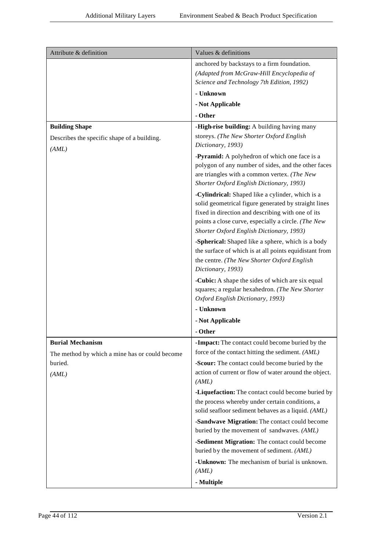| Attribute & definition                                                    | Values & definitions                                                                                                                                                                                                                                             |
|---------------------------------------------------------------------------|------------------------------------------------------------------------------------------------------------------------------------------------------------------------------------------------------------------------------------------------------------------|
|                                                                           | anchored by backstays to a firm foundation.<br>(Adapted from McGraw-Hill Encyclopedia of<br>Science and Technology 7th Edition, 1992)                                                                                                                            |
|                                                                           | - Unknown                                                                                                                                                                                                                                                        |
|                                                                           | - Not Applicable                                                                                                                                                                                                                                                 |
|                                                                           | - Other                                                                                                                                                                                                                                                          |
| <b>Building Shape</b><br>Describes the specific shape of a building.      | -High-rise building: A building having many<br>storeys. (The New Shorter Oxford English<br>Dictionary, 1993)                                                                                                                                                     |
| (AML)                                                                     | -Pyramid: A polyhedron of which one face is a<br>polygon of any number of sides, and the other faces<br>are triangles with a common vertex. (The New<br>Shorter Oxford English Dictionary, 1993)                                                                 |
|                                                                           | -Cylindrical: Shaped like a cylinder, which is a<br>solid geometrical figure generated by straight lines<br>fixed in direction and describing with one of its<br>points a close curve, especially a circle. (The New<br>Shorter Oxford English Dictionary, 1993) |
|                                                                           | -Spherical: Shaped like a sphere, which is a body<br>the surface of which is at all points equidistant from<br>the centre. (The New Shorter Oxford English<br>Dictionary, 1993)                                                                                  |
|                                                                           | -Cubic: A shape the sides of which are six equal<br>squares; a regular hexahedron. (The New Shorter<br>Oxford English Dictionary, 1993)                                                                                                                          |
|                                                                           | - Unknown                                                                                                                                                                                                                                                        |
|                                                                           | - Not Applicable                                                                                                                                                                                                                                                 |
|                                                                           | - Other                                                                                                                                                                                                                                                          |
| <b>Burial Mechanism</b><br>The method by which a mine has or could become | -Impact: The contact could become buried by the<br>force of the contact hitting the sediment. (AML)                                                                                                                                                              |
| buried.<br>(AML)                                                          | -Scour: The contact could become buried by the<br>action of current or flow of water around the object.<br>(AML)                                                                                                                                                 |
|                                                                           | -Liquefaction: The contact could become buried by<br>the process whereby under certain conditions, a<br>solid seafloor sediment behaves as a liquid. (AML)                                                                                                       |
|                                                                           | -Sandwave Migration: The contact could become<br>buried by the movement of sandwaves. (AML)                                                                                                                                                                      |
|                                                                           | -Sediment Migration: The contact could become<br>buried by the movement of sediment. (AML)                                                                                                                                                                       |
|                                                                           | - <b>Unknown:</b> The mechanism of burial is unknown.<br>(AML)                                                                                                                                                                                                   |
|                                                                           | - Multiple                                                                                                                                                                                                                                                       |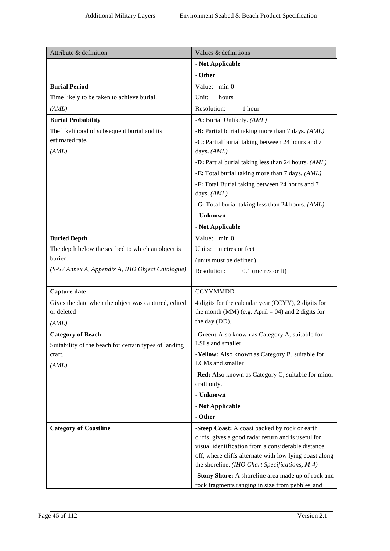| Attribute & definition                                            | Values & definitions                                                                                  |
|-------------------------------------------------------------------|-------------------------------------------------------------------------------------------------------|
|                                                                   | - Not Applicable                                                                                      |
|                                                                   | - Other                                                                                               |
| <b>Burial Period</b>                                              | Value: min 0                                                                                          |
| Time likely to be taken to achieve burial.                        | Unit:<br>hours                                                                                        |
| (AML)                                                             | Resolution:<br>1 hour                                                                                 |
| <b>Burial Probability</b>                                         | -A: Burial Unlikely. (AML)                                                                            |
| The likelihood of subsequent burial and its                       | -B: Partial burial taking more than 7 days. (AML)                                                     |
| estimated rate.<br>(AML)                                          | -C: Partial burial taking between 24 hours and 7<br>days. (AML)                                       |
|                                                                   | -D: Partial burial taking less than 24 hours. (AML)                                                   |
|                                                                   | -E: Total burial taking more than 7 days. (AML)                                                       |
|                                                                   | -F: Total Burial taking between 24 hours and 7<br>days. (AML)                                         |
|                                                                   | -G: Total burial taking less than 24 hours. (AML)                                                     |
|                                                                   | - Unknown                                                                                             |
|                                                                   | - Not Applicable                                                                                      |
| <b>Buried Depth</b>                                               | Value: min 0                                                                                          |
| The depth below the sea bed to which an object is                 | Units:<br>metres or feet                                                                              |
| buried.                                                           | (units must be defined)                                                                               |
| (S-57 Annex A, Appendix A, IHO Object Catalogue)                  | Resolution:<br>$0.1$ (metres or ft)                                                                   |
|                                                                   |                                                                                                       |
| Capture date                                                      | <b>CCYYMMDD</b>                                                                                       |
| Gives the date when the object was captured, edited<br>or deleted | 4 digits for the calendar year (CCYY), 2 digits for                                                   |
|                                                                   | the month (MM) (e.g. April = 04) and 2 digits for<br>the day (DD).                                    |
| (AML)<br><b>Category of Beach</b>                                 | -Green: Also known as Category A, suitable for                                                        |
| Suitability of the beach for certain types of landing             | LSLs and smaller                                                                                      |
| craft.                                                            | -Yellow: Also known as Category B, suitable for                                                       |
| (AML)                                                             | LCMs and smaller                                                                                      |
|                                                                   | -Red: Also known as Category C, suitable for minor                                                    |
|                                                                   | craft only.                                                                                           |
|                                                                   | - Unknown                                                                                             |
|                                                                   | - Not Applicable                                                                                      |
|                                                                   | - Other                                                                                               |
| <b>Category of Coastline</b>                                      | -Steep Coast: A coast backed by rock or earth<br>cliffs, gives a good radar return and is useful for  |
|                                                                   | visual identification from a considerable distance                                                    |
|                                                                   | off, where cliffs alternate with low lying coast along                                                |
|                                                                   | the shoreline. (IHO Chart Specifications, M-4)                                                        |
|                                                                   | -Stony Shore: A shoreline area made up of rock and<br>rock fragments ranging in size from pebbles and |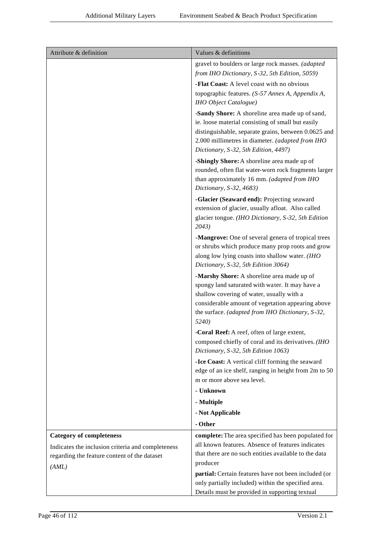| Attribute & definition                                                                                     | Values & definitions                                                                                                                                                                                                                                         |
|------------------------------------------------------------------------------------------------------------|--------------------------------------------------------------------------------------------------------------------------------------------------------------------------------------------------------------------------------------------------------------|
|                                                                                                            | gravel to boulders or large rock masses. (adapted                                                                                                                                                                                                            |
|                                                                                                            | from IHO Dictionary, S-32, 5th Edition, 5059)                                                                                                                                                                                                                |
|                                                                                                            | -Flat Coast: A level coast with no obvious                                                                                                                                                                                                                   |
|                                                                                                            | topographic features. (S-57 Annex A, Appendix A,<br><b>IHO</b> Object Catalogue)                                                                                                                                                                             |
|                                                                                                            | -Sandy Shore: A shoreline area made up of sand,<br>ie. loose material consisting of small but easily<br>distinguishable, separate grains, between 0.0625 and<br>2.000 millimetres in diameter. (adapted from IHO<br>Dictionary, S-32, 5th Edition, 4497)     |
|                                                                                                            | -Shingly Shore: A shoreline area made up of<br>rounded, often flat water-worn rock fragments larger<br>than approximately 16 mm. (adapted from IHO<br>Dictionary, S-32, 4683)                                                                                |
|                                                                                                            | -Glacier (Seaward end): Projecting seaward<br>extension of glacier, usually afloat. Also called<br>glacier tongue. (IHO Dictionary, S-32, 5th Edition<br>2043)                                                                                               |
|                                                                                                            | -Mangrove: One of several genera of tropical trees<br>or shrubs which produce many prop roots and grow<br>along low lying coasts into shallow water. (IHO<br>Dictionary, S-32, 5th Edition 3064)                                                             |
|                                                                                                            | -Marshy Shore: A shoreline area made up of<br>spongy land saturated with water. It may have a<br>shallow covering of water, usually with a<br>considerable amount of vegetation appearing above<br>the surface. (adapted from IHO Dictionary, S-32,<br>5240) |
|                                                                                                            | -Coral Reef: A reef, often of large extent,<br>composed chiefly of coral and its derivatives. (IHO<br>Dictionary, S-32, 5th Edition 1063)                                                                                                                    |
|                                                                                                            | -Ice Coast: A vertical cliff forming the seaward<br>edge of an ice shelf, ranging in height from 2m to 50<br>m or more above sea level.                                                                                                                      |
|                                                                                                            | - Unknown                                                                                                                                                                                                                                                    |
|                                                                                                            | - Multiple                                                                                                                                                                                                                                                   |
|                                                                                                            | - Not Applicable                                                                                                                                                                                                                                             |
|                                                                                                            | - Other                                                                                                                                                                                                                                                      |
| <b>Category of completeness</b>                                                                            | complete: The area specified has been populated for                                                                                                                                                                                                          |
| Indicates the inclusion criteria and completeness<br>regarding the feature content of the dataset<br>(AML) | all known features. Absence of features indicates<br>that there are no such entities available to the data<br>producer                                                                                                                                       |
|                                                                                                            | partial: Certain features have not been included (or<br>only partially included) within the specified area.<br>Details must be provided in supporting textual                                                                                                |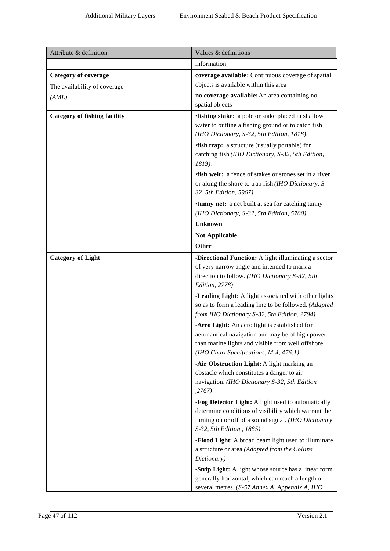| Attribute & definition                                      | Values & definitions                                                                                                                                                                              |
|-------------------------------------------------------------|---------------------------------------------------------------------------------------------------------------------------------------------------------------------------------------------------|
|                                                             | information                                                                                                                                                                                       |
| <b>Category of coverage</b><br>The availability of coverage | coverage available: Continuous coverage of spatial<br>objects is available within this area                                                                                                       |
| (AML)                                                       | no coverage available: An area containing no<br>spatial objects                                                                                                                                   |
| <b>Category of fishing facility</b>                         | <b>fishing stake:</b> a pole or stake placed in shallow<br>water to outline a fishing ground or to catch fish<br>(IHO Dictionary, S-32, 5th Edition, 1818).                                       |
|                                                             | <b>fish trap:</b> a structure (usually portable) for<br>catching fish (IHO Dictionary, S-32, 5th Edition,<br>1819).                                                                               |
|                                                             | <b>fish weir:</b> a fence of stakes or stones set in a river<br>or along the shore to trap fish (IHO Dictionary, S-<br>32, 5th Edition, 5967).                                                    |
|                                                             | <b>tunny net:</b> a net built at sea for catching tunny<br>(IHO Dictionary, S-32, 5th Edition, 5700).                                                                                             |
|                                                             | <b>Unknown</b>                                                                                                                                                                                    |
|                                                             | <b>Not Applicable</b>                                                                                                                                                                             |
|                                                             | <b>Other</b>                                                                                                                                                                                      |
| <b>Category of Light</b>                                    | -Directional Function: A light illuminating a sector<br>of very narrow angle and intended to mark a<br>direction to follow. (IHO Dictionary S-32, 5th<br>Edition, 2778)                           |
|                                                             | -Leading Light: A light associated with other lights<br>so as to form a leading line to be followed. (Adapted<br>from IHO Dictionary S-32, 5th Edition, 2794)                                     |
|                                                             | -Aero Light: An aero light is established for<br>aeronautical navigation and may be of high power<br>than marine lights and visible from well offshore.<br>(IHO Chart Specifications, M-4, 476.1) |
|                                                             | -Air Obstruction Light: A light marking an<br>obstacle which constitutes a danger to air<br>navigation. (IHO Dictionary S-32, 5th Edition<br>,2767)                                               |
|                                                             | -Fog Detector Light: A light used to automatically<br>determine conditions of visibility which warrant the<br>turning on or off of a sound signal. (IHO Dictionary<br>S-32, 5th Edition, 1885)    |
|                                                             | -Flood Light: A broad beam light used to illuminate<br>a structure or area (Adapted from the Collins<br>Dictionary)                                                                               |
|                                                             | -Strip Light: A light whose source has a linear form<br>generally horizontal, which can reach a length of<br>several metres. (S-57 Annex A, Appendix A, IHO                                       |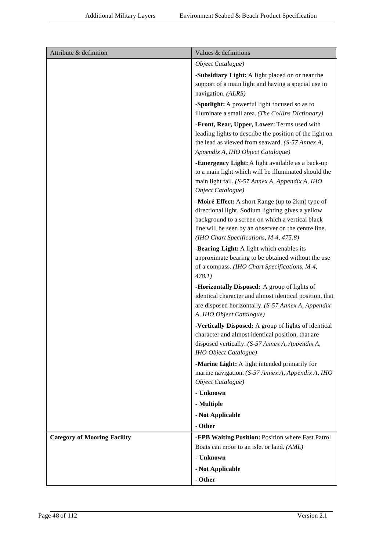| Attribute & definition              | Values & definitions                                                                                                                                                                                                                                        |
|-------------------------------------|-------------------------------------------------------------------------------------------------------------------------------------------------------------------------------------------------------------------------------------------------------------|
|                                     | Object Catalogue)                                                                                                                                                                                                                                           |
|                                     | -Subsidiary Light: A light placed on or near the<br>support of a main light and having a special use in<br>navigation. (ALRS)                                                                                                                               |
|                                     | -Spotlight: A powerful light focused so as to<br>illuminate a small area. (The Collins Dictionary)                                                                                                                                                          |
|                                     | -Front, Rear, Upper, Lower: Terms used with<br>leading lights to describe the position of the light on<br>the lead as viewed from seaward. (S-57 Annex A,<br>Appendix A, IHO Object Catalogue)                                                              |
|                                     | -Emergency Light: A light available as a back-up<br>to a main light which will be illuminated should the<br>main light fail. (S-57 Annex A, Appendix A, IHO<br>Object Catalogue)                                                                            |
|                                     | -Moiré Effect: A short Range (up to 2km) type of<br>directional light. Sodium lighting gives a yellow<br>background to a screen on which a vertical black<br>line will be seen by an observer on the centre line.<br>(IHO Chart Specifications, M-4, 475.8) |
|                                     | -Bearing Light: A light which enables its<br>approximate bearing to be obtained without the use<br>of a compass. (IHO Chart Specifications, M-4,<br>478.1)                                                                                                  |
|                                     | -Horizontally Disposed: A group of lights of<br>identical character and almost identical position, that<br>are disposed horizontally. (S-57 Annex A, Appendix<br>A, IHO Object Catalogue)                                                                   |
|                                     | -Vertically Disposed: A group of lights of identical<br>character and almost identical position, that are<br>disposed vertically. (S-57 Annex A, Appendix A,<br><b>IHO</b> Object Catalogue)                                                                |
|                                     | -Marine Light: A light intended primarily for<br>marine navigation. (S-57 Annex A, Appendix A, IHO<br>Object Catalogue)<br>- Unknown                                                                                                                        |
|                                     | - Multiple                                                                                                                                                                                                                                                  |
|                                     | - Not Applicable                                                                                                                                                                                                                                            |
|                                     | - Other                                                                                                                                                                                                                                                     |
| <b>Category of Mooring Facility</b> | -FPB Waiting Position: Position where Fast Patrol                                                                                                                                                                                                           |
|                                     | Boats can moor to an islet or land. (AML)                                                                                                                                                                                                                   |
|                                     | - Unknown                                                                                                                                                                                                                                                   |
|                                     | - Not Applicable                                                                                                                                                                                                                                            |
|                                     | - Other                                                                                                                                                                                                                                                     |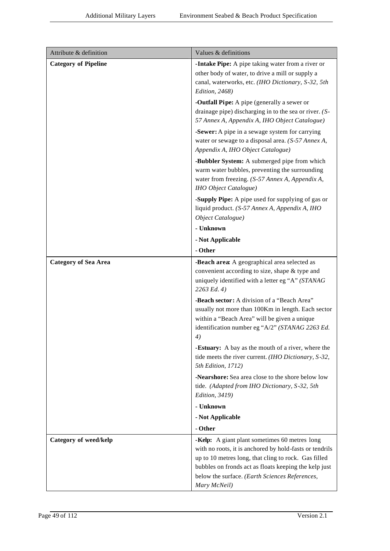| Attribute & definition      | Values & definitions                                                                                                                                                                                                                                                                        |
|-----------------------------|---------------------------------------------------------------------------------------------------------------------------------------------------------------------------------------------------------------------------------------------------------------------------------------------|
| <b>Category of Pipeline</b> | -Intake Pipe: A pipe taking water from a river or<br>other body of water, to drive a mill or supply a<br>canal, waterworks, etc. (IHO Dictionary, S-32, 5th<br>Edition, 2468)                                                                                                               |
|                             | -Outfall Pipe: A pipe (generally a sewer or<br>drainage pipe) discharging in to the sea or river. (S-<br>57 Annex A, Appendix A, IHO Object Catalogue)                                                                                                                                      |
|                             | -Sewer: A pipe in a sewage system for carrying<br>water or sewage to a disposal area. (S-57 Annex A,<br>Appendix A, IHO Object Catalogue)                                                                                                                                                   |
|                             | -Bubbler System: A submerged pipe from which<br>warm water bubbles, preventing the surrounding<br>water from freezing. (S-57 Annex A, Appendix A,<br><b>IHO</b> Object Catalogue)                                                                                                           |
|                             | -Supply Pipe: A pipe used for supplying of gas or<br>liquid product. (S-57 Annex A, Appendix A, IHO<br>Object Catalogue)                                                                                                                                                                    |
|                             | - Unknown                                                                                                                                                                                                                                                                                   |
|                             | - Not Applicable                                                                                                                                                                                                                                                                            |
|                             | - Other                                                                                                                                                                                                                                                                                     |
| <b>Category of Sea Area</b> | -Beach area: A geographical area selected as<br>convenient according to size, shape & type and<br>uniquely identified with a letter eg "A" (STANAG<br>2263 Ed. 4)                                                                                                                           |
|                             | -Beach sector: A division of a "Beach Area"<br>usually not more than 100Km in length. Each sector<br>within a "Beach Area" will be given a unique<br>identification number eg "A/2" (STANAG 2263 Ed.<br>$\boldsymbol{\mathcal{A}})$                                                         |
|                             | <b>-Estuary:</b> A bay as the mouth of a river, where the<br>tide meets the river current. (IHO Dictionary, S-32,<br>5th Edition, 1712)                                                                                                                                                     |
|                             | -Nearshore: Sea area close to the shore below low<br>tide. (Adapted from IHO Dictionary, S-32, 5th<br>Edition, 3419)                                                                                                                                                                        |
|                             | - Unknown                                                                                                                                                                                                                                                                                   |
|                             | - Not Applicable                                                                                                                                                                                                                                                                            |
|                             | - Other                                                                                                                                                                                                                                                                                     |
| Category of weed/kelp       | -Kelp: A giant plant sometimes 60 metres long<br>with no roots, it is anchored by hold-fasts or tendrils<br>up to 10 metres long, that cling to rock. Gas filled<br>bubbles on fronds act as floats keeping the kelp just<br>below the surface. (Earth Sciences References,<br>Mary McNeil) |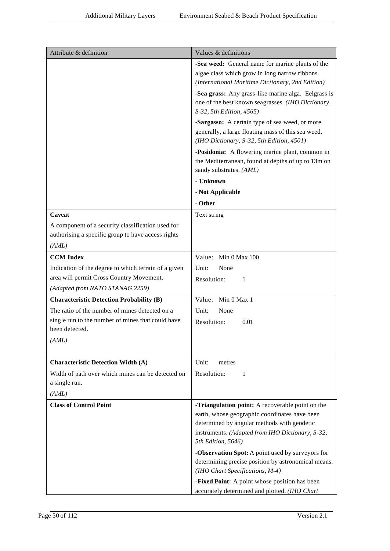| Attribute & definition                                              | Values & definitions                                                                                                                              |
|---------------------------------------------------------------------|---------------------------------------------------------------------------------------------------------------------------------------------------|
|                                                                     | -Sea weed: General name for marine plants of the                                                                                                  |
|                                                                     | algae class which grow in long narrow ribbons.                                                                                                    |
|                                                                     | (International Maritime Dictionary, 2nd Edition)                                                                                                  |
|                                                                     | -Sea grass: Any grass-like marine alga. Eelgrass is<br>one of the best known seagrasses. (IHO Dictionary,                                         |
|                                                                     | S-32, 5th Edition, 4565)                                                                                                                          |
|                                                                     | -Sargasso: A certain type of sea weed, or more<br>generally, a large floating mass of this sea weed.<br>(IHO Dictionary, S-32, 5th Edition, 4501) |
|                                                                     | -Posidonia: A flowering marine plant, common in<br>the Mediterranean, found at depths of up to 13m on<br>sandy substrates. (AML)                  |
|                                                                     | - Unknown                                                                                                                                         |
|                                                                     | - Not Applicable                                                                                                                                  |
|                                                                     | - Other                                                                                                                                           |
| Caveat                                                              | Text string                                                                                                                                       |
| A component of a security classification used for                   |                                                                                                                                                   |
| authorising a specific group to have access rights                  |                                                                                                                                                   |
| (AML)                                                               |                                                                                                                                                   |
| <b>CCM</b> Index                                                    | Value: Min 0 Max 100                                                                                                                              |
| Indication of the degree to which terrain of a given                | Unit:<br>None                                                                                                                                     |
| area will permit Cross Country Movement.                            | Resolution:<br>1                                                                                                                                  |
| (Adapted from NATO STANAG 2259)                                     |                                                                                                                                                   |
| <b>Characteristic Detection Probability (B)</b>                     | Value: Min 0 Max 1                                                                                                                                |
| The ratio of the number of mines detected on a                      | Unit:<br>None                                                                                                                                     |
| single run to the number of mines that could have<br>been detected. | Resolution:<br>0.01                                                                                                                               |
| (AML)                                                               |                                                                                                                                                   |
|                                                                     |                                                                                                                                                   |
| <b>Characteristic Detection Width (A)</b>                           | Unit:<br>metres                                                                                                                                   |
| Width of path over which mines can be detected on                   | Resolution:<br>1                                                                                                                                  |
| a single run.                                                       |                                                                                                                                                   |
| (AML)                                                               |                                                                                                                                                   |
| <b>Class of Control Point</b>                                       | -Triangulation point: A recoverable point on the                                                                                                  |
|                                                                     | earth, whose geographic coordinates have been                                                                                                     |
|                                                                     | determined by angular methods with geodetic                                                                                                       |
|                                                                     | instruments. (Adapted from IHO Dictionary, S-32,<br>5th Edition, 5646)                                                                            |
|                                                                     | -Observation Spot: A point used by surveyors for                                                                                                  |
|                                                                     | determining precise position by astronomical means.                                                                                               |
|                                                                     | (IHO Chart Specifications, M-4)<br>-Fixed Point: A point whose position has been                                                                  |
|                                                                     | accurately determined and plotted. (IHO Chart                                                                                                     |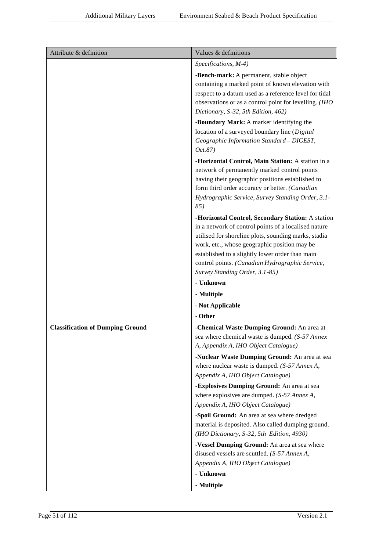| Attribute & definition                  | Values & definitions                                                                                                                                                                                                                                                                                                                                      |
|-----------------------------------------|-----------------------------------------------------------------------------------------------------------------------------------------------------------------------------------------------------------------------------------------------------------------------------------------------------------------------------------------------------------|
|                                         | Specifications, M-4)                                                                                                                                                                                                                                                                                                                                      |
|                                         | -Bench-mark: A permanent, stable object<br>containing a marked point of known elevation with<br>respect to a datum used as a reference level for tidal<br>observations or as a control point for levelling. (IHO<br>Dictionary, S-32, 5th Edition, 462)                                                                                                   |
|                                         | -Boundary Mark: A marker identifying the<br>location of a surveyed boundary line (Digital<br>Geographic Information Standard - DIGEST,<br>Oct.87)                                                                                                                                                                                                         |
|                                         | -Horizontal Control, Main Station: A station in a<br>network of permanently marked control points<br>having their geographic positions established to<br>form third order accuracy or better. (Canadian<br>Hydrographic Service, Survey Standing Order, 3.1-<br>85)                                                                                       |
|                                         | -Horizontal Control, Secondary Station: A station<br>in a network of control points of a localised nature<br>utilised for shoreline plots, sounding marks, stadia<br>work, etc., whose geographic position may be<br>established to a slightly lower order than main<br>control points. (Canadian Hydrographic Service,<br>Survey Standing Order, 3.1-85) |
|                                         | - Unknown                                                                                                                                                                                                                                                                                                                                                 |
|                                         | - Multiple                                                                                                                                                                                                                                                                                                                                                |
|                                         | - Not Applicable                                                                                                                                                                                                                                                                                                                                          |
|                                         | - Other                                                                                                                                                                                                                                                                                                                                                   |
| <b>Classification of Dumping Ground</b> | -Chemical Waste Dumping Ground: An area at<br>sea where chemical waste is dumped. (S-57 Annex<br>A, Appendix A, IHO Object Catalogue)                                                                                                                                                                                                                     |
|                                         | -Nuclear Waste Dumping Ground: An area at sea<br>where nuclear waste is dumped. $(S-57 \text{ }Annex\text{ }A,$<br>Appendix A, IHO Object Catalogue)<br>-Explosives Dumping Ground: An area at sea<br>where explosives are dumped. $(S-57 \text{ } \text{Annex A},$<br>Appendix A, IHO Object Catalogue)                                                  |
|                                         | -Spoil Ground: An area at sea where dredged<br>material is deposited. Also called dumping ground.<br>(IHO Dictionary, S-32, 5th Edition, 4930)                                                                                                                                                                                                            |
|                                         | -Vessel Dumping Ground: An area at sea where<br>disused vessels are scuttled. (S-57 Annex A,<br>Appendix A, IHO Object Catalogue)                                                                                                                                                                                                                         |
|                                         | - Unknown<br>- Multiple                                                                                                                                                                                                                                                                                                                                   |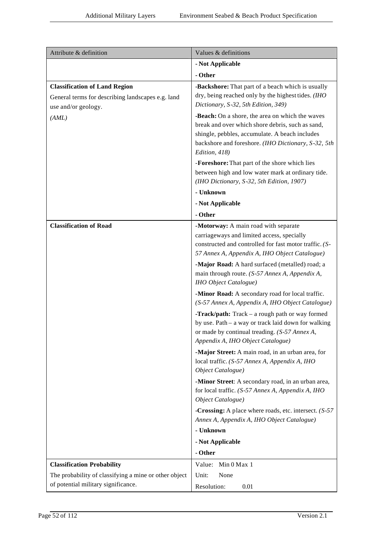| Attribute & definition                                                                                           | Values & definitions                                                                                                                                                                                                          |
|------------------------------------------------------------------------------------------------------------------|-------------------------------------------------------------------------------------------------------------------------------------------------------------------------------------------------------------------------------|
|                                                                                                                  | - Not Applicable                                                                                                                                                                                                              |
|                                                                                                                  | - Other                                                                                                                                                                                                                       |
| <b>Classification of Land Region</b><br>General terms for describing landscapes e.g. land<br>use and/or geology. | -Backshore: That part of a beach which is usually<br>dry, being reached only by the highest tides. (IHO<br>Dictionary, S-32, 5th Edition, 349)                                                                                |
| (AML)                                                                                                            | -Beach: On a shore, the area on which the waves<br>break and over which shore debris, such as sand,<br>shingle, pebbles, accumulate. A beach includes<br>backshore and foreshore. (IHO Dictionary, S-32, 5th<br>Edition, 418) |
|                                                                                                                  | -Foreshore: That part of the shore which lies<br>between high and low water mark at ordinary tide.<br>(IHO Dictionary, S-32, 5th Edition, 1907)                                                                               |
|                                                                                                                  | - Unknown                                                                                                                                                                                                                     |
|                                                                                                                  | - Not Applicable                                                                                                                                                                                                              |
|                                                                                                                  | - Other                                                                                                                                                                                                                       |
| <b>Classification of Road</b>                                                                                    | -Motorway: A main road with separate<br>carriageways and limited access, specially<br>constructed and controlled for fast motor traffic. (S-<br>57 Annex A, Appendix A, IHO Object Catalogue)                                 |
|                                                                                                                  | -Major Road: A hard surfaced (metalled) road; a<br>main through route. (S-57 Annex A, Appendix A,<br>IHO Object Catalogue)                                                                                                    |
|                                                                                                                  | -Minor Road: A secondary road for local traffic.<br>(S-57 Annex A, Appendix A, IHO Object Catalogue)                                                                                                                          |
|                                                                                                                  | -Track/path: Track - a rough path or way formed<br>by use. Path - a way or track laid down for walking<br>or made by continual treading. (S-57 Annex A,<br>Appendix A, IHO Object Catalogue)                                  |
|                                                                                                                  | -Major Street: A main road, in an urban area, for<br>local traffic. (S-57 Annex A, Appendix A, IHO<br>Object Catalogue)                                                                                                       |
|                                                                                                                  | -Minor Street: A secondary road, in an urban area,<br>for local traffic. (S-57 Annex A, Appendix A, IHO<br>Object Catalogue)                                                                                                  |
|                                                                                                                  | -Crossing: A place where roads, etc. intersect. (S-57)<br>Annex A, Appendix A, IHO Object Catalogue)                                                                                                                          |
|                                                                                                                  | - Unknown                                                                                                                                                                                                                     |
|                                                                                                                  | - Not Applicable                                                                                                                                                                                                              |
|                                                                                                                  | - Other                                                                                                                                                                                                                       |
| <b>Classification Probability</b><br>The probability of classifying a mine or other object                       | Value: Min 0 Max 1<br>None<br>Unit:                                                                                                                                                                                           |
| of potential military significance.                                                                              | Resolution:<br>0.01                                                                                                                                                                                                           |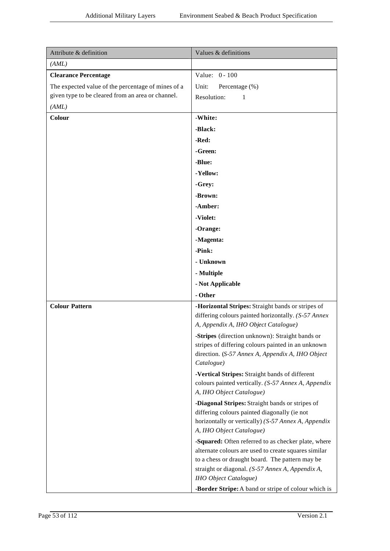| Attribute & definition                             | Values & definitions                                                                                  |
|----------------------------------------------------|-------------------------------------------------------------------------------------------------------|
| (AML)                                              |                                                                                                       |
| <b>Clearance Percentage</b>                        | Value: 0 - 100                                                                                        |
| The expected value of the percentage of mines of a | Unit:<br>Percentage (%)                                                                               |
| given type to be cleared from an area or channel.  | Resolution:<br>1                                                                                      |
| (AML)                                              |                                                                                                       |
| Colour                                             | -White:                                                                                               |
|                                                    | -Black:                                                                                               |
|                                                    | -Red:                                                                                                 |
|                                                    | -Green:                                                                                               |
|                                                    | -Blue:                                                                                                |
|                                                    | -Yellow:                                                                                              |
|                                                    | -Grey:                                                                                                |
|                                                    | -Brown:                                                                                               |
|                                                    | -Amber:                                                                                               |
|                                                    | -Violet:                                                                                              |
|                                                    | -Orange:                                                                                              |
|                                                    | -Magenta:                                                                                             |
|                                                    | -Pink:                                                                                                |
|                                                    | - Unknown                                                                                             |
|                                                    | - Multiple                                                                                            |
|                                                    | - Not Applicable                                                                                      |
|                                                    | - Other                                                                                               |
| <b>Colour Pattern</b>                              | -Horizontal Stripes: Straight bands or stripes of                                                     |
|                                                    | differing colours painted horizontally. (S-57 Annex                                                   |
|                                                    | A, Appendix A, IHO Object Catalogue)                                                                  |
|                                                    | -Stripes (direction unknown): Straight bands or<br>stripes of differing colours painted in an unknown |
|                                                    | direction. (S-57 Annex A, Appendix A, IHO Object                                                      |
|                                                    | Catalogue)                                                                                            |
|                                                    | -Vertical Stripes: Straight bands of different                                                        |
|                                                    | colours painted vertically. (S-57 Annex A, Appendix                                                   |
|                                                    | A, IHO Object Catalogue)                                                                              |
|                                                    | -Diagonal Stripes: Straight bands or stripes of                                                       |
|                                                    | differing colours painted diagonally (ie not<br>horizontally or vertically) (S-57 Annex A, Appendix   |
|                                                    | A, IHO Object Catalogue)                                                                              |
|                                                    | -Squared: Often referred to as checker plate, where                                                   |
|                                                    | alternate colours are used to create squares similar                                                  |
|                                                    | to a chess or draught board. The pattern may be                                                       |
|                                                    | straight or diagonal. (S-57 Annex A, Appendix A,                                                      |
|                                                    | <b>IHO</b> Object Catalogue)                                                                          |
|                                                    | -Border Stripe: A band or stripe of colour which is                                                   |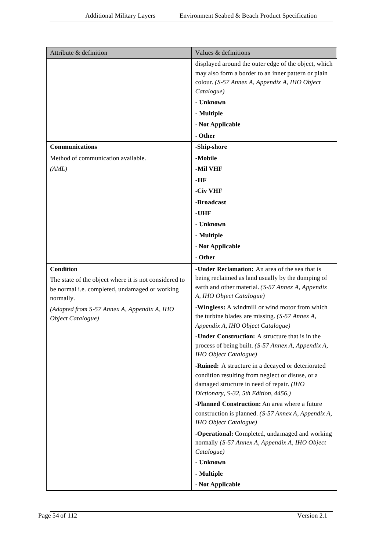| Attribute & definition                                      | Values & definitions                                                                                  |
|-------------------------------------------------------------|-------------------------------------------------------------------------------------------------------|
|                                                             | displayed around the outer edge of the object, which                                                  |
|                                                             | may also form a border to an inner pattern or plain<br>colour. (S-57 Annex A, Appendix A, IHO Object  |
|                                                             | Catalogue)                                                                                            |
|                                                             | - Unknown                                                                                             |
|                                                             | - Multiple                                                                                            |
|                                                             | - Not Applicable                                                                                      |
|                                                             | - Other                                                                                               |
| Communications                                              | -Ship-shore                                                                                           |
| Method of communication available.                          | -Mobile                                                                                               |
| (AML)                                                       | -Mil VHF                                                                                              |
|                                                             | $-HF$                                                                                                 |
|                                                             | -Civ VHF                                                                                              |
|                                                             | -Broadcast                                                                                            |
|                                                             | -UHF                                                                                                  |
|                                                             | - Unknown                                                                                             |
|                                                             | - Multiple                                                                                            |
|                                                             | - Not Applicable                                                                                      |
|                                                             | - Other                                                                                               |
| <b>Condition</b>                                            | -Under Reclamation: An area of the sea that is                                                        |
| The state of the object where it is not considered to       | being reclaimed as land usually by the dumping of                                                     |
| be normal i.e. completed, undamaged or working<br>normally. | earth and other material. (S-57 Annex A, Appendix<br>A, IHO Object Catalogue)                         |
| (Adapted from S-57 Annex A, Appendix A, IHO                 | -Wingless: A windmill or wind motor from which                                                        |
| Object Catalogue)                                           | the turbine blades are missing. $(S-57 \text{ } \text{Annex} A,$                                      |
|                                                             | Appendix A, IHO Object Catalogue)                                                                     |
|                                                             | -Under Construction: A structure that is in the                                                       |
|                                                             | process of being built. (S-57 Annex A, Appendix A,<br><b>IHO</b> Object Catalogue)                    |
|                                                             |                                                                                                       |
|                                                             | -Ruined: A structure in a decayed or deteriorated<br>condition resulting from neglect or disuse, or a |
|                                                             | damaged structure in need of repair. (IHO                                                             |
|                                                             | Dictionary, S-32, 5th Edition, 4456.)                                                                 |
|                                                             | -Planned Construction: An area where a future                                                         |
|                                                             | construction is planned. (S-57 Annex A, Appendix A,                                                   |
|                                                             | IHO Object Catalogue)                                                                                 |
|                                                             | -Operational: Completed, undamaged and working<br>normally (S-57 Annex A, Appendix A, IHO Object      |
|                                                             | Catalogue)                                                                                            |
|                                                             | - Unknown                                                                                             |
|                                                             | - Multiple                                                                                            |
|                                                             | - Not Applicable                                                                                      |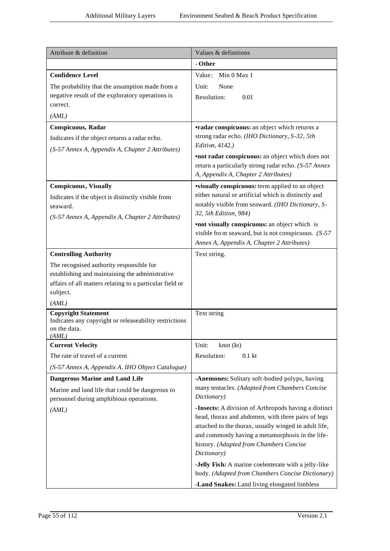| Attribute & definition                                                                                                                                                       | Values & definitions                                                                                                                                                                                                                                                              |
|------------------------------------------------------------------------------------------------------------------------------------------------------------------------------|-----------------------------------------------------------------------------------------------------------------------------------------------------------------------------------------------------------------------------------------------------------------------------------|
|                                                                                                                                                                              | - Other                                                                                                                                                                                                                                                                           |
| <b>Confidence Level</b>                                                                                                                                                      | Value: Min 0 Max 1                                                                                                                                                                                                                                                                |
| The probability that the assumption made from a<br>negative result of the exploratory operations is                                                                          | Unit:<br>None<br>Resolution:<br>0.01                                                                                                                                                                                                                                              |
| correct.<br>(AML)                                                                                                                                                            |                                                                                                                                                                                                                                                                                   |
| <b>Conspicuous, Radar</b>                                                                                                                                                    | <b>•radar conspicuous:</b> an object which returns a                                                                                                                                                                                                                              |
| Indicates if the object returns a radar echo.                                                                                                                                | strong radar echo. (IHO Dictionary, S-32, 5th                                                                                                                                                                                                                                     |
| (S-57 Annex A, Appendix A, Chapter 2 Attributes)                                                                                                                             | Edition, 4142.)                                                                                                                                                                                                                                                                   |
|                                                                                                                                                                              | <b>•not radar conspicuous:</b> an object which does not<br>return a particularly strong radar echo. (S-57 Annex<br>A, Appendix A, Chapter 2 Attributes)                                                                                                                           |
| <b>Conspicuous</b> , Visually                                                                                                                                                | <b>visually conspicuous:</b> term applied to an object                                                                                                                                                                                                                            |
| Indicates if the object is distinctly visible from<br>seaward.                                                                                                               | either natural or artificial which is distinctly and<br>notably visible from seaward. (IHO Dictionary, S-<br>32, 5th Edition, 984)                                                                                                                                                |
| (S-57 Annex A, Appendix A, Chapter 2 Attributes)                                                                                                                             | •not visually conspicuous: an object which is<br>visible from seaward, but is not conspicuous. $(S-57)$<br>Annex A, Appendix A, Chapter 2 Attributes)                                                                                                                             |
| <b>Controlling Authority</b>                                                                                                                                                 | Text string.                                                                                                                                                                                                                                                                      |
| The recognised authority responsible for<br>establishing and maintaining the administrative<br>affairs of all matters relating to a particular field or<br>subject.<br>(AML) |                                                                                                                                                                                                                                                                                   |
| <b>Copyright Statement</b>                                                                                                                                                   | Text string                                                                                                                                                                                                                                                                       |
| Indicates any copyright or releaseability restrictions<br>on the data.<br>(AML)                                                                                              |                                                                                                                                                                                                                                                                                   |
| <b>Current Velocity</b>                                                                                                                                                      | Unit:<br>knot (kt)                                                                                                                                                                                                                                                                |
| The rate of travel of a current                                                                                                                                              | Resolution:<br>0.1 <sub>kt</sub>                                                                                                                                                                                                                                                  |
| (S-57 Annex A, Appendix A, IHO Object Catalogue)                                                                                                                             |                                                                                                                                                                                                                                                                                   |
| <b>Dangerous Marine and Land Life</b>                                                                                                                                        | -Anemones: Solitary soft-bodied polyps, having                                                                                                                                                                                                                                    |
| Marine and land life that could be dangerous to<br>personnel during amphibious operations.                                                                                   | many tentacles. (Adapted from Chambers Concise<br>Dictionary)                                                                                                                                                                                                                     |
| (AML)                                                                                                                                                                        | -Insects: A division of Arthropods having a distinct<br>head, thorax and abdomen, with three pairs of legs<br>attached to the thorax, usually winged in adult life,<br>and commonly having a metamorphosis in the life-<br>history. (Adapted from Chambers Concise<br>Dictionary) |
|                                                                                                                                                                              | -Jelly Fish: A marine coelenterate with a jelly-like<br>body. (Adapted from Chambers Concise Dictionary)                                                                                                                                                                          |
|                                                                                                                                                                              | -Land Snakes: Land living elongated limbless                                                                                                                                                                                                                                      |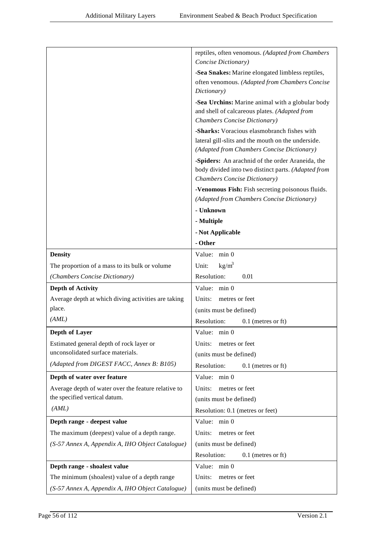|                                                     | reptiles, often venomous. (Adapted from Chambers<br>Concise Dictionary)                           |
|-----------------------------------------------------|---------------------------------------------------------------------------------------------------|
|                                                     | -Sea Snakes: Marine elongated limbless reptiles,                                                  |
|                                                     | often venomous. (Adapted from Chambers Concise                                                    |
|                                                     | Dictionary)                                                                                       |
|                                                     | -Sea Urchins: Marine animal with a globular body                                                  |
|                                                     | and shell of calcareous plates. (Adapted from                                                     |
|                                                     | Chambers Concise Dictionary)                                                                      |
|                                                     | -Sharks: Voracious elasmobranch fishes with<br>lateral gill-slits and the mouth on the underside. |
|                                                     | (Adapted from Chambers Concise Dictionary)                                                        |
|                                                     | -Spiders: An arachnid of the order Araneida, the                                                  |
|                                                     | body divided into two distinct parts. (Adapted from<br>Chambers Concise Dictionary)               |
|                                                     | -Venomous Fish: Fish secreting poisonous fluids.                                                  |
|                                                     | (Adapted from Chambers Concise Dictionary)                                                        |
|                                                     | - Unknown                                                                                         |
|                                                     | - Multiple                                                                                        |
|                                                     | - Not Applicable                                                                                  |
|                                                     | - Other                                                                                           |
| <b>Density</b>                                      | Value: min 0                                                                                      |
| The proportion of a mass to its bulk or volume      | $\text{kg/m}^3$<br>Unit:                                                                          |
| (Chambers Concise Dictionary)                       | Resolution:<br>0.01                                                                               |
| <b>Depth of Activity</b>                            | Value: min 0                                                                                      |
| Average depth at which diving activities are taking | Units:<br>metres or feet                                                                          |
| place.                                              | (units must be defined)                                                                           |
| (AML)                                               | Resolution:<br>$0.1$ (metres or ft)                                                               |
| Depth of Layer                                      | Value: min 0                                                                                      |
| Estimated general depth of rock layer or            | metres or feet<br>Units:                                                                          |
| unconsolidated surface materials.                   | (units must be defined)                                                                           |
| (Adapted from DIGEST FACC, Annex B: B105)           | Resolution:<br>$0.1$ (metres or ft)                                                               |
| Depth of water over feature                         | Value:<br>$min$ 0                                                                                 |
| Average depth of water over the feature relative to | metres or feet<br>Units:                                                                          |
| the specified vertical datum.                       | (units must be defined)                                                                           |
| (AML)                                               | Resolution: 0.1 (metres or feet)                                                                  |
| Depth range - deepest value                         | Value:<br>min 0                                                                                   |
| The maximum (deepest) value of a depth range.       | Units:<br>metres or feet                                                                          |
| (S-57 Annex A, Appendix A, IHO Object Catalogue)    | (units must be defined)                                                                           |
|                                                     | Resolution:<br>$0.1$ (metres or ft)                                                               |
| Depth range - shoalest value                        | Value: min 0                                                                                      |
| The minimum (shoalest) value of a depth range       | Units:<br>metres or feet                                                                          |
| (S-57 Annex A, Appendix A, IHO Object Catalogue)    | (units must be defined)                                                                           |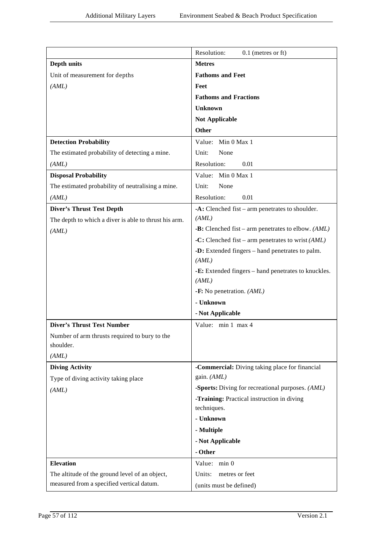|                                                       | Resolution:<br>$0.1$ (metres or ft)                          |
|-------------------------------------------------------|--------------------------------------------------------------|
| Depth units                                           | <b>Metres</b>                                                |
| Unit of measurement for depths                        | <b>Fathoms and Feet</b>                                      |
| (AML)                                                 | Feet                                                         |
|                                                       | <b>Fathoms and Fractions</b>                                 |
|                                                       | <b>Unknown</b>                                               |
|                                                       | <b>Not Applicable</b>                                        |
|                                                       | <b>Other</b>                                                 |
| <b>Detection Probability</b>                          | Value: Min 0 Max 1                                           |
| The estimated probability of detecting a mine.        | Unit:<br>None                                                |
| (AML)                                                 | Resolution:<br>0.01                                          |
| <b>Disposal Probability</b>                           | Value: Min 0 Max 1                                           |
| The estimated probability of neutralising a mine.     | Unit:<br>None                                                |
| (AML)                                                 | Resolution:<br>0.01                                          |
| <b>Diver's Thrust Test Depth</b>                      | $-A$ : Clenched fist – arm penetrates to shoulder.           |
| The depth to which a diver is able to thrust his arm. | (AML)                                                        |
| (AML)                                                 | $-B$ : Clenched fist – arm penetrates to elbow. (AML)        |
|                                                       | -C: Clenched fist – arm penetrates to wrist $(AML)$          |
|                                                       | -D: Extended fingers – hand penetrates to palm.<br>(AML)     |
|                                                       | -E: Extended fingers - hand penetrates to knuckles.<br>(AML) |
|                                                       | - $\mathbf{F}$ : No penetration. (AML)                       |
|                                                       | - Unknown                                                    |
|                                                       | - Not Applicable                                             |
| <b>Diver's Thrust Test Number</b>                     | Value: min 1 max 4                                           |
| Number of arm thrusts required to bury to the         |                                                              |
| shoulder.                                             |                                                              |
| (AML)                                                 |                                                              |
| <b>Diving Activity</b>                                | -Commercial: Diving taking place for financial               |
| Type of diving activity taking place                  | gain. (AML)                                                  |
| (AML)                                                 | -Sports: Diving for recreational purposes. (AML)             |
|                                                       | -Training: Practical instruction in diving                   |
|                                                       | techniques.                                                  |
|                                                       | - Unknown                                                    |
|                                                       | - Multiple                                                   |
|                                                       | - Not Applicable                                             |
|                                                       | - Other                                                      |
| <b>Elevation</b>                                      | Value: min 0                                                 |
| The altitude of the ground level of an object,        | Units:<br>metres or feet                                     |
| measured from a specified vertical datum.             | (units must be defined)                                      |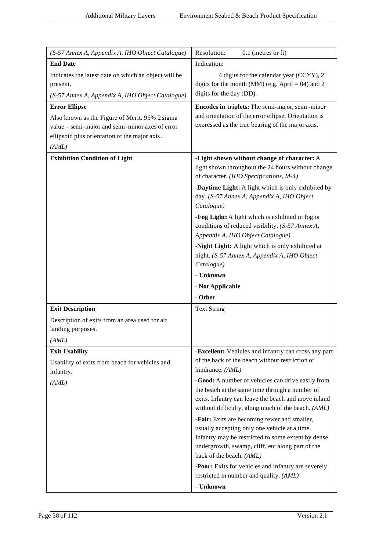| (S-57 Annex A, Appendix A, IHO Object Catalogue)                                                                                                                                    | Resolution:<br>$0.1$ (metres or ft)                                                                                                                                                                                                 |
|-------------------------------------------------------------------------------------------------------------------------------------------------------------------------------------|-------------------------------------------------------------------------------------------------------------------------------------------------------------------------------------------------------------------------------------|
| <b>End Date</b>                                                                                                                                                                     | Indication:                                                                                                                                                                                                                         |
| Indicates the latest date on which an object will be<br>present.<br>(S-57 Annex A, Appendix A, IHO Object Catalogue)                                                                | 4 digits for the calendar year (CCYY), 2<br>digits for the month (MM) (e.g. April = 04) and 2<br>digits for the day (DD).                                                                                                           |
| <b>Error Ellipse</b><br>Also known as the Figure of Merit. 95% 2 sigma<br>value - semi-major and semi-minor axes of error<br>ellipsoid plus orientation of the major axis.<br>(AML) | Encodes in triplets: The semi-major, semi-minor<br>and orientation of the error ellipse. Orientation is<br>expressed as the true bearing of the major axis.                                                                         |
| <b>Exhibition Condition of Light</b>                                                                                                                                                | -Light shown without change of character: A<br>light shown throughout the 24 hours without change<br>of character. (IHO Specifications, M-4)                                                                                        |
|                                                                                                                                                                                     | -Daytime Light: A light which is only exhibited by<br>day. (S-57 Annex A, Appendix A, IHO Object<br>Catalogue)                                                                                                                      |
|                                                                                                                                                                                     | -Fog Light: A light which is exhibited in fog or<br>conditions of reduced visibility. (S-57 Annex A,<br>Appendix A, IHO Object Catalogue)                                                                                           |
|                                                                                                                                                                                     | -Night Light: A light which is only exhibited at<br>night. (S-57 Annex A, Appendix A, IHO Object<br>Catalogue)                                                                                                                      |
|                                                                                                                                                                                     | - Unknown                                                                                                                                                                                                                           |
|                                                                                                                                                                                     | - Not Applicable                                                                                                                                                                                                                    |
|                                                                                                                                                                                     | - Other                                                                                                                                                                                                                             |
| <b>Exit Description</b>                                                                                                                                                             | <b>Text String</b>                                                                                                                                                                                                                  |
| Description of exits from an area used for air<br>landing purposes.                                                                                                                 |                                                                                                                                                                                                                                     |
| (AML)                                                                                                                                                                               |                                                                                                                                                                                                                                     |
| <b>Exit Usability</b><br>Usability of exits from beach for vehicles and<br>infantry.                                                                                                | -Excellent: Vehicles and infantry can cross any part<br>of the back of the beach without restriction or<br>hindrance. (AML)                                                                                                         |
| (AML)                                                                                                                                                                               | -Good: A number of vehicles can drive easily from<br>the beach at the same time through a number of<br>exits. Infantry can leave the beach and move inland<br>without difficulty, along much of the beach. (AML)                    |
|                                                                                                                                                                                     | -Fair: Exits are becoming fewer and smaller,<br>usually accepting only one vehicle at a time.<br>Infantry may be restricted to some extent by dense<br>undergrowth, swamp, cliff, etc along part of the<br>back of the beach. (AML) |
|                                                                                                                                                                                     | -Poor: Exits for vehicles and infantry are severely<br>restricted in number and quality. (AML)<br>- Unknown                                                                                                                         |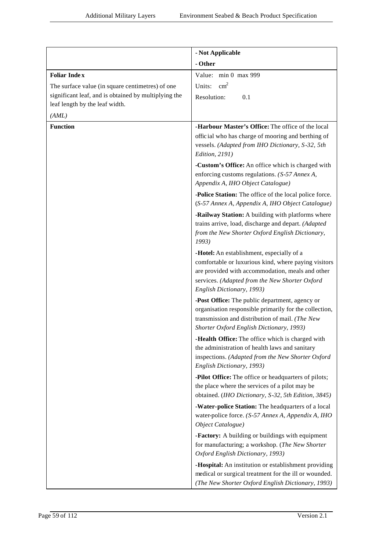|                                                      | - Not Applicable                                                                                                                                                                                                                     |
|------------------------------------------------------|--------------------------------------------------------------------------------------------------------------------------------------------------------------------------------------------------------------------------------------|
|                                                      | - Other                                                                                                                                                                                                                              |
| <b>Foliar Index</b>                                  | Value: min 0 max 999                                                                                                                                                                                                                 |
| The surface value (in square centimetres) of one     | $\text{cm}^2$<br>Units:                                                                                                                                                                                                              |
| significant leaf, and is obtained by multiplying the | Resolution:<br>0.1                                                                                                                                                                                                                   |
| leaf length by the leaf width.                       |                                                                                                                                                                                                                                      |
| (AML)                                                |                                                                                                                                                                                                                                      |
| <b>Function</b>                                      | -Harbour Master's Office: The office of the local<br>official who has charge of mooring and berthing of<br>vessels. (Adapted from IHO Dictionary, S-32, 5th<br><b>Edition</b> , 2191)                                                |
|                                                      | -Custom's Office: An office which is charged with                                                                                                                                                                                    |
|                                                      | enforcing customs regulations. (S-57 Annex A,<br>Appendix A, IHO Object Catalogue)                                                                                                                                                   |
|                                                      | -Police Station: The office of the local police force.<br>(S-57 Annex A, Appendix A, IHO Object Catalogue)                                                                                                                           |
|                                                      | -Railway Station: A building with platforms where<br>trains arrive, load, discharge and depart. (Adapted<br>from the New Shorter Oxford English Dictionary,<br>1993)                                                                 |
|                                                      | -Hotel: An establishment, especially of a<br>comfortable or luxurious kind, where paying visitors<br>are provided with accommodation, meals and other<br>services. (Adapted from the New Shorter Oxford<br>English Dictionary, 1993) |
|                                                      | -Post Office: The public department, agency or<br>organisation responsible primarily for the collection,<br>transmission and distribution of mail. (The New<br>Shorter Oxford English Dictionary, 1993)                              |
|                                                      | -Health Office: The office which is charged with<br>the administration of health laws and sanitary<br>inspections. (Adapted from the New Shorter Oxford<br>English Dictionary, 1993)                                                 |
|                                                      | -Pilot Office: The office or headquarters of pilots;<br>the place where the services of a pilot may be<br>obtained. (IHO Dictionary, S-32, 5th Edition, 3845)                                                                        |
|                                                      | -Water-police Station: The headquarters of a local<br>water-police force. (S-57 Annex A, Appendix A, IHO<br>Object Catalogue)                                                                                                        |
|                                                      | -Factory: A building or buildings with equipment<br>for manufacturing; a workshop. (The New Shorter                                                                                                                                  |
|                                                      | Oxford English Dictionary, 1993)                                                                                                                                                                                                     |
|                                                      | -Hospital: An institution or establishment providing<br>medical or surgical treatment for the ill or wounded.<br>(The New Shorter Oxford English Dictionary, 1993)                                                                   |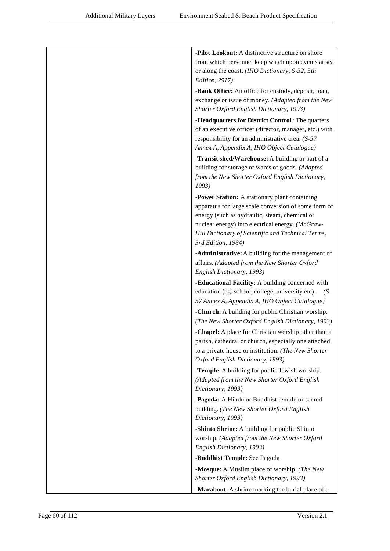| -Pilot Lookout: A distinctive structure on shore                                                            |
|-------------------------------------------------------------------------------------------------------------|
| from which personnel keep watch upon events at sea                                                          |
| or along the coast. (IHO Dictionary, S-32, 5th                                                              |
| Edition, 2917)                                                                                              |
| -Bank Office: An office for custody, deposit, loan,                                                         |
| exchange or issue of money. (Adapted from the New                                                           |
| Shorter Oxford English Dictionary, 1993)                                                                    |
| -Headquarters for District Control: The quarters                                                            |
| of an executive officer (director, manager, etc.) with                                                      |
| responsibility for an administrative area. (S-57)                                                           |
| Annex A, Appendix A, IHO Object Catalogue)                                                                  |
| -Transit shed/Warehouse: A building or part of a                                                            |
| building for storage of wares or goods. (Adapted                                                            |
| from the New Shorter Oxford English Dictionary,<br>1993)                                                    |
| -Power Station: A stationary plant containing                                                               |
| apparatus for large scale conversion of some form of                                                        |
| energy (such as hydraulic, steam, chemical or                                                               |
| nuclear energy) into electrical energy. (McGraw-                                                            |
| Hill Dictionary of Scientific and Technical Terms,                                                          |
| 3rd Edition, 1984)                                                                                          |
| -Administrative: A building for the management of                                                           |
| affairs. (Adapted from the New Shorter Oxford                                                               |
| English Dictionary, 1993)                                                                                   |
| -Educational Facility: A building concerned with                                                            |
| education (eg. school, college, university etc).<br>$(S-$                                                   |
| 57 Annex A, Appendix A, IHO Object Catalogue)                                                               |
| -Church: A building for public Christian worship.                                                           |
| (The New Shorter Oxford English Dictionary, 1993)                                                           |
| -Chapel: A place for Christian worship other than a                                                         |
| parish, cathedral or church, especially one attached<br>to a private house or institution. (The New Shorter |
| Oxford English Dictionary, 1993)                                                                            |
| -Temple: A building for public Jewish worship.                                                              |
| (Adapted from the New Shorter Oxford English                                                                |
| Dictionary, 1993)                                                                                           |
| -Pagoda: A Hindu or Buddhist temple or sacred                                                               |
| building. (The New Shorter Oxford English                                                                   |
| Dictionary, 1993)                                                                                           |
| -Shinto Shrine: A building for public Shinto                                                                |
| worship. (Adapted from the New Shorter Oxford                                                               |
| English Dictionary, 1993)                                                                                   |
| -Buddhist Temple: See Pagoda                                                                                |
| -Mosque: A Muslim place of worship. (The New                                                                |
| Shorter Oxford English Dictionary, 1993)                                                                    |
| -Marabout: A shrine marking the burial place of a                                                           |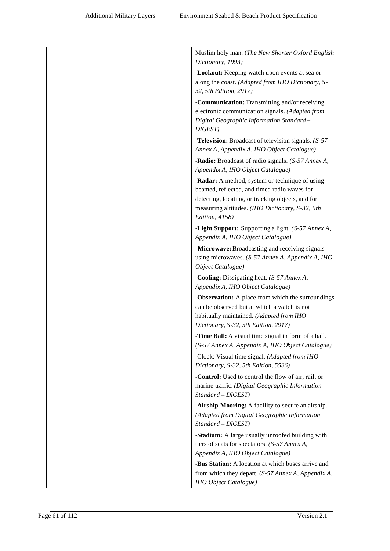| Muslim holy man. (The New Shorter Oxford English<br>Dictionary, 1993)                                                                                                                                                    |
|--------------------------------------------------------------------------------------------------------------------------------------------------------------------------------------------------------------------------|
| -Lookout: Keeping watch upon events at sea or<br>along the coast. (Adapted from IHO Dictionary, S-<br>32, 5th Edition, 2917)                                                                                             |
| -Communication: Transmitting and/or receiving<br>electronic communication signals. (Adapted from<br>Digital Geographic Information Standard-<br>DIGEST)                                                                  |
| <b>-Television:</b> Broadcast of television signals. (S-57)<br>Annex A, Appendix A, IHO Object Catalogue)                                                                                                                |
| -Radio: Broadcast of radio signals. (S-57 Annex A,<br>Appendix A, IHO Object Catalogue)                                                                                                                                  |
| -Radar: A method, system or technique of using<br>beamed, reflected, and timed radio waves for<br>detecting, locating, or tracking objects, and for<br>measuring altitudes. (IHO Dictionary, S-32, 5th<br>Edition, 4158) |
| -Light Support: Supporting a light. (S-57 Annex A,<br>Appendix A, IHO Object Catalogue)                                                                                                                                  |
| -Microwave: Broadcasting and receiving signals<br>using microwaves. (S-57 Annex A, Appendix A, IHO<br>Object Catalogue)                                                                                                  |
| -Cooling: Dissipating heat. (S-57 Annex A,<br>Appendix A, IHO Object Catalogue)                                                                                                                                          |
| -Observation: A place from which the surroundings<br>can be observed but at which a watch is not<br>habitually maintained. (Adapted from IHO<br>Dictionary, S-32, 5th Edition, 2917)                                     |
| -Time Ball: A visual time signal in form of a ball.<br>(S-57 Annex A, Appendix A, IHO Object Catalogue)                                                                                                                  |
| -Clock: Visual time signal. (Adapted from IHO<br>Dictionary, S-32, 5th Edition, 5536)                                                                                                                                    |
| -Control: Used to control the flow of air, rail, or<br>marine traffic. (Digital Geographic Information<br>Standard - DIGEST)                                                                                             |
| -Airship Mooring: A facility to secure an airship.<br>(Adapted from Digital Geographic Information<br>Standard - DIGEST)                                                                                                 |
| -Stadium: A large usually unroofed building with<br>tiers of seats for spectators. (S-57 Annex A,<br>Appendix A, IHO Object Catalogue)                                                                                   |
| -Bus Station: A location at which buses arrive and<br>from which they depart. (S-57 Annex A, Appendix A,<br>IHO Object Catalogue)                                                                                        |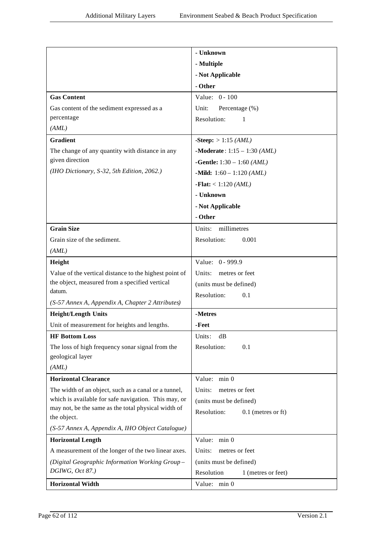|                                                                    | - Unknown                                  |
|--------------------------------------------------------------------|--------------------------------------------|
|                                                                    | - Multiple                                 |
|                                                                    | - Not Applicable                           |
|                                                                    | - Other                                    |
| <b>Gas Content</b>                                                 | Value: $0 - 100$                           |
| Gas content of the sediment expressed as a                         | Unit:<br>Percentage (%)                    |
| percentage                                                         | Resolution:<br>1                           |
| (AML)                                                              |                                            |
| <b>Gradient</b>                                                    | <b>-Steep:</b> $> 1:15$ <i>(AML)</i>       |
| The change of any quantity with distance in any                    | -Moderate: $1:15 - 1:30$ (AML)             |
| given direction                                                    | <b>-Gentle:</b> $1:30 - 1:60$ <i>(AML)</i> |
| (IHO Dictionary, S-32, 5th Edition, 2062.)                         | -Mild: $1:60 - 1:120 (AML)$                |
|                                                                    | <b>-Flat:</b> < $1:120 (AML)$              |
|                                                                    | - Unknown                                  |
|                                                                    | - Not Applicable                           |
|                                                                    | - Other                                    |
| <b>Grain Size</b>                                                  | Units: millimetres                         |
| Grain size of the sediment.                                        | Resolution:<br>0.001                       |
| (AML)                                                              |                                            |
| Height                                                             | Value: 0 - 999.9                           |
| Value of the vertical distance to the highest point of             | Units:<br>metres or feet                   |
| the object, measured from a specified vertical                     | (units must be defined)                    |
| datum.                                                             | Resolution:<br>0.1                         |
| (S-57 Annex A, Appendix A, Chapter 2 Attributes)                   |                                            |
| <b>Height/Length Units</b>                                         | -Metres                                    |
| Unit of measurement for heights and lengths.                       | -Feet                                      |
| <b>HF Bottom Loss</b>                                              | Units:<br>dB                               |
| The loss of high frequency sonar signal from the                   | Resolution:<br>0.1                         |
| geological layer                                                   |                                            |
| (AML)                                                              |                                            |
| <b>Horizontal Clearance</b>                                        | Value: min 0                               |
| The width of an object, such as a canal or a tunnel,               | Units:<br>metres or feet                   |
| which is available for safe navigation. This may, or               | (units must be defined)                    |
| may not, be the same as the total physical width of<br>the object. | Resolution:<br>$0.1$ (metres or ft)        |
| (S-57 Annex A, Appendix A, IHO Object Catalogue)                   |                                            |
| <b>Horizontal Length</b>                                           | Value: min 0                               |
| A measurement of the longer of the two linear axes.                | Units:<br>metres or feet                   |
| (Digital Geographic Information Working Group-                     | (units must be defined)                    |
| DGIWG, Oct 87.)                                                    | Resolution<br>1 (metres or feet)           |
| <b>Horizontal Width</b>                                            | Value: min 0                               |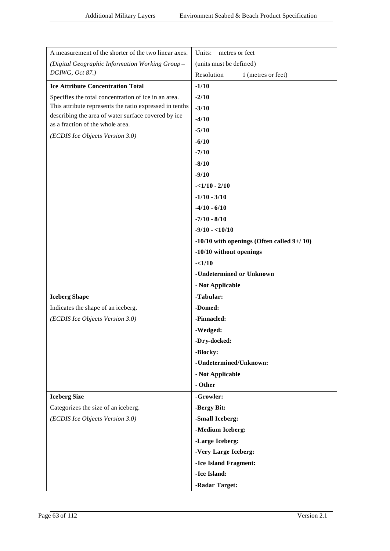| A measurement of the shorter of the two linear axes.    | Units:<br>metres or feet                       |
|---------------------------------------------------------|------------------------------------------------|
| (Digital Geographic Information Working Group-          | (units must be defined)                        |
| DGIWG, Oct 87.)                                         | Resolution<br>1 (metres or feet)               |
| <b>Ice Attribute Concentration Total</b>                | $-1/10$                                        |
| Specifies the total concentration of ice in an area.    | $-2/10$                                        |
| This attribute represents the ratio expressed in tenths | $-3/10$                                        |
| describing the area of water surface covered by ice     | $-4/10$                                        |
| as a fraction of the whole area.                        | $-5/10$                                        |
| (ECDIS Ice Objects Version 3.0)                         | $-6/10$                                        |
|                                                         | $-7/10$                                        |
|                                                         | $-8/10$                                        |
|                                                         | $-9/10$                                        |
|                                                         | $-1/10 - 2/10$                                 |
|                                                         | $-1/10 - 3/10$                                 |
|                                                         | $-4/10 - 6/10$                                 |
|                                                         | $-7/10 - 8/10$                                 |
|                                                         | $-9/10 - <10/10$                               |
|                                                         | $-10/10$ with openings (Often called $9+/10$ ) |
|                                                         | -10/10 without openings                        |
|                                                         | $-<1/10$                                       |
|                                                         | -Undetermined or Unknown                       |
|                                                         | - Not Applicable                               |
| <b>Iceberg Shape</b>                                    | -Tabular:                                      |
| Indicates the shape of an iceberg.                      | -Domed:                                        |
| (ECDIS Ice Objects Version 3.0)                         | -Pinnacled:                                    |
|                                                         | -Wedged:                                       |
|                                                         | -Dry-docked:                                   |
|                                                         | -Blocky:                                       |
|                                                         | -Undetermined/Unknown:                         |
|                                                         | - Not Applicable                               |
|                                                         | - Other                                        |
| <b>Iceberg Size</b>                                     | -Growler:                                      |
| Categorizes the size of an iceberg.                     | -Bergy Bit:                                    |
| (ECDIS Ice Objects Version 3.0)                         | -Small Iceberg:                                |
|                                                         | -Medium Iceberg:                               |
|                                                         | -Large Iceberg:                                |
|                                                         | -Very Large Iceberg:                           |
|                                                         | -Ice Island Fragment:                          |
|                                                         | -Ice Island:                                   |
|                                                         | -Radar Target:                                 |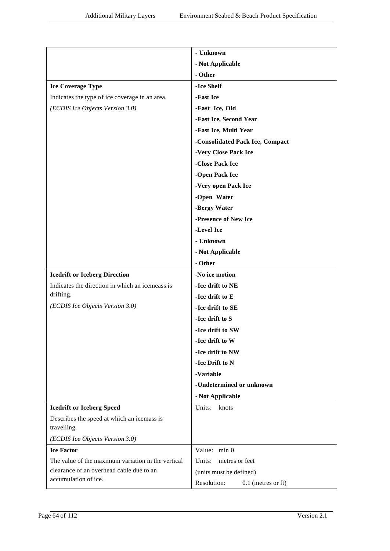|                                                           | - Unknown                           |
|-----------------------------------------------------------|-------------------------------------|
|                                                           | - Not Applicable                    |
|                                                           | - Other                             |
| <b>Ice Coverage Type</b>                                  | -Ice Shelf                          |
| Indicates the type of ice coverage in an area.            | -Fast Ice                           |
| (ECDIS Ice Objects Version 3.0)                           | -Fast Ice, Old                      |
|                                                           | -Fast Ice, Second Year              |
|                                                           | -Fast Ice, Multi Year               |
|                                                           | -Consolidated Pack Ice, Compact     |
|                                                           | -Very Close Pack Ice                |
|                                                           | -Close Pack Ice                     |
|                                                           | -Open Pack Ice                      |
|                                                           | -Very open Pack Ice                 |
|                                                           | -Open Water                         |
|                                                           | -Bergy Water                        |
|                                                           | -Presence of New Ice                |
|                                                           | -Level Ice                          |
|                                                           | - Unknown                           |
|                                                           | - Not Applicable                    |
|                                                           | - Other                             |
| <b>Icedrift or Iceberg Direction</b>                      | -No ice motion                      |
| Indicates the direction in which an icemeass is           | -Ice drift to NE                    |
| drifting.                                                 | -Ice drift to E                     |
| (ECDIS Ice Objects Version 3.0)                           | -Ice drift to SE                    |
|                                                           | -Ice drift to S                     |
|                                                           | -Ice drift to SW                    |
|                                                           | -Ice drift to W                     |
|                                                           | -Ice drift to NW                    |
|                                                           | -Ice Drift to N                     |
|                                                           | -Variable                           |
|                                                           | -Undetermined or unknown            |
|                                                           | - Not Applicable                    |
| <b>Icedrift or Iceberg Speed</b>                          | Units:<br>knots                     |
| Describes the speed at which an icemass is<br>travelling. |                                     |
| (ECDIS Ice Objects Version 3.0)                           |                                     |
| <b>Ice Factor</b>                                         | Value: min 0                        |
| The value of the maximum variation in the vertical        | Units:<br>metres or feet            |
| clearance of an overhead cable due to an                  | (units must be defined)             |
| accumulation of ice.                                      | Resolution:<br>$0.1$ (metres or ft) |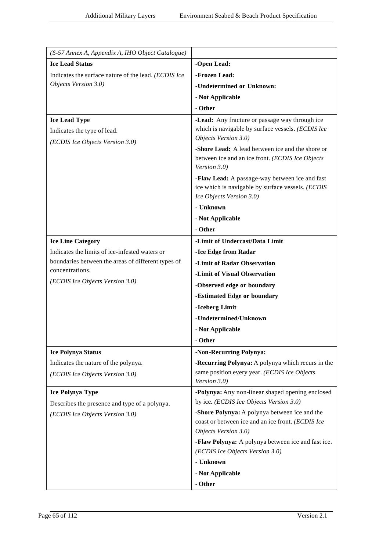| (S-57 Annex A, Appendix A, IHO Object Catalogue)     |                                                                                                                                 |
|------------------------------------------------------|---------------------------------------------------------------------------------------------------------------------------------|
| <b>Ice Lead Status</b>                               | -Open Lead:                                                                                                                     |
| Indicates the surface nature of the lead. (ECDIS Ice | -Frozen Lead:                                                                                                                   |
| Objects Version 3.0)                                 | -Undetermined or Unknown:                                                                                                       |
|                                                      | - Not Applicable                                                                                                                |
|                                                      | - Other                                                                                                                         |
| <b>Ice Lead Type</b>                                 | -Lead: Any fracture or passage way through ice                                                                                  |
| Indicates the type of lead.                          | which is navigable by surface vessels. (ECDIS Ice                                                                               |
| (ECDIS Ice Objects Version 3.0)                      | Objects Version 3.0)                                                                                                            |
|                                                      | -Shore Lead: A lead between ice and the shore or<br>between ice and an ice front. (ECDIS Ice Objects<br>Version 3.0)            |
|                                                      | -Flaw Lead: A passage-way between ice and fast<br>ice which is navigable by surface vessels. (ECDIS<br>Ice Objects Version 3.0) |
|                                                      | - Unknown                                                                                                                       |
|                                                      | - Not Applicable                                                                                                                |
|                                                      | - Other                                                                                                                         |
| <b>Ice Line Category</b>                             | -Limit of Undercast/Data Limit                                                                                                  |
| Indicates the limits of ice-infested waters or       | -Ice Edge from Radar                                                                                                            |
| boundaries between the areas of different types of   | -Limit of Radar Observation                                                                                                     |
| concentrations.                                      | -Limit of Visual Observation                                                                                                    |
| (ECDIS Ice Objects Version 3.0)                      | -Observed edge or boundary                                                                                                      |
|                                                      | -Estimated Edge or boundary                                                                                                     |
|                                                      | -Iceberg Limit                                                                                                                  |
|                                                      | -Undetermined/Unknown                                                                                                           |
|                                                      | - Not Applicable                                                                                                                |
|                                                      | - Other                                                                                                                         |
| <b>Ice Polynya Status</b>                            | -Non-Recurring Polynya:                                                                                                         |
| Indicates the nature of the polynya.                 | -Recurring Polynya: A polynya which recurs in the                                                                               |
| (ECDIS Ice Objects Version 3.0)                      | same position every year. (ECDIS Ice Objects<br>Version 3.0)                                                                    |
| Ice Polynya Type                                     | -Polynya: Any non-linear shaped opening enclosed                                                                                |
| Describes the presence and type of a polynya.        | by ice. (ECDIS Ice Objects Version 3.0)                                                                                         |
| (ECDIS Ice Objects Version 3.0)                      | -Shore Polynya: A polynya between ice and the<br>coast or between ice and an ice front. (ECDIS Ice<br>Objects Version 3.0)      |
|                                                      | -Flaw Polynya: A polynya between ice and fast ice.<br>(ECDIS Ice Objects Version 3.0)                                           |
|                                                      | - Unknown                                                                                                                       |
|                                                      | - Not Applicable                                                                                                                |
|                                                      | - Other                                                                                                                         |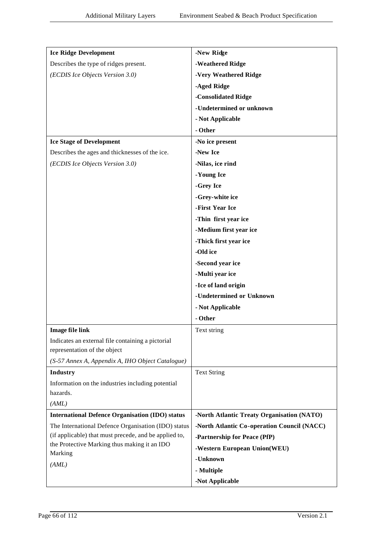| <b>Ice Ridge Development</b>                                                                                 | -New Ridge                                  |
|--------------------------------------------------------------------------------------------------------------|---------------------------------------------|
| Describes the type of ridges present.                                                                        | -Weathered Ridge                            |
| (ECDIS Ice Objects Version 3.0)                                                                              | -Very Weathered Ridge                       |
|                                                                                                              | -Aged Ridge                                 |
|                                                                                                              | -Consolidated Ridge                         |
|                                                                                                              | -Undetermined or unknown                    |
|                                                                                                              | - Not Applicable                            |
|                                                                                                              | - Other                                     |
| <b>Ice Stage of Development</b>                                                                              | -No ice present                             |
| Describes the ages and thicknesses of the ice.                                                               | -New Ice                                    |
| (ECDIS Ice Objects Version 3.0)                                                                              | -Nilas, ice rind                            |
|                                                                                                              | -Young Ice                                  |
|                                                                                                              | -Grey Ice                                   |
|                                                                                                              | -Grey-white ice                             |
|                                                                                                              | -First Year Ice                             |
|                                                                                                              | -Thin first year ice                        |
|                                                                                                              | -Medium first year ice                      |
|                                                                                                              | -Thick first year ice                       |
|                                                                                                              | -Old ice                                    |
|                                                                                                              | -Second year ice                            |
|                                                                                                              | -Multi year ice                             |
|                                                                                                              | -Ice of land origin                         |
|                                                                                                              | -Undetermined or Unknown                    |
|                                                                                                              | - Not Applicable                            |
|                                                                                                              | - Other                                     |
| <b>Image file link</b>                                                                                       | Text string                                 |
| Indicates an external file containing a pictorial                                                            |                                             |
| representation of the object                                                                                 |                                             |
| (S-57 Annex A, Appendix A, IHO Object Catalogue)                                                             |                                             |
| Industry                                                                                                     | <b>Text String</b>                          |
| Information on the industries including potential                                                            |                                             |
| hazards.                                                                                                     |                                             |
| (AML)                                                                                                        |                                             |
| <b>International Defence Organisation (IDO) status</b>                                                       | -North Atlantic Treaty Organisation (NATO)  |
| The International Defence Organisation (IDO) status<br>(if applicable) that must precede, and be applied to, | -North Atlantic Co-operation Council (NACC) |
| the Protective Marking thus making it an IDO                                                                 | -Partnership for Peace (PfP)                |
| Marking                                                                                                      | -Western European Union(WEU)                |
| (AML)                                                                                                        | -Unknown                                    |
|                                                                                                              | - Multiple                                  |
|                                                                                                              | -Not Applicable                             |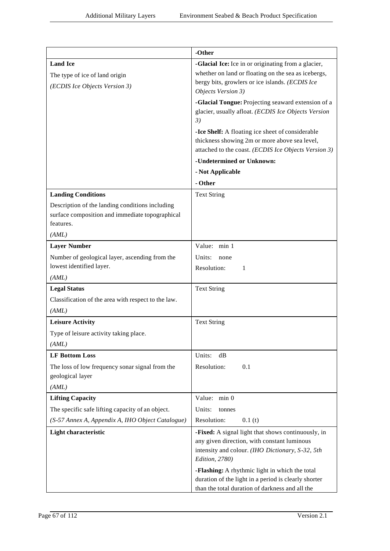|                                                     | -Other                                                                                                     |
|-----------------------------------------------------|------------------------------------------------------------------------------------------------------------|
|                                                     |                                                                                                            |
| <b>Land Ice</b>                                     | -Glacial Ice: Ice in or originating from a glacier,<br>whether on land or floating on the sea as icebergs, |
| The type of ice of land origin                      | bergy bits, growlers or ice islands. (ECDIS Ice                                                            |
| (ECDIS Ice Objects Version 3)                       | Objects Version 3)                                                                                         |
|                                                     | -Glacial Tongue: Projecting seaward extension of a                                                         |
|                                                     | glacier, usually afloat. (ECDIS Ice Objects Version                                                        |
|                                                     | 3)                                                                                                         |
|                                                     | -Ice Shelf: A floating ice sheet of considerable                                                           |
|                                                     | thickness showing 2m or more above sea level,                                                              |
|                                                     | attached to the coast. (ECDIS Ice Objects Version 3)                                                       |
|                                                     | -Undetermined or Unknown:                                                                                  |
|                                                     | - Not Applicable                                                                                           |
|                                                     | - Other                                                                                                    |
| <b>Landing Conditions</b>                           | <b>Text String</b>                                                                                         |
| Description of the landing conditions including     |                                                                                                            |
| surface composition and immediate topographical     |                                                                                                            |
| features.                                           |                                                                                                            |
| (AML)                                               |                                                                                                            |
| <b>Layer Number</b>                                 | Value: min 1                                                                                               |
| Number of geological layer, ascending from the      | Units:<br>none                                                                                             |
| lowest identified layer.                            | Resolution:<br>$\mathbf{1}$                                                                                |
| (AML)                                               |                                                                                                            |
| <b>Legal Status</b>                                 | <b>Text String</b>                                                                                         |
| Classification of the area with respect to the law. |                                                                                                            |
| (AML)                                               |                                                                                                            |
| <b>Leisure Activity</b>                             | <b>Text String</b>                                                                                         |
| Type of leisure activity taking place.              |                                                                                                            |
| (AML)                                               |                                                                                                            |
| <b>LF Bottom Loss</b>                               | Units:<br>dB                                                                                               |
| The loss of low frequency sonar signal from the     | Resolution:<br>0.1                                                                                         |
| geological layer                                    |                                                                                                            |
| (AML)                                               |                                                                                                            |
| <b>Lifting Capacity</b>                             | Value: min 0                                                                                               |
| The specific safe lifting capacity of an object.    | Units:<br>tonnes                                                                                           |
| (S-57 Annex A, Appendix A, IHO Object Catalogue)    | Resolution:<br>0.1(t)                                                                                      |
| <b>Light characteristic</b>                         | -Fixed: A signal light that shows continuously, in                                                         |
|                                                     | any given direction, with constant luminous                                                                |
|                                                     | intensity and colour. (IHO Dictionary, S-32, 5th                                                           |
|                                                     | Edition, 2780)                                                                                             |
|                                                     | -Flashing: A rhythmic light in which the total                                                             |
|                                                     | duration of the light in a period is clearly shorter<br>than the total duration of darkness and all the    |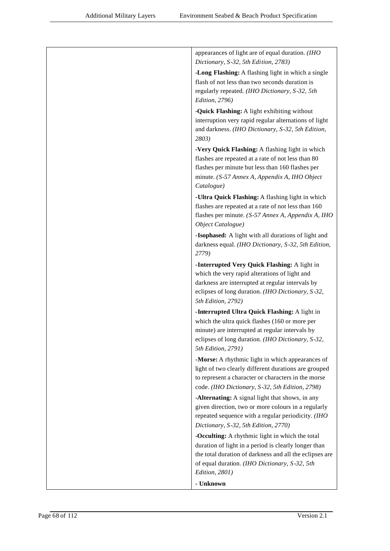| appearances of light are of equal duration. (IHO<br>Dictionary, S-32, 5th Edition, 2783) |
|------------------------------------------------------------------------------------------|
| -Long Flashing: A flashing light in which a single                                       |
| flash of not less than two seconds duration is                                           |
| regularly repeated. (IHO Dictionary, S-32, 5th                                           |
| <i>Edition, 2796)</i>                                                                    |
| -Quick Flashing: A light exhibiting without                                              |
| interruption very rapid regular alternations of light                                    |
| and darkness. (IHO Dictionary, S-32, 5th Edition,                                        |
| 2803)                                                                                    |
| -Very Quick Flashing: A flashing light in which                                          |
| flashes are repeated at a rate of not less than 80                                       |
| flashes per minute but less than 160 flashes per                                         |
| minute. (S-57 Annex A, Appendix A, IHO Object                                            |
| Catalogue)                                                                               |
| -Ultra Quick Flashing: A flashing light in which                                         |
| flashes are repeated at a rate of not less than 160                                      |
| flashes per minute. (S-57 Annex A, Appendix A, IHO                                       |
| Object Catalogue)                                                                        |
| -Isophased: A light with all durations of light and                                      |
| darkness equal. (IHO Dictionary, S-32, 5th Edition,                                      |
| 2779)                                                                                    |
| -Interrupted Very Quick Flashing: A light in                                             |
| which the very rapid alterations of light and                                            |
| darkness are interrupted at regular intervals by                                         |
| eclipses of long duration. (IHO Dictionary, S-32,                                        |
| 5th Edition, 2792)                                                                       |
| -Interrupted Ultra Quick Flashing: A light in                                            |
| which the ultra quick flashes (160 or more per                                           |
| minute) are interrupted at regular intervals by                                          |
| eclipses of long duration. (IHO Dictionary, S-32,                                        |
| 5th Edition, 2791)                                                                       |
| -Morse: A rhythmic light in which appearances of                                         |
| light of two clearly different durations are grouped                                     |
| to represent a character or characters in the morse                                      |
| code. (IHO Dictionary, S-32, 5th Edition, 2798)                                          |
| -Alternating: A signal light that shows, in any                                          |
| given direction, two or more colours in a regularly                                      |
| repeated sequence with a regular periodicity. (IHO                                       |
| Dictionary, S-32, 5th Edition, 2770)                                                     |
| -Occulting: A rhythmic light in which the total                                          |
| duration of light in a period is clearly longer than                                     |
| the total duration of darkness and all the eclipses are                                  |
| of equal duration. (IHO Dictionary, S-32, 5th                                            |
| Edition, 2801)                                                                           |
| - Unknown                                                                                |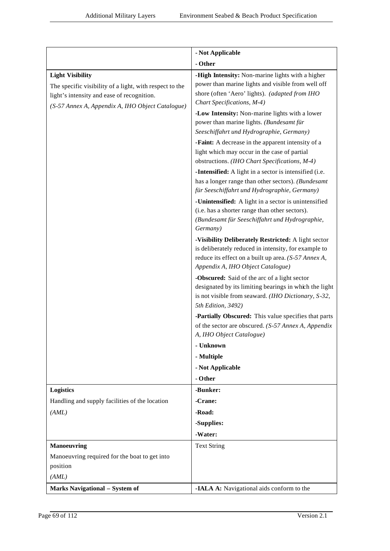|                                                                                                                                                                                      | - Not Applicable                                                                                                                                                                                         |
|--------------------------------------------------------------------------------------------------------------------------------------------------------------------------------------|----------------------------------------------------------------------------------------------------------------------------------------------------------------------------------------------------------|
|                                                                                                                                                                                      | - Other                                                                                                                                                                                                  |
| <b>Light Visibility</b><br>The specific visibility of a light, with respect to the<br>light's intensity and ease of recognition.<br>(S-57 Annex A, Appendix A, IHO Object Catalogue) | -High Intensity: Non-marine lights with a higher<br>power than marine lights and visible from well off<br>shore (often 'Aero' lights). (adapted from IHO<br>Chart Specifications, M-4)                   |
|                                                                                                                                                                                      | -Low Intensity: Non-marine lights with a lower<br>power than marine lights. (Bundesamt für<br>Seeschiffahrt und Hydrographie, Germany)                                                                   |
|                                                                                                                                                                                      | -Faint: A decrease in the apparent intensity of a<br>light which may occur in the case of partial<br>obstructions. (IHO Chart Specifications, M-4)                                                       |
|                                                                                                                                                                                      | -Intensified: A light in a sector is intensified (i.e.<br>has a longer range than other sectors). (Bundesamt<br>für Seeschiffahrt und Hydrographie, Germany)                                             |
|                                                                                                                                                                                      | -Unintensified: A light in a sector is unintensified<br>(i.e. has a shorter range than other sectors).<br>(Bundesamt für Seeschiffahrt und Hydrographie,<br>Germany)                                     |
|                                                                                                                                                                                      | -Visibility Deliberately Restricted: A light sector<br>is deliberately reduced in intensity, for example to<br>reduce its effect on a built up area. (S-57 Annex A,<br>Appendix A, IHO Object Catalogue) |
|                                                                                                                                                                                      | -Obscured: Said of the arc of a light sector<br>designated by its limiting bearings in which the light<br>is not visible from seaward. (IHO Dictionary, S-32,<br>5th Edition, 3492)                      |
|                                                                                                                                                                                      | -Partially Obscured: This value specifies that parts<br>of the sector are obscured. (S-57 Annex A, Appendix<br>A, IHO Object Catalogue)                                                                  |
|                                                                                                                                                                                      | - Unknown                                                                                                                                                                                                |
|                                                                                                                                                                                      | - Multiple                                                                                                                                                                                               |
|                                                                                                                                                                                      | - Not Applicable                                                                                                                                                                                         |
|                                                                                                                                                                                      | - Other                                                                                                                                                                                                  |
| <b>Logistics</b>                                                                                                                                                                     | -Bunker:                                                                                                                                                                                                 |
| Handling and supply facilities of the location                                                                                                                                       | -Crane:                                                                                                                                                                                                  |
| (AML)                                                                                                                                                                                | -Road:                                                                                                                                                                                                   |
|                                                                                                                                                                                      | -Supplies:                                                                                                                                                                                               |
|                                                                                                                                                                                      | -Water:                                                                                                                                                                                                  |
| <b>Manoeuvring</b><br>Manoeuvring required for the boat to get into<br>position                                                                                                      | <b>Text String</b>                                                                                                                                                                                       |
| (AML)                                                                                                                                                                                |                                                                                                                                                                                                          |
| <b>Marks Navigational - System of</b>                                                                                                                                                | -IALA A: Navigational aids conform to the                                                                                                                                                                |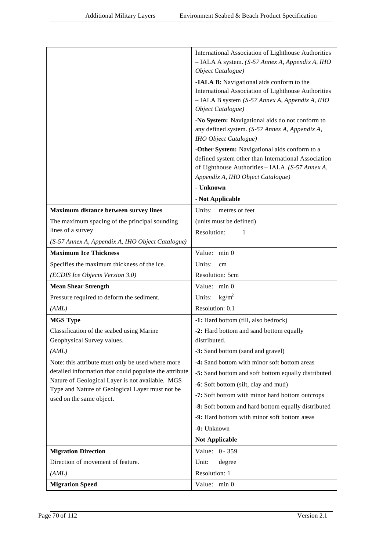|                                                                                                            | <b>International Association of Lighthouse Authorities</b><br>- IALA A system. (S-57 Annex A, Appendix A, IHO                                                                                 |
|------------------------------------------------------------------------------------------------------------|-----------------------------------------------------------------------------------------------------------------------------------------------------------------------------------------------|
|                                                                                                            | Object Catalogue)                                                                                                                                                                             |
|                                                                                                            | -IALA B: Navigational aids conform to the<br>International Association of Lighthouse Authorities<br>- IALA B system (S-57 Annex A, Appendix A, IHO<br>Object Catalogue)                       |
|                                                                                                            | -No System: Navigational aids do not conform to<br>any defined system. (S-57 Annex A, Appendix A,                                                                                             |
|                                                                                                            | <b>IHO</b> Object Catalogue)                                                                                                                                                                  |
|                                                                                                            | -Other System: Navigational aids conform to a<br>defined system other than International Association<br>of Lighthouse Authorities - IALA. (S-57 Annex A,<br>Appendix A, IHO Object Catalogue) |
|                                                                                                            | - Unknown                                                                                                                                                                                     |
|                                                                                                            | - Not Applicable                                                                                                                                                                              |
| Maximum distance between survey lines                                                                      | Units: metres or feet                                                                                                                                                                         |
| The maximum spacing of the principal sounding                                                              | (units must be defined)                                                                                                                                                                       |
| lines of a survey                                                                                          | Resolution:<br>1                                                                                                                                                                              |
| (S-57 Annex A, Appendix A, IHO Object Catalogue)                                                           |                                                                                                                                                                                               |
| <b>Maximum Ice Thickness</b>                                                                               | Value: min 0                                                                                                                                                                                  |
| Specifies the maximum thickness of the ice.                                                                | Units:<br>cm                                                                                                                                                                                  |
| (ECDIS Ice Objects Version 3.0)                                                                            | Resolution: 5cm                                                                                                                                                                               |
| <b>Mean Shear Strength</b>                                                                                 | Value: min 0                                                                                                                                                                                  |
| Pressure required to deform the sediment.                                                                  | Units: $\text{kg/m}^2$                                                                                                                                                                        |
| (AML)                                                                                                      | Resolution: 0.1                                                                                                                                                                               |
| <b>MGS Type</b>                                                                                            | -1: Hard bottom (till, also bedrock)                                                                                                                                                          |
| Classification of the seabed using Marine                                                                  | -2: Hard bottom and sand bottom equally                                                                                                                                                       |
| Geophysical Survey values.                                                                                 | distributed.                                                                                                                                                                                  |
| (AML)                                                                                                      | -3: Sand bottom (sand and gravel)                                                                                                                                                             |
| Note: this attribute must only be used where more                                                          | -4: Sand bottom with minor soft bottom areas                                                                                                                                                  |
| detailed information that could populate the attribute<br>Nature of Geological Layer is not available. MGS | -5: Sand bottom and soft bottom equally distributed                                                                                                                                           |
| Type and Nature of Geological Layer must not be                                                            | -6: Soft bottom (silt, clay and mud)                                                                                                                                                          |
| used on the same object.                                                                                   | -7: Soft bottom with minor hard bottom outcrops                                                                                                                                               |
|                                                                                                            | -8: Soft bottom and hard bottom equally distributed                                                                                                                                           |
|                                                                                                            | -9: Hard bottom with minor soft bottom areas                                                                                                                                                  |
|                                                                                                            | -0: Unknown                                                                                                                                                                                   |
|                                                                                                            | <b>Not Applicable</b>                                                                                                                                                                         |
| <b>Migration Direction</b>                                                                                 | Value: 0 - 359                                                                                                                                                                                |
| Direction of movement of feature.                                                                          | Unit:<br>degree                                                                                                                                                                               |
| (AML)                                                                                                      | Resolution: 1                                                                                                                                                                                 |
| <b>Migration Speed</b>                                                                                     | Value: min 0                                                                                                                                                                                  |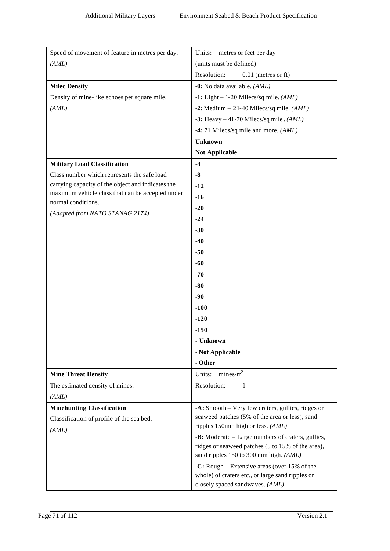| Speed of movement of feature in metres per day.   | Units:<br>metres or feet per day                                                                       |
|---------------------------------------------------|--------------------------------------------------------------------------------------------------------|
| (AML)                                             | (units must be defined)                                                                                |
|                                                   | Resolution:<br>$0.01$ (metres or ft)                                                                   |
| <b>Milec Density</b>                              | -0: No data available. (AML)                                                                           |
| Density of mine-like echoes per square mile.      | $-1$ : Light – 1-20 Milecs/sq mile. (AML)                                                              |
| (AML)                                             | -2: Medium $-21-40$ Milecs/sq mile. (AML)                                                              |
|                                                   | -3: Heavy $-41-70$ Milecs/sq mile. (AML)                                                               |
|                                                   | -4:71 Milecs/sq mile and more. (AML)                                                                   |
|                                                   | <b>Unknown</b>                                                                                         |
|                                                   | <b>Not Applicable</b>                                                                                  |
| <b>Military Load Classification</b>               | $-4$                                                                                                   |
| Class number which represents the safe load       | $-8$                                                                                                   |
| carrying capacity of the object and indicates the | $-12$                                                                                                  |
| maximum vehicle class that can be accepted under  | $-16$                                                                                                  |
| normal conditions.                                | $-20$                                                                                                  |
| (Adapted from NATO STANAG 2174)                   | $-24$                                                                                                  |
|                                                   | $-30$                                                                                                  |
|                                                   | $-40$                                                                                                  |
|                                                   | $-50$                                                                                                  |
|                                                   | $-60$                                                                                                  |
|                                                   | $-70$                                                                                                  |
|                                                   | $-80$                                                                                                  |
|                                                   | $-90$                                                                                                  |
|                                                   | $-100$                                                                                                 |
|                                                   | $-120$                                                                                                 |
|                                                   |                                                                                                        |
|                                                   | $-150$                                                                                                 |
|                                                   | - Unknown                                                                                              |
|                                                   | - Not Applicable                                                                                       |
|                                                   | - Other                                                                                                |
| <b>Mine Threat Density</b>                        | Units: $mines/m^2$                                                                                     |
| The estimated density of mines.                   | Resolution:<br>-1                                                                                      |
| (AML)                                             |                                                                                                        |
| <b>Minehunting Classification</b>                 | -A: Smooth – Very few craters, gullies, ridges or                                                      |
| Classification of profile of the sea bed.         | seaweed patches (5% of the area or less), sand<br>ripples 150mm high or less. (AML)                    |
| (AML)                                             |                                                                                                        |
|                                                   | -B: Moderate – Large numbers of craters, gullies,<br>ridges or seaweed patches (5 to 15% of the area), |
|                                                   | sand ripples 150 to 300 mm high. (AML)                                                                 |
|                                                   | -C: Rough – Extensive areas (over 15% of the                                                           |
|                                                   | whole) of craters etc., or large sand ripples or                                                       |
|                                                   | closely spaced sandwaves. (AML)                                                                        |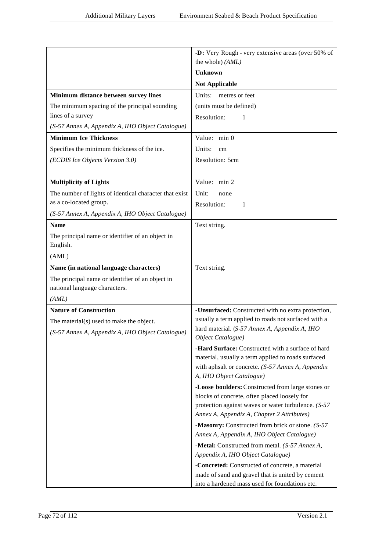|                                                                                   | -D: Very Rough - very extensive areas (over 50% of                                  |
|-----------------------------------------------------------------------------------|-------------------------------------------------------------------------------------|
|                                                                                   | the whole) (AML)                                                                    |
|                                                                                   | <b>Unknown</b>                                                                      |
|                                                                                   | <b>Not Applicable</b>                                                               |
| Minimum distance between survey lines                                             | Units:<br>metres or feet                                                            |
| The minimum spacing of the principal sounding                                     | (units must be defined)                                                             |
| lines of a survey                                                                 | Resolution:<br>1                                                                    |
| (S-57 Annex A, Appendix A, IHO Object Catalogue)                                  |                                                                                     |
| <b>Minimum Ice Thickness</b>                                                      | Value: min 0                                                                        |
| Specifies the minimum thickness of the ice.                                       | Units:<br>cm                                                                        |
| (ECDIS Ice Objects Version 3.0)                                                   | Resolution: 5cm                                                                     |
|                                                                                   |                                                                                     |
| <b>Multiplicity of Lights</b>                                                     | Value: min 2                                                                        |
| The number of lights of identical character that exist                            | Unit:<br>none                                                                       |
| as a co-located group.                                                            | Resolution:<br>1                                                                    |
| (S-57 Annex A, Appendix A, IHO Object Catalogue)                                  |                                                                                     |
| <b>Name</b>                                                                       | Text string.                                                                        |
| The principal name or identifier of an object in<br>English.                      |                                                                                     |
| (AML)                                                                             |                                                                                     |
| Name (in national language characters)                                            | Text string.                                                                        |
| The principal name or identifier of an object in<br>national language characters. |                                                                                     |
| (AML)                                                                             |                                                                                     |
| <b>Nature of Construction</b>                                                     | -Unsurfaced: Constructed with no extra protection,                                  |
| The material(s) used to make the object.                                          | usually a term applied to roads not surfaced with a                                 |
| (S-57 Annex A, Appendix A, IHO Object Catalogue)                                  | hard material. (S-57 Annex A, Appendix A, IHO<br>Object Catalogue)                  |
|                                                                                   | <b>-Hard Surface:</b> Constructed with a surface of hard                            |
|                                                                                   | material, usually a term applied to roads surfaced                                  |
|                                                                                   | with aphsalt or concrete. (S-57 Annex A, Appendix<br>A, IHO Object Catalogue)       |
|                                                                                   | -Loose boulders: Constructed from large stones or                                   |
|                                                                                   | blocks of concrete, often placed loosely for                                        |
|                                                                                   | protection against waves or water turbulence. $(S-57)$                              |
|                                                                                   | Annex A, Appendix A, Chapter 2 Attributes)                                          |
|                                                                                   | -Masonry: Constructed from brick or stone. (S-57)                                   |
|                                                                                   | Annex A, Appendix A, IHO Object Catalogue)                                          |
|                                                                                   | -Metal: Constructed from metal. (S-57 Annex A,<br>Appendix A, IHO Object Catalogue) |
|                                                                                   | -Concreted: Constructed of concrete, a material                                     |
|                                                                                   | made of sand and gravel that is united by cement                                    |
|                                                                                   | into a hardened mass used for foundations etc.                                      |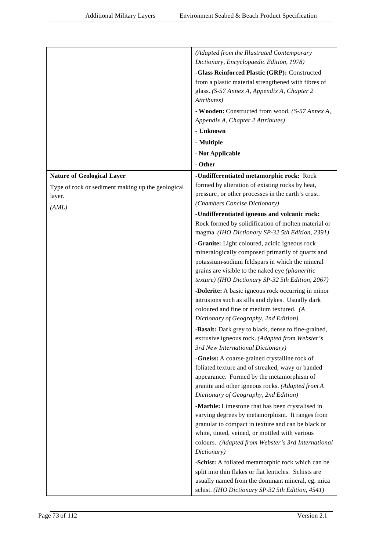|                                                   | (Adapted from the Illustrated Contemporary                                                             |
|---------------------------------------------------|--------------------------------------------------------------------------------------------------------|
|                                                   | Dictionary, Encyclopaedic Edition, 1978)                                                               |
|                                                   | -Glass Reinforced Plastic (GRP): Constructed                                                           |
|                                                   | from a plastic material strengthened with fibres of                                                    |
|                                                   | glass. (S-57 Annex A, Appendix A, Chapter 2<br>Attributes)                                             |
|                                                   |                                                                                                        |
|                                                   | - Wooden: Constructed from wood. (S-57 Annex A,                                                        |
|                                                   | Appendix A, Chapter 2 Attributes)<br>- Unknown                                                         |
|                                                   |                                                                                                        |
|                                                   | - Multiple                                                                                             |
|                                                   | - Not Applicable                                                                                       |
|                                                   | - Other                                                                                                |
| <b>Nature of Geological Layer</b>                 | -Undifferentiated metamorphic rock: Rock                                                               |
| Type of rock or sediment making up the geological | formed by alteration of existing rocks by heat,                                                        |
| layer.                                            | pressure, or other processes in the earth's crust.                                                     |
| (AML)                                             | (Chambers Concise Dictionary)                                                                          |
|                                                   | -Undifferentiated igneous and volcanic rock:                                                           |
|                                                   | Rock formed by solidification of molten material or<br>magma. (IHO Dictionary SP-32 5th Edition, 2391) |
|                                                   | -Granite: Light coloured, acidic igneous rock                                                          |
|                                                   | mineralogically composed primarily of quartz and                                                       |
|                                                   | potassium-sodium feldspars in which the mineral                                                        |
|                                                   | grains are visible to the naked eye (phaneritic<br>texture) (IHO Dictionary SP-32 5th Edition, 2067)   |
|                                                   |                                                                                                        |
|                                                   | -Dolerite: A basic igneous rock occurring in minor<br>intrusions such as sills and dykes. Usually dark |
|                                                   | coloured and fine or medium textured. (A                                                               |
|                                                   | Dictionary of Geography, 2nd Edition)                                                                  |
|                                                   | -Basalt: Dark grey to black, dense to fine-grained,                                                    |
|                                                   | extrusive igneous rock. (Adapted from Webster's                                                        |
|                                                   | 3rd New International Dictionary)                                                                      |
|                                                   | -Gneiss: A coarse-grained crystalline rock of                                                          |
|                                                   | foliated texture and of streaked, wavy or banded                                                       |
|                                                   | appearance. Formed by the metamorphism of                                                              |
|                                                   | granite and other igneous rocks. (Adapted from A                                                       |
|                                                   | Dictionary of Geography, 2nd Edition)                                                                  |
|                                                   | -Marble: Limestone that has been crystalised in                                                        |
|                                                   | varying degrees by metamorphism. It ranges from                                                        |
|                                                   | granular to compact in texture and can be black or                                                     |
|                                                   | white, tinted, veined, or mottled with various                                                         |
|                                                   | colours. (Adapted from Webster's 3rd International                                                     |
|                                                   | Dictionary)                                                                                            |
|                                                   | -Schist: A foliated metamorphic rock which can be                                                      |
|                                                   | split into thin flakes or flat lenticles. Schists are                                                  |
|                                                   | usually named from the dominant mineral, eg. mica                                                      |
|                                                   | schist. (IHO Dictionary SP-32 5th Edition, 4541)                                                       |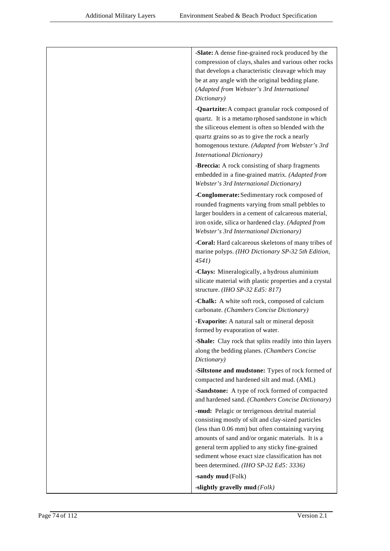| -Slate: A dense fine-grained rock produced by the<br>compression of clays, shales and various other rocks<br>that develops a characteristic cleavage which may<br>be at any angle with the original bedding plane.<br>(Adapted from Webster's 3rd International<br>Dictionary)                                                                                 |
|----------------------------------------------------------------------------------------------------------------------------------------------------------------------------------------------------------------------------------------------------------------------------------------------------------------------------------------------------------------|
| -Quartzite: A compact granular rock composed of<br>quartz. It is a metamorphosed sandstone in which<br>the siliceous element is often so blended with the<br>quartz grains so as to give the rock a nearly<br>homogenous texture. (Adapted from Webster's 3rd<br><b>International Dictionary)</b>                                                              |
| -Breccia: A rock consisting of sharp fragments<br>embedded in a fine-grained matrix. (Adapted from<br>Webster's 3rd International Dictionary)                                                                                                                                                                                                                  |
| -Conglomerate: Sedimentary rock composed of<br>rounded fragments varying from small pebbles to<br>larger boulders in a cement of calcareous material,<br>iron oxide, silica or hardened clay. (Adapted from<br>Webster's 3rd International Dictionary)                                                                                                         |
| -Coral: Hard calcareous skeletons of many tribes of<br>marine polyps. (IHO Dictionary SP-32 5th Edition,<br>4541)                                                                                                                                                                                                                                              |
| -Clays: Mineralogically, a hydrous aluminium<br>silicate material with plastic properties and a crystal<br>structure. (IHO SP-32 Ed5: 817)                                                                                                                                                                                                                     |
| -Chalk: A white soft rock, composed of calcium<br>carbonate. (Chambers Concise Dictionary)                                                                                                                                                                                                                                                                     |
| -Evaporite: A natural salt or mineral deposit<br>formed by evaporation of water.                                                                                                                                                                                                                                                                               |
| -Shale: Clay rock that splits readily into thin layers<br>along the bedding planes. (Chambers Concise<br>Dictionary)                                                                                                                                                                                                                                           |
| -Siltstone and mudstone: Types of rock formed of<br>compacted and hardened silt and mud. (AML)                                                                                                                                                                                                                                                                 |
| -Sandstone: A type of rock formed of compacted<br>and hardened sand. (Chambers Concise Dictionary)                                                                                                                                                                                                                                                             |
| -mud: Pelagic or terrigenous detrital material<br>consisting mostly of silt and clay-sized particles<br>(less than 0.06 mm) but often containing varying<br>amounts of sand and/or organic materials. It is a<br>general term applied to any sticky fine-grained<br>sediment whose exact size classification has not<br>been determined. (IHO SP-32 Ed5: 3336) |
| -sandy mud (Folk)<br>-slightly gravelly mud $(Folk)$                                                                                                                                                                                                                                                                                                           |
|                                                                                                                                                                                                                                                                                                                                                                |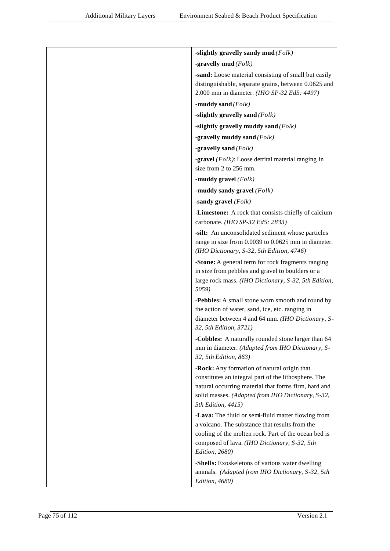| -slightly gravelly sandy mud $(Folk)$                                                                                                                                                                                                  |
|----------------------------------------------------------------------------------------------------------------------------------------------------------------------------------------------------------------------------------------|
| -gravelly mud $(Folk)$                                                                                                                                                                                                                 |
| -sand: Loose material consisting of small but easily<br>distinguishable, separate grains, between 0.0625 and<br>2.000 mm in diameter. (IHO SP-32 Ed5: 4497)                                                                            |
| -muddy sand $(Folk)$                                                                                                                                                                                                                   |
| -slightly gravelly sand $(Folk)$                                                                                                                                                                                                       |
| -slightly gravelly muddy sand $(Folk)$                                                                                                                                                                                                 |
| -gravelly muddy sand $(Folk)$                                                                                                                                                                                                          |
| -gravelly sand $(Folk)$                                                                                                                                                                                                                |
| <b>-gravel</b> ( $Folk$ ): Loose detrital material ranging in<br>size from 2 to 256 mm.                                                                                                                                                |
| -muddy gravel $(Folk)$                                                                                                                                                                                                                 |
| -muddy sandy gravel $(Folk)$                                                                                                                                                                                                           |
| -sandy gravel $(Folk)$                                                                                                                                                                                                                 |
| -Limestone: A rock that consists chiefly of calcium<br>carbonate. (IHO SP-32 Ed5: 2833)                                                                                                                                                |
| -silt: An unconsolidated sediment whose particles<br>range in size from 0.0039 to 0.0625 mm in diameter.<br>(IHO Dictionary, S-32, 5th Edition, 4746)                                                                                  |
| -Stone: A general term for rock fragments ranging<br>in size from pebbles and gravel to boulders or a<br>large rock mass. (IHO Dictionary, S-32, 5th Edition,<br>5059)                                                                 |
| -Pebbles: A small stone worn smooth and round by<br>the action of water, sand, ice, etc. ranging in<br>diameter between 4 and 64 mm. (IHO Dictionary, S-<br>32, 5th Edition, 3721)                                                     |
| -Cobbles: A naturally rounded stone larger than 64<br>mm in diameter. (Adapted from IHO Dictionary, S-<br>32, 5th Edition, 863)                                                                                                        |
| -Rock: Any formation of natural origin that<br>constitutes an integral part of the lithosphere. The<br>natural occurring material that forms firm, hard and<br>solid masses. (Adapted from IHO Dictionary, S-32,<br>5th Edition, 4415) |
| -Lava: The fluid or semi-fluid matter flowing from<br>a volcano. The substance that results from the<br>cooling of the molten rock. Part of the ocean bed is<br>composed of lava. (IHO Dictionary, S-32, 5th<br>Edition, 2680)         |
| -Shells: Exoskeletons of various water dwelling<br>animals. (Adapted from IHO Dictionary, S-32, 5th<br>Edition, 4680)                                                                                                                  |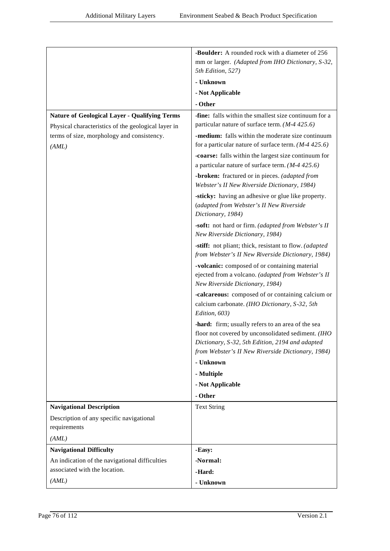|                                                      | -Boulder: A rounded rock with a diameter of 256                                                    |
|------------------------------------------------------|----------------------------------------------------------------------------------------------------|
|                                                      | mm or larger. (Adapted from IHO Dictionary, S-32,                                                  |
|                                                      | 5th Edition, 527)                                                                                  |
|                                                      | - Unknown                                                                                          |
|                                                      | - Not Applicable                                                                                   |
|                                                      | - Other                                                                                            |
| <b>Nature of Geological Layer - Qualifying Terms</b> | -fine: falls within the smallest size continuum for a                                              |
| Physical characteristics of the geological layer in  | particular nature of surface term. $(M-4425.6)$                                                    |
| terms of size, morphology and consistency.           | -medium: falls within the moderate size continuum                                                  |
| (AML)                                                | for a particular nature of surface term. $(M-4425.6)$                                              |
|                                                      | -coarse: falls within the largest size continuum for                                               |
|                                                      | a particular nature of surface term. $(M-4425.6)$                                                  |
|                                                      | -broken: fractured or in pieces. (adapted from                                                     |
|                                                      | Webster's II New Riverside Dictionary, 1984)                                                       |
|                                                      | -sticky: having an adhesive or glue like property.                                                 |
|                                                      | (adapted from Webster's II New Riverside                                                           |
|                                                      | Dictionary, 1984)                                                                                  |
|                                                      | -soft: not hard or firm. (adapted from Webster's II                                                |
|                                                      | New Riverside Dictionary, 1984)                                                                    |
|                                                      | -stiff: not pliant; thick, resistant to flow. (adapted                                             |
|                                                      | from Webster's II New Riverside Dictionary, 1984)                                                  |
|                                                      | -volcanic: composed of or containing material                                                      |
|                                                      | ejected from a volcano. (adapted from Webster's II<br>New Riverside Dictionary, 1984)              |
|                                                      |                                                                                                    |
|                                                      | -calcareous: composed of or containing calcium or<br>calcium carbonate. (IHO Dictionary, S-32, 5th |
|                                                      | Edition, 603)                                                                                      |
|                                                      | -hard: firm; usually refers to an area of the sea                                                  |
|                                                      | floor not covered by unconsolidated sediment. (IHO                                                 |
|                                                      | Dictionary, S-32, 5th Edition, 2194 and adapted                                                    |
|                                                      | from Webster's II New Riverside Dictionary, 1984)                                                  |
|                                                      | - Unknown                                                                                          |
|                                                      | - Multiple                                                                                         |
|                                                      | - Not Applicable                                                                                   |
|                                                      | - Other                                                                                            |
| <b>Navigational Description</b>                      | <b>Text String</b>                                                                                 |
| Description of any specific navigational             |                                                                                                    |
| requirements                                         |                                                                                                    |
| (AML)                                                |                                                                                                    |
| <b>Navigational Difficulty</b>                       | -Easy:                                                                                             |
| An indication of the navigational difficulties       | -Normal:                                                                                           |
| associated with the location.                        | -Hard:                                                                                             |
| (AML)                                                | - Unknown                                                                                          |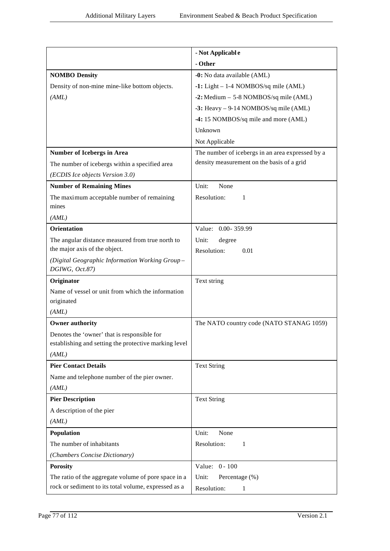|                                                                                                              | - Not Applicable                                 |
|--------------------------------------------------------------------------------------------------------------|--------------------------------------------------|
|                                                                                                              | - Other                                          |
| <b>NOMBO Density</b>                                                                                         | -0: No data available (AML)                      |
| Density of non-mine mine-like bottom objects.                                                                | $-1$ : Light - 1-4 NOMBOS/sq mile (AML)          |
| (AML)                                                                                                        | -2: Medium - 5-8 NOMBOS/sq mile (AML)            |
|                                                                                                              | -3: Heavy - 9-14 NOMBOS/sq mile (AML)            |
|                                                                                                              | -4: 15 NOMBOS/sq mile and more (AML)             |
|                                                                                                              | Unknown                                          |
|                                                                                                              | Not Applicable                                   |
| <b>Number of Icebergs in Area</b>                                                                            | The number of icebergs in an area expressed by a |
| The number of icebergs within a specified area                                                               | density measurement on the basis of a grid       |
| (ECDIS Ice objects Version 3.0)                                                                              |                                                  |
| <b>Number of Remaining Mines</b>                                                                             | Unit:<br>None                                    |
| The maximum acceptable number of remaining                                                                   | Resolution:<br>1                                 |
| mines                                                                                                        |                                                  |
| (AML)                                                                                                        |                                                  |
| <b>Orientation</b>                                                                                           | Value: 0.00-359.99                               |
| The angular distance measured from true north to                                                             | degree<br>Unit:                                  |
| the major axis of the object.                                                                                | Resolution:<br>0.01                              |
| (Digital Geographic Information Working Group-<br>DGIWG, Oct.87)                                             |                                                  |
| Originator                                                                                                   | Text string                                      |
| Name of vessel or unit from which the information                                                            |                                                  |
| originated                                                                                                   |                                                  |
| (AML)                                                                                                        |                                                  |
| <b>Owner authority</b>                                                                                       | The NATO country code (NATO STANAG 1059)         |
| Denotes the 'owner' that is responsible for                                                                  |                                                  |
| establishing and setting the protective marking level                                                        |                                                  |
| (AML)                                                                                                        |                                                  |
| <b>Pier Contact Details</b>                                                                                  | <b>Text String</b>                               |
| Name and telephone number of the pier owner.                                                                 |                                                  |
| (AML)                                                                                                        |                                                  |
| <b>Pier Description</b>                                                                                      | <b>Text String</b>                               |
| A description of the pier                                                                                    |                                                  |
| (AML)                                                                                                        |                                                  |
| Population                                                                                                   | Unit:<br>None                                    |
| The number of inhabitants                                                                                    | Resolution:<br>1                                 |
| (Chambers Concise Dictionary)                                                                                |                                                  |
| <b>Porosity</b>                                                                                              | Value: 0 - 100                                   |
| The ratio of the aggregate volume of pore space in a<br>rock or sediment to its total volume, expressed as a | Unit:<br>Percentage (%)                          |
|                                                                                                              | Resolution:<br>1                                 |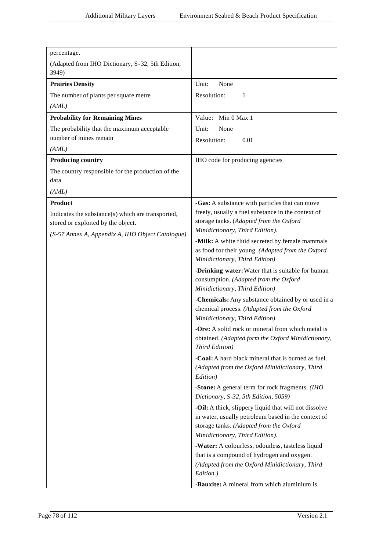| percentage.                                       |                                                                                                         |
|---------------------------------------------------|---------------------------------------------------------------------------------------------------------|
| (Adapted from IHO Dictionary, S-32, 5th Edition,  |                                                                                                         |
| 3949)                                             |                                                                                                         |
| <b>Prairies Density</b>                           | Unit:<br>None                                                                                           |
| The number of plants per square metre             | Resolution:<br>1                                                                                        |
| (AML)                                             |                                                                                                         |
| <b>Probability for Remaining Mines</b>            | Value: Min 0 Max 1                                                                                      |
| The probability that the maximum acceptable       | Unit:<br>None                                                                                           |
| number of mines remain                            | Resolution:<br>0.01                                                                                     |
| (AML)                                             |                                                                                                         |
| <b>Producing country</b>                          | IHO code for producing agencies                                                                         |
| The country responsible for the production of the |                                                                                                         |
| data                                              |                                                                                                         |
| (AML)                                             |                                                                                                         |
| <b>Product</b>                                    | -Gas: A substance with particles that can move                                                          |
| Indicates the substance(s) which are transported, | freely, usually a fuel substance in the context of                                                      |
| stored or exploited by the object.                | storage tanks. (Adapted from the Oxford                                                                 |
| (S-57 Annex A, Appendix A, IHO Object Catalogue)  | Minidictionary, Third Edition).<br>-Milk: A white fluid secreted by female mammals                      |
|                                                   | as food for their young. (Adapted from the Oxford                                                       |
|                                                   | Minidictionary, Third Edition)                                                                          |
|                                                   | -Drinking water: Water that is suitable for human                                                       |
|                                                   | consumption. (Adapted from the Oxford                                                                   |
|                                                   | Minidictionary, Third Edition)                                                                          |
|                                                   | -Chemicals: Any substance obtained by or used in a                                                      |
|                                                   | chemical process. (Adapted from the Oxford                                                              |
|                                                   | Minidictionary, Third Edition)                                                                          |
|                                                   | -Ore: A solid rock or mineral from which metal is<br>obtained. (Adapted form the Oxford Minidictionary, |
|                                                   | Third Edition)                                                                                          |
|                                                   | -Coal: A hard black mineral that is burned as fuel.                                                     |
|                                                   | (Adapted from the Oxford Minidictionary, Third                                                          |
|                                                   | Edition)                                                                                                |
|                                                   | -Stone: A general term for rock fragments. (IHO                                                         |
|                                                   | Dictionary, S-32, 5th Edition, 5059)                                                                    |
|                                                   | -Oil: A thick, slippery liquid that will not dissolve                                                   |
|                                                   | in water, usually petroleum based in the context of                                                     |
|                                                   | storage tanks. (Adapted from the Oxford<br>Minidictionary, Third Edition).                              |
|                                                   | -Water: A colourless, odourless, tasteless liquid                                                       |
|                                                   | that is a compound of hydrogen and oxygen.                                                              |
|                                                   | (Adapted from the Oxford Minidictionary, Third                                                          |
|                                                   | Edition.)                                                                                               |
|                                                   | -Bauxite: A mineral from which aluminium is                                                             |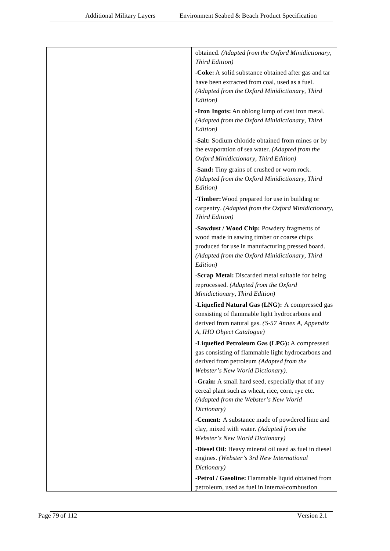| obtained. (Adapted from the Oxford Minidictionary,<br>Third Edition)                                                                                                                                       |
|------------------------------------------------------------------------------------------------------------------------------------------------------------------------------------------------------------|
| -Coke: A solid substance obtained after gas and tar<br>have been extracted from coal, used as a fuel.<br>(Adapted from the Oxford Minidictionary, Third<br>Edition)                                        |
| -Iron Ingots: An oblong lump of cast iron metal.<br>(Adapted from the Oxford Minidictionary, Third<br>Edition)                                                                                             |
| -Salt: Sodium chloride obtained from mines or by<br>the evaporation of sea water. (Adapted from the<br>Oxford Minidictionary, Third Edition)                                                               |
| -Sand: Tiny grains of crushed or worn rock.<br>(Adapted from the Oxford Minidictionary, Third<br>Edition)                                                                                                  |
| -Timber: Wood prepared for use in building or<br>carpentry. (Adapted from the Oxford Minidictionary,<br>Third Edition)                                                                                     |
| -Sawdust / Wood Chip: Powdery fragments of<br>wood made in sawing timber or coarse chips<br>produced for use in manufacturing pressed board.<br>(Adapted from the Oxford Minidictionary, Third<br>Edition) |
| -Scrap Metal: Discarded metal suitable for being<br>reprocessed. (Adapted from the Oxford<br>Minidictionary, Third Edition)                                                                                |
| -Liquefied Natural Gas (LNG): A compressed gas<br>consisting of flammable light hydrocarbons and<br>derived from natural gas. (S-57 Annex A, Appendix<br>A, IHO Object Catalogue)                          |
| -Liquefied Petroleum Gas (LPG): A compressed<br>gas consisting of flammable light hydrocarbons and<br>derived from petroleum (Adapted from the<br>Webster's New World Dictionary).                         |
| -Grain: A small hard seed, especially that of any<br>cereal plant such as wheat, rice, corn, rye etc.<br>(Adapted from the Webster's New World<br>Dictionary)                                              |
| -Cement: A substance made of powdered lime and<br>clay, mixed with water. (Adapted from the<br>Webster's New World Dictionary)                                                                             |
| -Diesel Oil: Heavy mineral oil used as fuel in diesel<br>engines. (Webster's 3rd New International<br>Dictionary)                                                                                          |
| -Petrol / Gasoline: Flammable liquid obtained from<br>petroleum, used as fuel in internal-combustion                                                                                                       |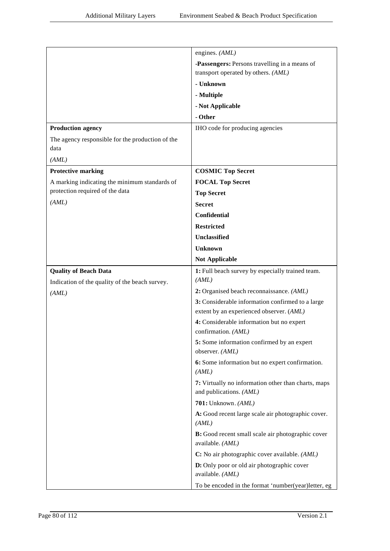|                                                          | engines. (AML)                                                                 |
|----------------------------------------------------------|--------------------------------------------------------------------------------|
|                                                          | -Passengers: Persons travelling in a means of                                  |
|                                                          | transport operated by others. (AML)                                            |
|                                                          | - Unknown                                                                      |
|                                                          | - Multiple                                                                     |
|                                                          | - Not Applicable                                                               |
|                                                          | - Other                                                                        |
| <b>Production agency</b>                                 | IHO code for producing agencies                                                |
| The agency responsible for the production of the<br>data |                                                                                |
| (AML)                                                    |                                                                                |
| <b>Protective marking</b>                                | <b>COSMIC Top Secret</b>                                                       |
| A marking indicating the minimum standards of            | <b>FOCAL Top Secret</b>                                                        |
| protection required of the data                          | <b>Top Secret</b>                                                              |
| (AML)                                                    | <b>Secret</b>                                                                  |
|                                                          | <b>Confidential</b>                                                            |
|                                                          | <b>Restricted</b>                                                              |
|                                                          | <b>Unclassified</b>                                                            |
|                                                          | <b>Unknown</b>                                                                 |
|                                                          | <b>Not Applicable</b>                                                          |
| <b>Quality of Beach Data</b>                             | 1: Full beach survey by especially trained team.                               |
| Indication of the quality of the beach survey.           | (AML)                                                                          |
| (AML)                                                    | 2: Organised beach reconnaissance. (AML)                                       |
|                                                          | 3: Considerable information confirmed to a large                               |
|                                                          | extent by an experienced observer. (AML)                                       |
|                                                          | 4: Considerable information but no expert<br>confirmation. (AML)               |
|                                                          | 5: Some information confirmed by an expert<br>observer. (AML)                  |
|                                                          | 6: Some information but no expert confirmation.<br>(AML)                       |
|                                                          | 7: Virtually no information other than charts, maps<br>and publications. (AML) |
|                                                          | $701:$ Unknown. $(AML)$                                                        |
|                                                          | A: Good recent large scale air photographic cover.                             |
|                                                          | (AML)                                                                          |
|                                                          | <b>B:</b> Good recent small scale air photographic cover                       |
|                                                          | available. (AML)                                                               |
|                                                          | C: No air photographic cover available. (AML)                                  |
|                                                          | D: Only poor or old air photographic cover<br>available. (AML)                 |
|                                                          | To be encoded in the format 'number(year)letter, eg                            |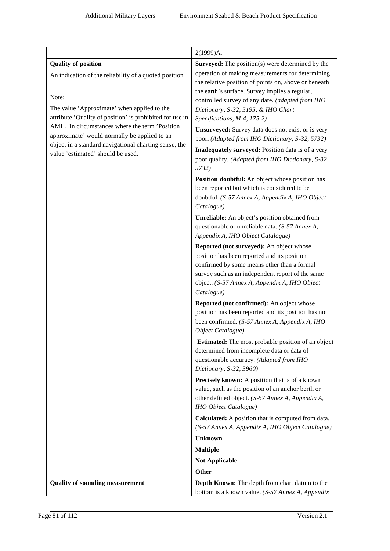|                                                                                                            | 2(1999)A.                                                                                       |
|------------------------------------------------------------------------------------------------------------|-------------------------------------------------------------------------------------------------|
| <b>Quality of position</b>                                                                                 | <b>Surveyed:</b> The position(s) were determined by the                                         |
| An indication of the reliability of a quoted position                                                      | operation of making measurements for determining                                                |
|                                                                                                            | the relative position of points on, above or beneath                                            |
|                                                                                                            | the earth's surface. Survey implies a regular,                                                  |
| Note:                                                                                                      | controlled survey of any date. (adapted from IHO                                                |
| The value 'Approximate' when applied to the                                                                | Dictionary, S-32, 5195, & IHO Chart                                                             |
| attribute 'Quality of position' is prohibited for use in<br>AML. In circumstances where the term 'Position | Specifications, M-4, 175.2)                                                                     |
| approximate' would normally be applied to an                                                               | Unsurveyed: Survey data does not exist or is very                                               |
| object in a standard navigational charting sense, the                                                      | poor. (Adapted from IHO Dictionary, S-32, 5732)                                                 |
| value 'estimated' should be used.                                                                          | Inadequately surveyed: Position data is of a very                                               |
|                                                                                                            | poor quality. (Adapted from IHO Dictionary, S-32,                                               |
|                                                                                                            | 5732)                                                                                           |
|                                                                                                            | Position doubtful: An object whose position has                                                 |
|                                                                                                            | been reported but which is considered to be                                                     |
|                                                                                                            | doubtful. (S-57 Annex A, Appendix A, IHO Object                                                 |
|                                                                                                            | Catalogue)                                                                                      |
|                                                                                                            | Unreliable: An object's position obtained from                                                  |
|                                                                                                            | questionable or unreliable data. (S-57 Annex A,                                                 |
|                                                                                                            | Appendix A, IHO Object Catalogue)                                                               |
|                                                                                                            | Reported (not surveyed): An object whose                                                        |
|                                                                                                            | position has been reported and its position                                                     |
|                                                                                                            | confirmed by some means other than a formal<br>survey such as an independent report of the same |
|                                                                                                            | object. (S-57 Annex A, Appendix A, IHO Object                                                   |
|                                                                                                            | Catalogue)                                                                                      |
|                                                                                                            | Reported (not confirmed): An object whose                                                       |
|                                                                                                            | position has been reported and its position has not                                             |
|                                                                                                            | been confirmed. (S-57 Annex A, Appendix A, IHO                                                  |
|                                                                                                            | Object Catalogue)                                                                               |
|                                                                                                            | Estimated: The most probable position of an object                                              |
|                                                                                                            | determined from incomplete data or data of                                                      |
|                                                                                                            | questionable accuracy. (Adapted from IHO                                                        |
|                                                                                                            | Dictionary, S-32, 3960)                                                                         |
|                                                                                                            | <b>Precisely known:</b> A position that is of a known                                           |
|                                                                                                            | value, such as the position of an anchor berth or                                               |
|                                                                                                            | other defined object. (S-57 Annex A, Appendix A,                                                |
|                                                                                                            | <b>IHO</b> Object Catalogue)                                                                    |
|                                                                                                            | <b>Calculated:</b> A position that is computed from data.                                       |
|                                                                                                            | (S-57 Annex A, Appendix A, IHO Object Catalogue)                                                |
|                                                                                                            | <b>Unknown</b>                                                                                  |
|                                                                                                            | <b>Multiple</b>                                                                                 |
|                                                                                                            | <b>Not Applicable</b>                                                                           |
|                                                                                                            | Other                                                                                           |
| <b>Quality of sounding measurement</b>                                                                     | Depth Known: The depth from chart datum to the                                                  |
|                                                                                                            | bottom is a known value. (S-57 Annex A, Appendix                                                |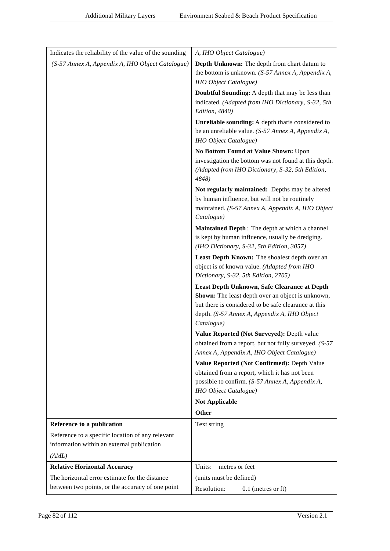| Indicates the reliability of the value of the sounding | A, IHO Object Catalogue)                                                                     |
|--------------------------------------------------------|----------------------------------------------------------------------------------------------|
| (S-57 Annex A, Appendix A, IHO Object Catalogue)       | Depth Unknown: The depth from chart datum to                                                 |
|                                                        | the bottom is unknown. (S-57 Annex A, Appendix A,                                            |
|                                                        | <b>IHO</b> Object Catalogue)                                                                 |
|                                                        | Doubtful Sounding: A depth that may be less than                                             |
|                                                        | indicated. (Adapted from IHO Dictionary, S-32, 5th<br>Edition, 4840)                         |
|                                                        | Unreliable sounding: A depth that is considered to                                           |
|                                                        | be an unreliable value. (S-57 Annex A, Appendix A,                                           |
|                                                        | IHO Object Catalogue)                                                                        |
|                                                        | No Bottom Found at Value Shown: Upon                                                         |
|                                                        | investigation the bottom was not found at this depth.                                        |
|                                                        | (Adapted from IHO Dictionary, S-32, 5th Edition,<br>4848)                                    |
|                                                        | Not regularly maintained: Depths may be altered                                              |
|                                                        | by human influence, but will not be routinely                                                |
|                                                        | maintained. (S-57 Annex A, Appendix A, IHO Object<br>Catalogue)                              |
|                                                        | Maintained Depth: The depth at which a channel                                               |
|                                                        | is kept by human influence, usually be dredging.                                             |
|                                                        | (IHO Dictionary, S-32, 5th Edition, 3057)                                                    |
|                                                        | Least Depth Known: The shoalest depth over an<br>object is of known value. (Adapted from IHO |
|                                                        | Dictionary, S-32, 5th Edition, 2705)                                                         |
|                                                        | Least Depth Unknown, Safe Clearance at Depth                                                 |
|                                                        | Shown: The least depth over an object is unknown,                                            |
|                                                        | but there is considered to be safe clearance at this                                         |
|                                                        | depth. (S-57 Annex A, Appendix A, IHO Object<br>Catalogue)                                   |
|                                                        | Value Reported (Not Surveyed): Depth value                                                   |
|                                                        | obtained from a report, but not fully surveyed. (S-57                                        |
|                                                        | Annex A, Appendix A, IHO Object Catalogue)                                                   |
|                                                        | Value Reported (Not Confirmed): Depth Value                                                  |
|                                                        | obtained from a report, which it has not been                                                |
|                                                        | possible to confirm. (S-57 Annex A, Appendix A,<br><b>IHO</b> Object Catalogue)              |
|                                                        | <b>Not Applicable</b>                                                                        |
|                                                        | <b>Other</b>                                                                                 |
| Reference to a publication                             | Text string                                                                                  |
| Reference to a specific location of any relevant       |                                                                                              |
| information within an external publication             |                                                                                              |
| (AML)                                                  |                                                                                              |
| <b>Relative Horizontal Accuracy</b>                    | Units:<br>metres or feet                                                                     |
| The horizontal error estimate for the distance         | (units must be defined)                                                                      |
| between two points, or the accuracy of one point       | Resolution:<br>$0.1$ (metres or ft)                                                          |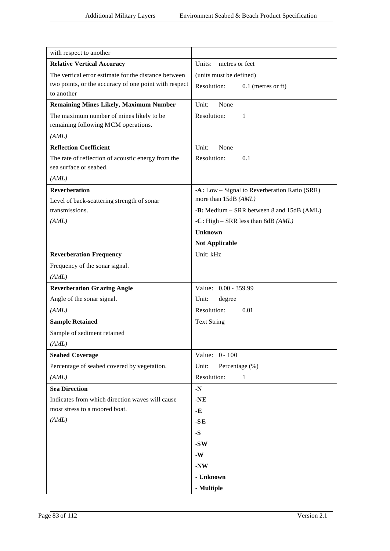| with respect to another                                                               |                                                  |
|---------------------------------------------------------------------------------------|--------------------------------------------------|
| <b>Relative Vertical Accuracy</b>                                                     | Units: metres or feet                            |
| The vertical error estimate for the distance between                                  | (units must be defined)                          |
| two points, or the accuracy of one point with respect<br>to another                   | Resolution:<br>$0.1$ (metres or ft)              |
| <b>Remaining Mines Likely, Maximum Number</b>                                         | None<br>Unit:                                    |
| The maximum number of mines likely to be<br>remaining following MCM operations.       | Resolution:<br>-1                                |
| (AML)                                                                                 |                                                  |
| <b>Reflection Coefficient</b>                                                         | Unit:<br>None                                    |
| The rate of reflection of acoustic energy from the<br>sea surface or seabed.<br>(AML) | Resolution:<br>0.1                               |
| <b>Reverberation</b>                                                                  | $-A$ : Low – Signal to Reverberation Ratio (SRR) |
| Level of back-scattering strength of sonar                                            | more than 15dB (AML)                             |
| transmissions.                                                                        | -B: Medium - SRR between 8 and 15dB (AML)        |
| (AML)                                                                                 | -C: High – SRR less than 8dB $(AML)$             |
|                                                                                       | <b>Unknown</b>                                   |
|                                                                                       | <b>Not Applicable</b>                            |
| <b>Reverberation Frequency</b>                                                        | Unit: kHz                                        |
| Frequency of the sonar signal.                                                        |                                                  |
| (AML)                                                                                 |                                                  |
| <b>Reverberation Grazing Angle</b>                                                    | Value: 0.00 - 359.99                             |
| Angle of the sonar signal.                                                            | Unit:<br>degree                                  |
| (AML)                                                                                 | Resolution:<br>0.01                              |
| <b>Sample Retained</b>                                                                | <b>Text String</b>                               |
| Sample of sediment retained                                                           |                                                  |
| (AML)                                                                                 |                                                  |
| <b>Seabed Coverage</b>                                                                | Value: 0 - 100                                   |
| Percentage of seabed covered by vegetation.                                           | Unit:<br>Percentage (%)                          |
| (AML)                                                                                 | Resolution:<br>$\mathbf{1}$                      |
| <b>Sea Direction</b>                                                                  | $\textbf{-N}$                                    |
| Indicates from which direction waves will cause                                       | $-NE$                                            |
| most stress to a moored boat.                                                         | $-E$                                             |
| (AML)                                                                                 | $-SE$                                            |
|                                                                                       | $-S$                                             |
|                                                                                       | $-SW$                                            |
|                                                                                       | $-W$                                             |
|                                                                                       | $-NW$                                            |
|                                                                                       | - Unknown                                        |
|                                                                                       | - Multiple                                       |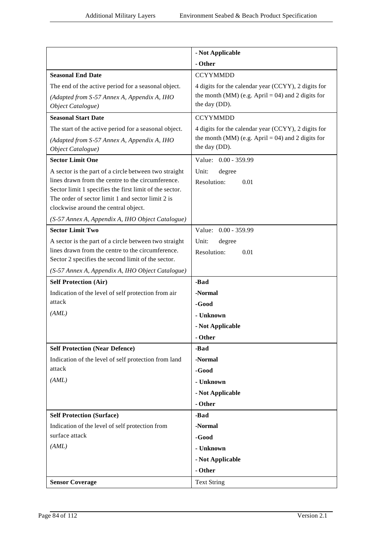|                                                                                                              | - Not Applicable                                    |
|--------------------------------------------------------------------------------------------------------------|-----------------------------------------------------|
|                                                                                                              | - Other                                             |
| <b>Seasonal End Date</b>                                                                                     | <b>CCYYMMDD</b>                                     |
| The end of the active period for a seasonal object.                                                          | 4 digits for the calendar year (CCYY), 2 digits for |
| (Adapted from S-57 Annex A, Appendix A, IHO                                                                  | the month (MM) (e.g. April = 04) and 2 digits for   |
| Object Catalogue)                                                                                            | the day (DD).                                       |
| <b>Seasonal Start Date</b>                                                                                   | <b>CCYYMMDD</b>                                     |
| The start of the active period for a seasonal object.                                                        | 4 digits for the calendar year (CCYY), 2 digits for |
| (Adapted from S-57 Annex A, Appendix A, IHO                                                                  | the month (MM) (e.g. April = 04) and 2 digits for   |
| Object Catalogue)                                                                                            | the day (DD).                                       |
| <b>Sector Limit One</b>                                                                                      | Value: 0.00 - 359.99                                |
| A sector is the part of a circle between two straight                                                        | Unit:<br>degree                                     |
| lines drawn from the centre to the circumference.                                                            | Resolution:<br>0.01                                 |
| Sector limit 1 specifies the first limit of the sector.<br>The order of sector limit 1 and sector limit 2 is |                                                     |
| clockwise around the central object.                                                                         |                                                     |
| (S-57 Annex A, Appendix A, IHO Object Catalogue)                                                             |                                                     |
| <b>Sector Limit Two</b>                                                                                      | Value: 0.00 - 359.99                                |
| A sector is the part of a circle between two straight                                                        | Unit:<br>degree                                     |
| lines drawn from the centre to the circumference.                                                            | Resolution:<br>0.01                                 |
| Sector 2 specifies the second limit of the sector.                                                           |                                                     |
| (S-57 Annex A, Appendix A, IHO Object Catalogue)                                                             |                                                     |
| <b>Self Protection (Air)</b>                                                                                 | -Bad                                                |
| Indication of the level of self protection from air                                                          | -Normal                                             |
| attack                                                                                                       | -Good                                               |
| (AML)                                                                                                        | - Unknown                                           |
|                                                                                                              | - Not Applicable                                    |
|                                                                                                              | - Other                                             |
| <b>Self Protection (Near Defence)</b>                                                                        | -Bad                                                |
| Indication of the level of self protection from land                                                         | -Normal                                             |
| attack                                                                                                       | -Good                                               |
| (AML)                                                                                                        | - Unknown                                           |
|                                                                                                              | - Not Applicable                                    |
|                                                                                                              | - Other                                             |
| <b>Self Protection (Surface)</b>                                                                             | -Bad                                                |
| Indication of the level of self protection from                                                              | -Normal                                             |
| surface attack                                                                                               | -Good                                               |
| (AML)                                                                                                        | - Unknown                                           |
|                                                                                                              | - Not Applicable                                    |
|                                                                                                              | - Other                                             |
| <b>Sensor Coverage</b>                                                                                       | <b>Text String</b>                                  |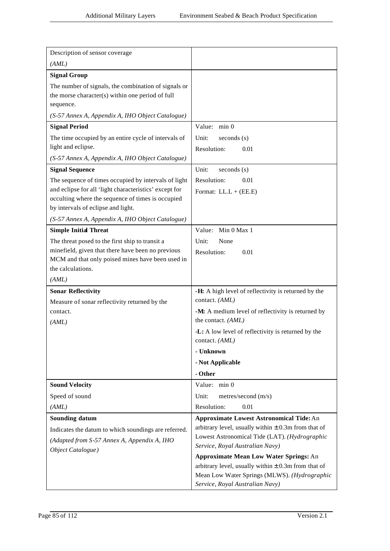| Description of sensor coverage                                                                                             |                                                                                                                                             |
|----------------------------------------------------------------------------------------------------------------------------|---------------------------------------------------------------------------------------------------------------------------------------------|
| (AML)                                                                                                                      |                                                                                                                                             |
| <b>Signal Group</b>                                                                                                        |                                                                                                                                             |
| The number of signals, the combination of signals or<br>the morse character(s) within one period of full<br>sequence.      |                                                                                                                                             |
| (S-57 Annex A, Appendix A, IHO Object Catalogue)                                                                           |                                                                                                                                             |
| <b>Signal Period</b>                                                                                                       | Value: min 0                                                                                                                                |
| The time occupied by an entire cycle of intervals of<br>light and eclipse.                                                 | Unit:<br>seconds(s)<br>Resolution:<br>0.01                                                                                                  |
| (S-57 Annex A, Appendix A, IHO Object Catalogue)                                                                           |                                                                                                                                             |
| <b>Signal Sequence</b>                                                                                                     | Unit:<br>seconds(s)                                                                                                                         |
| The sequence of times occupied by intervals of light<br>and eclipse for all 'light characteristics' except for             | Resolution:<br>0.01                                                                                                                         |
| occulting where the sequence of times is occupied<br>by intervals of eclipse and light.                                    | Format: $LL.L + (EE.E)$                                                                                                                     |
| (S-57 Annex A, Appendix A, IHO Object Catalogue)                                                                           |                                                                                                                                             |
| <b>Simple Initial Threat</b>                                                                                               | Value: Min 0 Max 1                                                                                                                          |
| The threat posed to the first ship to transit a                                                                            | Unit:<br>None                                                                                                                               |
| minefield, given that there have been no previous<br>MCM and that only poised mines have been used in<br>the calculations. | Resolution:<br>0.01                                                                                                                         |
| (AML)                                                                                                                      |                                                                                                                                             |
| <b>Sonar Reflectivity</b>                                                                                                  | -H: A high level of reflectivity is returned by the                                                                                         |
| Measure of sonar reflectivity returned by the                                                                              | contact. (AML)                                                                                                                              |
| contact.                                                                                                                   | -M: A medium level of reflectivity is returned by                                                                                           |
| (AML)                                                                                                                      | the contact. (AML)                                                                                                                          |
|                                                                                                                            | -L: A low level of reflectivity is returned by the<br>contact. (AML)                                                                        |
|                                                                                                                            | - Unknown                                                                                                                                   |
|                                                                                                                            | - Not Applicable                                                                                                                            |
|                                                                                                                            | - Other                                                                                                                                     |
| <b>Sound Velocity</b>                                                                                                      | Value: min 0                                                                                                                                |
| Speed of sound                                                                                                             | Unit:<br>metres/second (m/s)                                                                                                                |
| (AML)                                                                                                                      | Resolution:<br>0.01                                                                                                                         |
| <b>Sounding datum</b>                                                                                                      | <b>Approximate Lowest Astronomical Tide: An</b>                                                                                             |
| Indicates the datum to which soundings are referred.<br>(Adapted from S-57 Annex A, Appendix A, IHO<br>Object Catalogue)   | arbitrary level, usually within $\pm$ 0.3m from that of<br>Lowest Astronomical Tide (LAT). (Hydrographic<br>Service, Royal Australian Navy) |
|                                                                                                                            | <b>Approximate Mean Low Water Springs: An</b>                                                                                               |
|                                                                                                                            | arbitrary level, usually within $\pm$ 0.3m from that of<br>Mean Low Water Springs (MLWS). (Hydrographic<br>Service, Royal Australian Navy)  |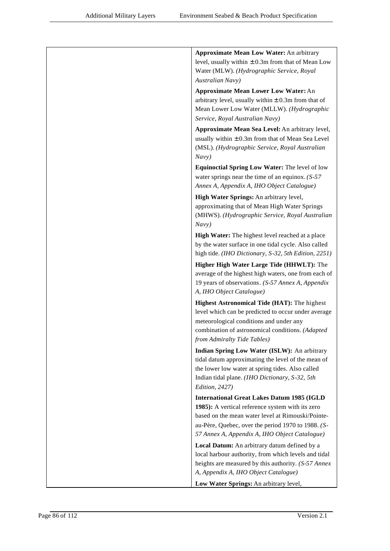| <b>Approximate Mean Low Water: An arbitrary</b>                                                                                                                                                                                   |
|-----------------------------------------------------------------------------------------------------------------------------------------------------------------------------------------------------------------------------------|
| level, usually within $\pm$ 0.3m from that of Mean Low                                                                                                                                                                            |
| Water (MLW). (Hydrographic Service, Royal                                                                                                                                                                                         |
| Australian Navy)                                                                                                                                                                                                                  |
| <b>Approximate Mean Lower Low Water: An</b>                                                                                                                                                                                       |
| arbitrary level, usually within $\pm$ 0.3m from that of                                                                                                                                                                           |
| Mean Lower Low Water (MLLW). (Hydrographic                                                                                                                                                                                        |
| Service, Royal Australian Navy)                                                                                                                                                                                                   |
| Approximate Mean Sea Level: An arbitrary level,<br>usually within $\pm$ 0.3m from that of Mean Sea Level<br>(MSL). (Hydrographic Service, Royal Australian<br>Navy)                                                               |
| Equinoctial Spring Low Water: The level of low<br>water springs near the time of an equinox. $(S-57)$<br>Annex A, Appendix A, IHO Object Catalogue)                                                                               |
|                                                                                                                                                                                                                                   |
| High Water Springs: An arbitrary level,<br>approximating that of Mean High Water Springs<br>(MHWS). (Hydrographic Service, Royal Australian<br>Navy)                                                                              |
| High Water: The highest level reached at a place                                                                                                                                                                                  |
| by the water surface in one tidal cycle. Also called<br>high tide. (IHO Dictionary, S-32, 5th Edition, 2251)                                                                                                                      |
| Higher High Water Large Tide (HHWLT): The<br>average of the highest high waters, one from each of<br>19 years of observations. (S-57 Annex A, Appendix<br>A, IHO Object Catalogue)                                                |
| Highest Astronomical Tide (HAT): The highest<br>level which can be predicted to occur under average<br>meteorological conditions and under any<br>combination of astronomical conditions. (Adapted<br>from Admiralty Tide Tables) |
| Indian Spring Low Water (ISLW): An arbitrary                                                                                                                                                                                      |
| tidal datum approximating the level of the mean of<br>the lower low water at spring tides. Also called<br>Indian tidal plane. (IHO Dictionary, S-32, 5th<br>Edition, 2427)                                                        |
| <b>International Great Lakes Datum 1985 (IGLD</b>                                                                                                                                                                                 |
| 1985): A vertical reference system with its zero<br>based on the mean water level at Rimouski/Pointe-<br>au-Père, Quebec, over the period 1970 to 1988. (S-<br>57 Annex A, Appendix A, IHO Object Catalogue)                      |
| Local Datum: An arbitrary datum defined by a                                                                                                                                                                                      |
| local harbour authority, from which levels and tidal                                                                                                                                                                              |
| heights are measured by this authority. (S-57 Annex<br>A, Appendix A, IHO Object Catalogue)                                                                                                                                       |
| Low Water Springs: An arbitrary level,                                                                                                                                                                                            |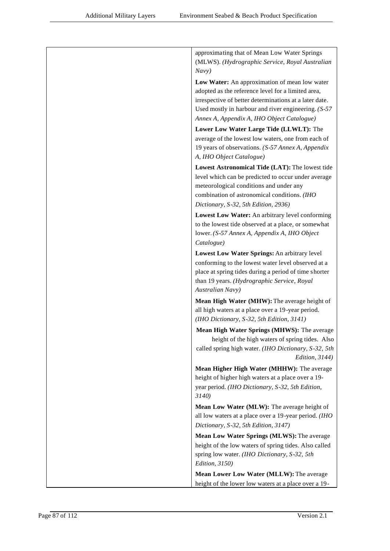| approximating that of Mean Low Water Springs<br>(MLWS). (Hydrographic Service, Royal Australian                                                                                        |
|----------------------------------------------------------------------------------------------------------------------------------------------------------------------------------------|
| Navy)                                                                                                                                                                                  |
| Low Water: An approximation of mean low water<br>adopted as the reference level for a limited area,                                                                                    |
| irrespective of better determinations at a later date.<br>Used mostly in harbour and river engineering. $(S-57)$                                                                       |
| Annex A, Appendix A, IHO Object Catalogue)                                                                                                                                             |
| Lower Low Water Large Tide (LLWLT): The                                                                                                                                                |
| average of the lowest low waters, one from each of<br>19 years of observations. (S-57 Annex A, Appendix<br>A, IHO Object Catalogue)                                                    |
| Lowest Astronomical Tide (LAT): The lowest tide                                                                                                                                        |
| level which can be predicted to occur under average<br>meteorological conditions and under any<br>combination of astronomical conditions. (IHO<br>Dictionary, S-32, 5th Edition, 2936) |
| Lowest Low Water: An arbitrary level conforming                                                                                                                                        |
| to the lowest tide observed at a place, or somewhat<br>lower. (S-57 Annex A, Appendix A, IHO Object<br>Catalogue)                                                                      |
| Lowest Low Water Springs: An arbitrary level                                                                                                                                           |
| conforming to the lowest water level observed at a<br>place at spring tides during a period of time shorter<br>than 19 years. (Hydrographic Service, Royal<br>Australian Navy)         |
| Mean High Water (MHW): The average height of<br>all high waters at a place over a 19-year period.<br>(IHO Dictionary, S-32, 5th Edition, 3141)                                         |
| Mean High Water Springs (MHWS): The average                                                                                                                                            |
| height of the high waters of spring tides. Also<br>called spring high water. (IHO Dictionary, S-32, 5th<br><i>Edition, 3144</i> )                                                      |
| Mean Higher High Water (MHHW): The average<br>height of higher high waters at a place over a 19-<br>year period. (IHO Dictionary, S-32, 5th Edition,<br>3140)                          |
| Mean Low Water (MLW): The average height of<br>all low waters at a place over a 19-year period. (IHO<br>Dictionary, S-32, 5th Edition, 3147)                                           |
| Mean Low Water Springs (MLWS): The average                                                                                                                                             |
| height of the low waters of spring tides. Also called<br>spring low water. (IHO Dictionary, S-32, 5th<br>Edition, 3150)                                                                |
| Mean Lower Low Water (MLLW): The average                                                                                                                                               |
| height of the lower low waters at a place over a 19-                                                                                                                                   |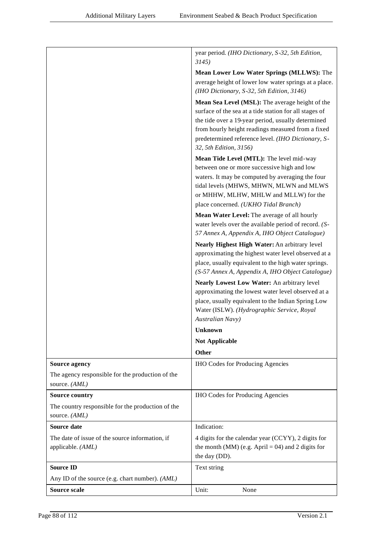|                                                                      | year period. (IHO Dictionary, S-32, 5th Edition,<br>3145)                                                                                                                                                                                                                                            |
|----------------------------------------------------------------------|------------------------------------------------------------------------------------------------------------------------------------------------------------------------------------------------------------------------------------------------------------------------------------------------------|
|                                                                      | Mean Lower Low Water Springs (MLLWS): The                                                                                                                                                                                                                                                            |
|                                                                      | average height of lower low water springs at a place.<br>(IHO Dictionary, S-32, 5th Edition, 3146)                                                                                                                                                                                                   |
|                                                                      | Mean Sea Level (MSL): The average height of the<br>surface of the sea at a tide station for all stages of<br>the tide over a 19-year period, usually determined<br>from hourly height readings measured from a fixed<br>predetermined reference level. (IHO Dictionary, S-<br>32, 5th Edition, 3156) |
|                                                                      | Mean Tide Level (MTL): The level mid-way<br>between one or more successive high and low<br>waters. It may be computed by averaging the four<br>tidal levels (MHWS, MHWN, MLWN and MLWS<br>or MHHW, MLHW, MHLW and MLLW) for the                                                                      |
|                                                                      | place concerned. (UKHO Tidal Branch)                                                                                                                                                                                                                                                                 |
|                                                                      | Mean Water Level: The average of all hourly<br>water levels over the available period of record. (S-<br>57 Annex A, Appendix A, IHO Object Catalogue)                                                                                                                                                |
|                                                                      | Nearly Highest High Water: An arbitrary level<br>approximating the highest water level observed at a<br>place, usually equivalent to the high water springs.<br>(S-57 Annex A, Appendix A, IHO Object Catalogue)                                                                                     |
|                                                                      | Nearly Lowest Low Water: An arbitrary level<br>approximating the lowest water level observed at a<br>place, usually equivalent to the Indian Spring Low<br>Water (ISLW). (Hydrographic Service, Royal<br>Australian Navy)                                                                            |
|                                                                      | <b>Unknown</b>                                                                                                                                                                                                                                                                                       |
|                                                                      | <b>Not Applicable</b>                                                                                                                                                                                                                                                                                |
|                                                                      | <b>Other</b>                                                                                                                                                                                                                                                                                         |
| <b>Source agency</b>                                                 | <b>IHO Codes for Producing Agencies</b>                                                                                                                                                                                                                                                              |
| The agency responsible for the production of the<br>source. (AML)    |                                                                                                                                                                                                                                                                                                      |
| <b>Source country</b>                                                | <b>IHO Codes for Producing Agencies</b>                                                                                                                                                                                                                                                              |
| The country responsible for the production of the<br>source. (AML)   |                                                                                                                                                                                                                                                                                                      |
| Source date                                                          | Indication:                                                                                                                                                                                                                                                                                          |
| The date of issue of the source information, if<br>applicable. (AML) | 4 digits for the calendar year (CCYY), 2 digits for<br>the month (MM) (e.g. April = 04) and 2 digits for<br>the day (DD).                                                                                                                                                                            |
| <b>Source ID</b>                                                     | Text string                                                                                                                                                                                                                                                                                          |
| Any ID of the source (e.g. chart number). (AML)                      |                                                                                                                                                                                                                                                                                                      |
| <b>Source scale</b>                                                  | Unit:<br>None                                                                                                                                                                                                                                                                                        |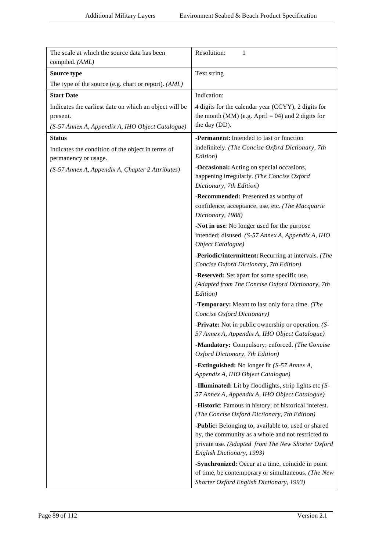| The scale at which the source data has been<br>compiled. (AML)            | Resolution:<br>1                                                                                                                                                                            |
|---------------------------------------------------------------------------|---------------------------------------------------------------------------------------------------------------------------------------------------------------------------------------------|
| Source type                                                               | Text string                                                                                                                                                                                 |
| The type of the source (e.g. chart or report). (AML)                      |                                                                                                                                                                                             |
| <b>Start Date</b>                                                         | Indication:                                                                                                                                                                                 |
| Indicates the earliest date on which an object will be                    | 4 digits for the calendar year (CCYY), 2 digits for                                                                                                                                         |
| present.                                                                  | the month (MM) (e.g. April = 04) and 2 digits for                                                                                                                                           |
| (S-57 Annex A, Appendix A, IHO Object Catalogue)                          | the day (DD).                                                                                                                                                                               |
| <b>Status</b>                                                             | -Permanent: Intended to last or function                                                                                                                                                    |
| Indicates the condition of the object in terms of<br>permanency or usage. | indefinitely. (The Concise Oxford Dictionary, 7th<br>Edition)                                                                                                                               |
| (S-57 Annex A, Appendix A, Chapter 2 Attributes)                          | -Occasional: Acting on special occasions,<br>happening irregularly. (The Concise Oxford<br>Dictionary, 7th Edition)                                                                         |
|                                                                           | -Recommended: Presented as worthy of                                                                                                                                                        |
|                                                                           | confidence, acceptance, use, etc. (The Macquarie<br>Dictionary, 1988)                                                                                                                       |
|                                                                           | -Not in use: No longer used for the purpose<br>intended; disused. (S-57 Annex A, Appendix A, IHO<br>Object Catalogue)                                                                       |
|                                                                           | -Periodic/intermittent: Recurring at intervals. (The<br>Concise Oxford Dictionary, 7th Edition)                                                                                             |
|                                                                           | -Reserved: Set apart for some specific use.<br>(Adapted from The Concise Oxford Dictionary, 7th<br>Edition)                                                                                 |
|                                                                           | -Temporary: Meant to last only for a time. (The<br>Concise Oxford Dictionary)                                                                                                               |
|                                                                           | <b>-Private:</b> Not in public ownership or operation. $(S -$<br>57 Annex A, Appendix A, IHO Object Catalogue)                                                                              |
|                                                                           | -Mandatory: Compulsory; enforced. (The Concise<br>Oxford Dictionary, 7th Edition)                                                                                                           |
|                                                                           | -Extinguished: No longer lit $(S-57 \text{ }AnnexA,$<br>Appendix A, IHO Object Catalogue)                                                                                                   |
|                                                                           | -Illuminated: Lit by floodlights, strip lights etc (S-<br>57 Annex A, Appendix A, IHO Object Catalogue)                                                                                     |
|                                                                           | -Historic: Famous in history; of historical interest.<br>(The Concise Oxford Dictionary, 7th Edition)                                                                                       |
|                                                                           | -Public: Belonging to, available to, used or shared<br>by, the community as a whole and not restricted to<br>private use. (Adapted from The New Shorter Oxford<br>English Dictionary, 1993) |
|                                                                           | -Synchronized: Occur at a time, coincide in point<br>of time, be contemporary or simultaneous. (The New<br>Shorter Oxford English Dictionary, 1993)                                         |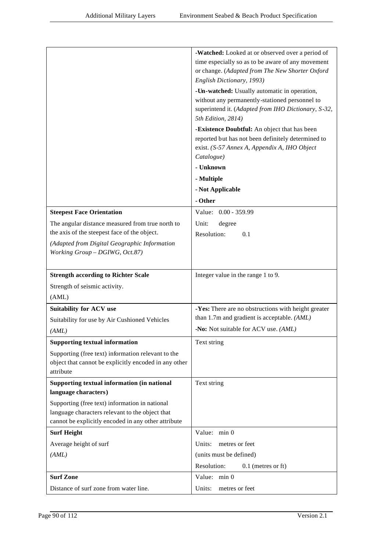|                                                       | -Watched: Looked at or observed over a period of    |
|-------------------------------------------------------|-----------------------------------------------------|
|                                                       | time especially so as to be aware of any movement   |
|                                                       | or change. (Adapted from The New Shorter Oxford     |
|                                                       | English Dictionary, 1993)                           |
|                                                       | -Un-watched: Usually automatic in operation,        |
|                                                       | without any permanently-stationed personnel to      |
|                                                       | superintend it. (Adapted from IHO Dictionary, S-32, |
|                                                       | 5th Edition, 2814)                                  |
|                                                       | -Existence Doubtful: An object that has been        |
|                                                       | reported but has not been definitely determined to  |
|                                                       | exist. (S-57 Annex A, Appendix A, IHO Object        |
|                                                       | Catalogue)<br>- Unknown                             |
|                                                       | - Multiple                                          |
|                                                       |                                                     |
|                                                       | - Not Applicable                                    |
|                                                       | - Other                                             |
| <b>Steepest Face Orientation</b>                      | Value: 0.00 - 359.99                                |
| The angular distance measured from true north to      | Unit:<br>degree                                     |
| the axis of the steepest face of the object.          | Resolution:<br>0.1                                  |
| (Adapted from Digital Geographic Information          |                                                     |
| Working Group - DGIWG, Oct.87)                        |                                                     |
|                                                       |                                                     |
|                                                       |                                                     |
| <b>Strength according to Richter Scale</b>            | Integer value in the range 1 to 9.                  |
| Strength of seismic activity.                         |                                                     |
| (AML)                                                 |                                                     |
| <b>Suitability for ACV use</b>                        | -Yes: There are no obstructions with height greater |
| Suitability for use by Air Cushioned Vehicles         | than 1.7m and gradient is acceptable. (AML)         |
| (AML)                                                 | -No: Not suitable for ACV use. (AML)                |
| <b>Supporting textual information</b>                 | Text string                                         |
| Supporting (free text) information relevant to the    |                                                     |
| object that cannot be explicitly encoded in any other |                                                     |
| attribute                                             |                                                     |
| Supporting textual information (in national           | Text string                                         |
| language characters)                                  |                                                     |
| Supporting (free text) information in national        |                                                     |
| language characters relevant to the object that       |                                                     |
| cannot be explicitly encoded in any other attribute   |                                                     |
| <b>Surf Height</b>                                    | Value: min 0                                        |
| Average height of surf                                | metres or feet<br>Units:                            |
| (AML)                                                 | (units must be defined)                             |
|                                                       | Resolution:<br>$0.1$ (metres or ft)                 |
| <b>Surf Zone</b>                                      | Value: min 0                                        |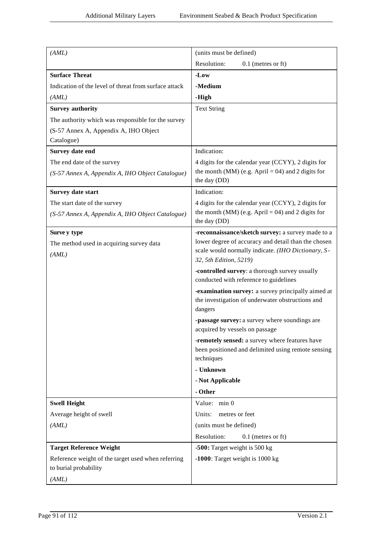| (AML)                                                                       | (units must be defined)                                                                                            |
|-----------------------------------------------------------------------------|--------------------------------------------------------------------------------------------------------------------|
|                                                                             | Resolution:<br>$0.1$ (metres or ft)                                                                                |
| <b>Surface Threat</b>                                                       | $-Low$                                                                                                             |
| Indication of the level of threat from surface attack                       | -Medium                                                                                                            |
| (AML)                                                                       | -High                                                                                                              |
| <b>Survey authority</b>                                                     | <b>Text String</b>                                                                                                 |
| The authority which was responsible for the survey                          |                                                                                                                    |
| (S-57 Annex A, Appendix A, IHO Object                                       |                                                                                                                    |
| Catalogue)                                                                  |                                                                                                                    |
| Survey date end                                                             | Indication:                                                                                                        |
| The end date of the survey                                                  | 4 digits for the calendar year (CCYY), 2 digits for                                                                |
| (S-57 Annex A, Appendix A, IHO Object Catalogue)                            | the month (MM) (e.g. April = 04) and 2 digits for<br>the day (DD)                                                  |
| <b>Survey date start</b>                                                    | Indication:                                                                                                        |
| The start date of the survey                                                | 4 digits for the calendar year (CCYY), 2 digits for                                                                |
| (S-57 Annex A, Appendix A, IHO Object Catalogue)                            | the month (MM) (e.g. April = 04) and 2 digits for<br>the day (DD)                                                  |
| Surve y type                                                                | -reconnaissance/sketch survey: a survey made to a                                                                  |
| The method used in acquiring survey data                                    | lower degree of accuracy and detail than the chosen                                                                |
| (AML)                                                                       | scale would normally indicate. (IHO Dictionary, S-<br>32, 5th Edition, 5219)                                       |
|                                                                             | -controlled survey: a thorough survey usually<br>conducted with reference to guidelines                            |
|                                                                             | -examination survey: a survey principally aimed at<br>the investigation of underwater obstructions and<br>dangers  |
|                                                                             | -passage survey: a survey where soundings are<br>acquired by vessels on passage                                    |
|                                                                             | -remotely sensed: a survey where features have<br>been positioned and delimited using remote sensing<br>techniques |
|                                                                             | - Unknown                                                                                                          |
|                                                                             | - Not Applicable                                                                                                   |
|                                                                             | - Other                                                                                                            |
| <b>Swell Height</b>                                                         | Value: min 0                                                                                                       |
| Average height of swell                                                     | Units:<br>metres or feet                                                                                           |
| (AML)                                                                       | (units must be defined)                                                                                            |
|                                                                             | Resolution:<br>$0.1$ (metres or ft)                                                                                |
| <b>Target Reference Weight</b>                                              | -500: Target weight is 500 kg                                                                                      |
| Reference weight of the target used when referring<br>to burial probability | -1000: Target weight is $1000 \text{ kg}$                                                                          |
| (AML)                                                                       |                                                                                                                    |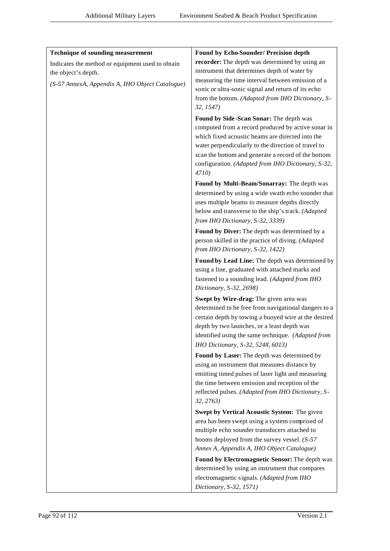| <b>Technique of sounding measurement</b>         | Found by Echo-Sounder/ Precision depth                                                            |
|--------------------------------------------------|---------------------------------------------------------------------------------------------------|
| Indicates the method or equipment used to obtain | recorder: The depth was determined by using an                                                    |
| the object's depth.                              | instrument that determines depth of water by                                                      |
| (S-57 AnnexA, Appendix A, IHO Object Catalogue)  | measuring the time interval between emission of a                                                 |
|                                                  | sonic or ultra-sonic signal and return of its echo                                                |
|                                                  | from the bottom. (Adapted from IHO Dictionary, S-<br>32, 1547)                                    |
|                                                  | Found by Side-Scan Sonar: The depth was<br>computed from a record produced by active sonar in     |
|                                                  | which fixed acoustic beams are directed into the                                                  |
|                                                  | water perpendicularly to the direction of travel to                                               |
|                                                  | scan the bottom and generate a record of the bottom                                               |
|                                                  | configuration. (Adapted from IHO Dictionary, S-32,                                                |
|                                                  | 4710)                                                                                             |
|                                                  | Found by Multi-Beam/Sonarray: The depth was<br>determined by using a wide swath echo sounder that |
|                                                  | uses multiple beams to measure depths directly                                                    |
|                                                  | below and transverse to the ship's track. (Adapted                                                |
|                                                  | from IHO Dictionary, S-32, 3339)                                                                  |
|                                                  | Found by Diver: The depth was determined by a                                                     |
|                                                  | person skilled in the practice of diving. (Adapted                                                |
|                                                  | from IHO Dictionary, S-32, 1422)                                                                  |
|                                                  | Found by Lead Line: The depth was determined by                                                   |
|                                                  | using a line, graduated with attached marks and                                                   |
|                                                  | fastened to a sounding lead. (Adapted from IHO<br>Dictionary, S-32, 2698)                         |
|                                                  | Swept by Wire-drag: The given area was                                                            |
|                                                  | determined to be free from navigational dangers to a                                              |
|                                                  | certain depth by towing a buoyed wire at the desired                                              |
|                                                  | depth by two launches, or a least depth was                                                       |
|                                                  | identified using the same technique. (Adapted from                                                |
|                                                  | IHO Dictionary, S-32, 5248, 6013)<br>Found by Laser: The depth was determined by                  |
|                                                  | using an instrument that measures distance by                                                     |
|                                                  | emitting timed pulses of laser light and measuring                                                |
|                                                  | the time between emission and reception of the                                                    |
|                                                  | reflected pulses. (Adapted from IHO Dictionary, S-                                                |
|                                                  | 32, 2763)                                                                                         |
|                                                  | Swept by Vertical Acoustic System: The given                                                      |
|                                                  | area has been swept using a system comprised of<br>multiple echo sounder transducers attached to  |
|                                                  | booms deployed from the survey vessel. $(S-57)$                                                   |
|                                                  | Annex A, Appendix A, IHO Object Catalogue)                                                        |
|                                                  | Found by Electromagnetic Sensor: The depth was                                                    |
|                                                  | determined by using an instrument that compares                                                   |
|                                                  | electromagnetic signals. (Adapted from IHO                                                        |
|                                                  | Dictionary, S-32, 1571)                                                                           |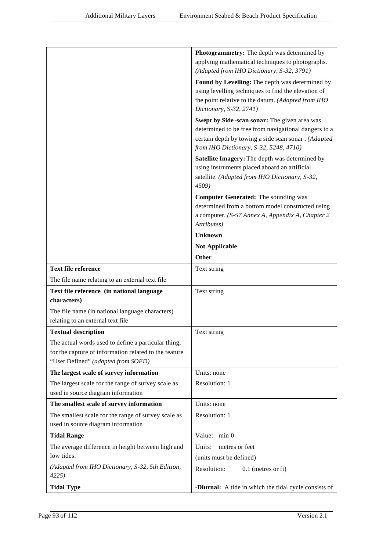|                                                       | <b>Photogrammetry:</b> The depth was determined by<br>applying mathematical techniques to photographs. |
|-------------------------------------------------------|--------------------------------------------------------------------------------------------------------|
|                                                       | (Adapted from IHO Dictionary, S-32, 3791)                                                              |
|                                                       |                                                                                                        |
|                                                       | Found by Levelling: The depth was determined by<br>using levelling techniques to find the elevation of |
|                                                       | the point relative to the datum. (Adapted from IHO                                                     |
|                                                       | Dictionary, S-32, 2741)                                                                                |
|                                                       | Swept by Side-scan sonar: The given area was                                                           |
|                                                       | determined to be free from navigational dangers to a                                                   |
|                                                       | certain depth by towing a side scan sonar . (Adapted                                                   |
|                                                       | from IHO Dictionary, S-32, 5248, 4710)                                                                 |
|                                                       | Satellite Imagery: The depth was determined by                                                         |
|                                                       | using instruments placed aboard an artificial                                                          |
|                                                       | satellite. (Adapted from IHO Dictionary, S-32,                                                         |
|                                                       | 4509)                                                                                                  |
|                                                       | <b>Computer Generated:</b> The sounding was                                                            |
|                                                       | determined from a bottom model constructed using                                                       |
|                                                       | a computer. (S-57 Annex A, Appendix A, Chapter 2                                                       |
|                                                       | Attributes)                                                                                            |
|                                                       | <b>Unknown</b>                                                                                         |
|                                                       | <b>Not Applicable</b>                                                                                  |
|                                                       | Other                                                                                                  |
| <b>Text file reference</b>                            | Text string                                                                                            |
| The file name relating to an external text file       |                                                                                                        |
| Text file reference (in national language             | Text string                                                                                            |
| characters)                                           |                                                                                                        |
| The file name (in national language characters)       |                                                                                                        |
| relating to an external text file                     |                                                                                                        |
| <b>Textual description</b>                            | Text string                                                                                            |
| The actual words used to define a particular thing,   |                                                                                                        |
| for the capture of information related to the feature |                                                                                                        |
| "User Defined" (adapted from SOED)                    |                                                                                                        |
| The largest scale of survey information               | Units: none                                                                                            |
| The largest scale for the range of survey scale as    | Resolution: 1                                                                                          |
| used in source diagram information                    |                                                                                                        |
| The smallest scale of survey information              | Units: none                                                                                            |
| The smallest scale for the range of survey scale as   | Resolution: 1                                                                                          |
| used in source diagram information                    |                                                                                                        |
| <b>Tidal Range</b>                                    | Value: min 0                                                                                           |
| The average difference in height between high and     | metres or feet<br>Units:                                                                               |
| low tides.                                            | (units must be defined)                                                                                |
| (Adapted from IHO Dictionary, S-32, 5th Edition,      | Resolution:<br>$0.1$ (metres or ft)                                                                    |
| 4225                                                  |                                                                                                        |
| <b>Tidal Type</b>                                     | -Diurnal: A tide in which the tidal cycle consists of                                                  |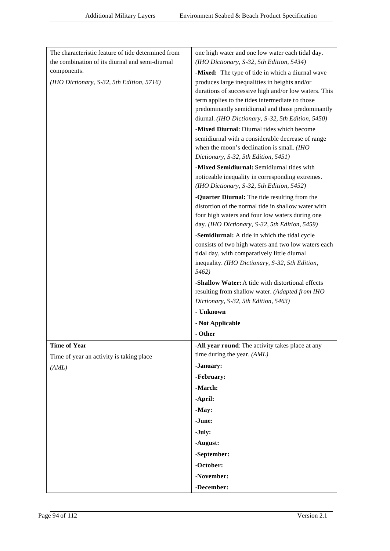| The characteristic feature of tide determined from | one high water and one low water each tidal day.                                                  |
|----------------------------------------------------|---------------------------------------------------------------------------------------------------|
| the combination of its diurnal and semi-diurnal    | (IHO Dictionary, S-32, 5th Edition, 5434)                                                         |
| components.                                        | -Mixed: The type of tide in which a diurnal wave                                                  |
| (IHO Dictionary, S-32, 5th Edition, 5716)          | produces large inequalities in heights and/or                                                     |
|                                                    | durations of successive high and/or low waters. This                                              |
|                                                    | term applies to the tides intermediate to those                                                   |
|                                                    | predominantly semidiurnal and those predominantly                                                 |
|                                                    | diurnal. (IHO Dictionary, S-32, 5th Edition, 5450)                                                |
|                                                    | -Mixed Diurnal: Diurnal tides which become                                                        |
|                                                    | semidiurnal with a considerable decrease of range                                                 |
|                                                    | when the moon's declination is small. (IHO<br>Dictionary, S-32, 5th Edition, 5451)                |
|                                                    | -Mixed Semidiurnal: Semidiurnal tides with                                                        |
|                                                    | noticeable inequality in corresponding extremes.                                                  |
|                                                    | (IHO Dictionary, S-32, 5th Edition, 5452)                                                         |
|                                                    | -Quarter Diurnal: The tide resulting from the                                                     |
|                                                    | distortion of the normal tide in shallow water with                                               |
|                                                    | four high waters and four low waters during one<br>day. (IHO Dictionary, S-32, 5th Edition, 5459) |
|                                                    | -Semidiurnal: A tide in which the tidal cycle                                                     |
|                                                    | consists of two high waters and two low waters each                                               |
|                                                    | tidal day, with comparatively little diurnal                                                      |
|                                                    | inequality. (IHO Dictionary, S-32, 5th Edition,                                                   |
|                                                    | 5462)                                                                                             |
|                                                    | -Shallow Water: A tide with distortional effects                                                  |
|                                                    | resulting from shallow water. (Adapted from IHO                                                   |
|                                                    | Dictionary, S-32, 5th Edition, 5463)                                                              |
|                                                    | - Unknown                                                                                         |
|                                                    | - Not Applicable                                                                                  |
|                                                    | - Other                                                                                           |
| <b>Time of Year</b>                                | -All year round: The activity takes place at any                                                  |
| Time of year an activity is taking place           | time during the year. (AML)                                                                       |
| (AML)                                              | -January:                                                                                         |
|                                                    | -February:                                                                                        |
|                                                    | -March:                                                                                           |
|                                                    | -April:                                                                                           |
|                                                    | -May:                                                                                             |
|                                                    | -June:                                                                                            |
|                                                    | -July:                                                                                            |
|                                                    | -August:                                                                                          |
|                                                    | -September:                                                                                       |
|                                                    | -October:                                                                                         |
|                                                    | -November:                                                                                        |
|                                                    | -December:                                                                                        |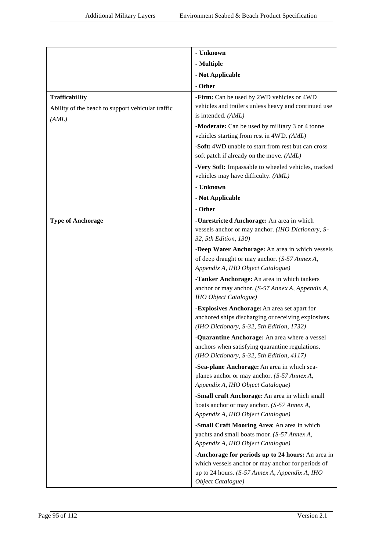|                                                                                     | - Unknown                                                                                                                                                                     |
|-------------------------------------------------------------------------------------|-------------------------------------------------------------------------------------------------------------------------------------------------------------------------------|
|                                                                                     | - Multiple                                                                                                                                                                    |
|                                                                                     | - Not Applicable                                                                                                                                                              |
|                                                                                     | - Other                                                                                                                                                                       |
| <b>Trafficability</b><br>Ability of the beach to support vehicular traffic<br>(AML) | -Firm: Can be used by 2WD vehicles or 4WD<br>vehicles and trailers unless heavy and continued use<br>is intended. (AML)                                                       |
|                                                                                     | -Moderate: Can be used by military 3 or 4 tonne<br>vehicles starting from rest in 4WD. (AML)                                                                                  |
|                                                                                     | -Soft: 4WD unable to start from rest but can cross<br>soft patch if already on the move. (AML)                                                                                |
|                                                                                     | -Very Soft: Impassable to wheeled vehicles, tracked<br>vehicles may have difficulty. (AML)                                                                                    |
|                                                                                     | - Unknown                                                                                                                                                                     |
|                                                                                     | - Not Applicable                                                                                                                                                              |
|                                                                                     | - Other                                                                                                                                                                       |
| <b>Type of Anchorage</b>                                                            | -Unrestricted Anchorage: An area in which<br>vessels anchor or may anchor. (IHO Dictionary, S-<br>32, 5th Edition, 130)                                                       |
|                                                                                     | -Deep Water Anchorage: An area in which vessels<br>of deep draught or may anchor. (S-57 Annex A,<br>Appendix A, IHO Object Catalogue)                                         |
|                                                                                     | -Tanker Anchorage: An area in which tankers<br>anchor or may anchor. (S-57 Annex A, Appendix A,<br><b>IHO</b> Object Catalogue)                                               |
|                                                                                     | -Explosives Anchorage: An area set apart for<br>anchored ships discharging or receiving explosives.<br>(IHO Dictionary, S-32, 5th Edition, 1732)                              |
|                                                                                     | Quarantine Anchorage: An area where a vessel<br>anchors when satisfying quarantine regulations.<br>(IHO Dictionary, S-32, 5th Edition, 4117)                                  |
|                                                                                     | -Sea-plane Anchorage: An area in which sea-<br>planes anchor or may anchor. (S-57 Annex A,<br>Appendix A, IHO Object Catalogue)                                               |
|                                                                                     | -Small craft Anchorage: An area in which small                                                                                                                                |
|                                                                                     | boats anchor or may anchor. (S-57 Annex A,                                                                                                                                    |
|                                                                                     | Appendix A, IHO Object Catalogue)                                                                                                                                             |
|                                                                                     | -Small Craft Mooring Area: An area in which<br>yachts and small boats moor. (S-57 Annex A,<br>Appendix A, IHO Object Catalogue)                                               |
|                                                                                     | -Anchorage for periods up to 24 hours: An area in<br>which vessels anchor or may anchor for periods of<br>up to 24 hours. (S-57 Annex A, Appendix A, IHO<br>Object Catalogue) |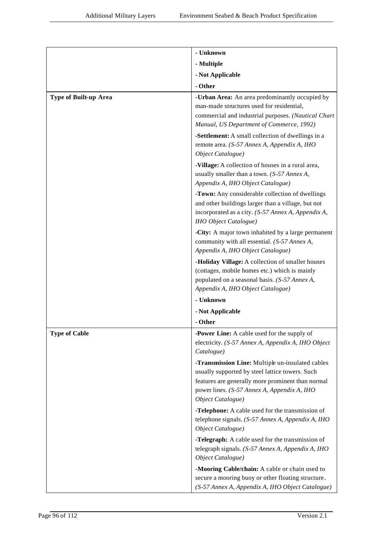|                              | - Unknown                                                                                                                                                                                      |
|------------------------------|------------------------------------------------------------------------------------------------------------------------------------------------------------------------------------------------|
|                              | - Multiple                                                                                                                                                                                     |
|                              | - Not Applicable                                                                                                                                                                               |
|                              | - Other                                                                                                                                                                                        |
| <b>Type of Built-up Area</b> | -Urban Area: An area predominantly occupied by<br>man-made structures used for residential,<br>commercial and industrial purposes. (Nautical Chart<br>Manual, US Department of Commerce, 1992) |
|                              | -Settlement: A small collection of dwellings in a<br>remote area. (S-57 Annex A, Appendix A, IHO<br>Object Catalogue)                                                                          |
|                              | -Village: A collection of houses in a rural area,<br>usually smaller than a town. (S-57 Annex A,<br>Appendix A, IHO Object Catalogue)                                                          |
|                              | -Town: Any considerable collection of dwellings<br>and other buildings larger than a village, but not<br>incorporated as a city. (S-57 Annex A, Appendix A,<br><b>IHO</b> Object Catalogue)    |
|                              | -City: A major town inhabited by a large permanent<br>community with all essential. (S-57 Annex A,<br>Appendix A, IHO Object Catalogue)                                                        |
|                              | -Holiday Village: A collection of smaller houses<br>(cottages, mobile homes etc.) which is mainly<br>populated on a seasonal basis. (S-57 Annex A,<br>Appendix A, IHO Object Catalogue)        |
|                              | - Unknown                                                                                                                                                                                      |
|                              | - Not Applicable                                                                                                                                                                               |
|                              | - Other                                                                                                                                                                                        |
| <b>Type of Cable</b>         | -Power Line: A cable used for the supply of<br>electricity. (S-57 Annex A, Appendix A, IHO Object<br>Catalogue)                                                                                |
|                              | -Transmission Line: Multiple un-insulated cables<br>usually supported by steel lattice towers. Such                                                                                            |
|                              | features are generally more prominent than normal<br>power lines. (S-57 Annex A, Appendix A, IHO<br>Object Catalogue)                                                                          |
|                              | -Telephone: A cable used for the transmission of<br>telephone signals. (S-57 Annex A, Appendix A, IHO<br>Object Catalogue)                                                                     |
|                              | -Telegraph: A cable used for the transmission of<br>telegraph signals. (S-57 Annex A, Appendix A, IHO<br>Object Catalogue)                                                                     |
|                              | -Mooring Cable/chain: A cable or chain used to<br>secure a mooring buoy or other floating structure.<br>(S-57 Annex A, Appendix A, IHO Object Catalogue)                                       |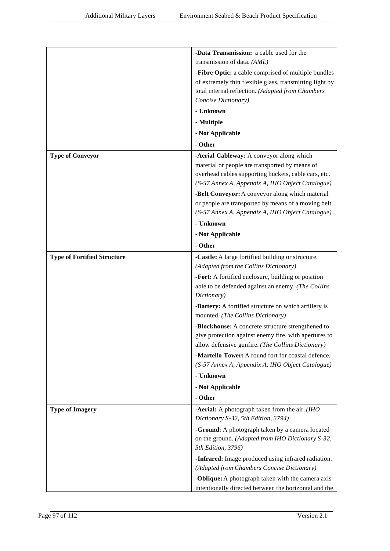|                                    | -Data Transmission: a cable used for the                                              |
|------------------------------------|---------------------------------------------------------------------------------------|
|                                    | transmission of data. (AML)                                                           |
|                                    | -Fibre Optic: a cable comprised of multiple bundles                                   |
|                                    | of extremely thin flexible glass, transmitting light by                               |
|                                    | total internal reflection. (Adapted from Chambers                                     |
|                                    | Concise Dictionary)                                                                   |
|                                    | - Unknown                                                                             |
|                                    | - Multiple                                                                            |
|                                    | - Not Applicable                                                                      |
|                                    | - Other                                                                               |
| <b>Type of Conveyor</b>            | -Aerial Cableway: A conveyor along which                                              |
|                                    | material or people are transported by means of                                        |
|                                    | overhead cables supporting buckets, cable cars, etc.                                  |
|                                    | (S-57 Annex A, Appendix A, IHO Object Catalogue)                                      |
|                                    | -Belt Conveyor: A conveyor along which material                                       |
|                                    | or people are transported by means of a moving belt.                                  |
|                                    | (S-57 Annex A, Appendix A, IHO Object Catalogue)                                      |
|                                    | - Unknown                                                                             |
|                                    | - Not Applicable                                                                      |
|                                    | - Other                                                                               |
| <b>Type of Fortified Structure</b> | -Castle: A large fortified building or structure.                                     |
|                                    | (Adapted from the Collins Dictionary)                                                 |
|                                    | -Fort: A fortified enclosure, building or position                                    |
|                                    | able to be defended against an enemy. (The Collins<br>Dictionary)                     |
|                                    | -Battery: A fortified structure on which artillery is                                 |
|                                    | mounted. (The Collins Dictionary)                                                     |
|                                    | -Blockhouse: A concrete structure strengthened to                                     |
|                                    | give protection against enemy fire, with apertures to                                 |
|                                    | allow defensive gunfire. (The Collins Dictionary)                                     |
|                                    | -Martello Tower: A round fort for coastal defence.                                    |
|                                    | (S-57 Annex A, Appendix A, IHO Object Catalogue)                                      |
|                                    | - Unknown                                                                             |
|                                    | - Not Applicable                                                                      |
|                                    | - Other                                                                               |
| <b>Type of Imagery</b>             | -Aerial: A photograph taken from the air. (IHO<br>Dictionary S-32, 5th Edition, 3794) |
|                                    | -Ground: A photograph taken by a camera located                                       |
|                                    | on the ground. (Adapted from IHO Dictionary S-32,<br>5th Edition, 3796)               |
|                                    | -Infrared: Image produced using infrared radiation.                                   |
|                                    | (Adapted from Chambers Concise Dictionary)                                            |
|                                    | -Oblique: A photograph taken with the camera axis                                     |
|                                    | intentionally directed between the horizontal and the                                 |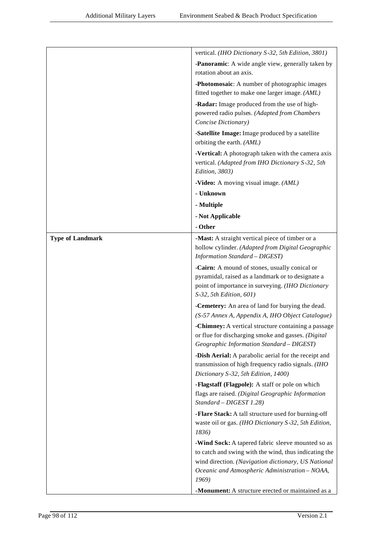|                         | vertical. (IHO Dictionary S-32, 5th Edition, 3801)                                                         |
|-------------------------|------------------------------------------------------------------------------------------------------------|
|                         | -Panoramic: A wide angle view, generally taken by                                                          |
|                         | rotation about an axis.                                                                                    |
|                         | -Photomosaic: A number of photographic images                                                              |
|                         | fitted together to make one larger image. (AML)                                                            |
|                         | -Radar: Image produced from the use of high-                                                               |
|                         | powered radio pulses. (Adapted from Chambers                                                               |
|                         | Concise Dictionary)                                                                                        |
|                         | -Satellite Image: Image produced by a satellite<br>orbiting the earth. (AML)                               |
|                         | -Vertical: A photograph taken with the camera axis                                                         |
|                         | vertical. (Adapted from IHO Dictionary S-32, 5th                                                           |
|                         | Edition, 3803)                                                                                             |
|                         | -Video: A moving visual image. (AML)                                                                       |
|                         | - Unknown                                                                                                  |
|                         | - Multiple                                                                                                 |
|                         | - Not Applicable                                                                                           |
|                         | - Other                                                                                                    |
| <b>Type of Landmark</b> | -Mast: A straight vertical piece of timber or a                                                            |
|                         | hollow cylinder. (Adapted from Digital Geographic                                                          |
|                         | Information Standard - DIGEST)                                                                             |
|                         | -Cairn: A mound of stones, usually conical or<br>pyramidal, raised as a landmark or to designate a         |
|                         | point of importance in surveying. (IHO Dictionary                                                          |
|                         | S-32, 5th Edition, 601)                                                                                    |
|                         | -Cemetery: An area of land for burying the dead.                                                           |
|                         | (S-57 Annex A, Appendix A, IHO Object Catalogue)                                                           |
|                         | -Chimney: A vertical structure containing a passage                                                        |
|                         | or flue for discharging smoke and gasses. (Digital                                                         |
|                         | Geographic Information Standard - DIGEST)                                                                  |
|                         | -Dish Aerial: A parabolic aerial for the receipt and<br>transmission of high frequency radio signals. (IHO |
|                         | Dictionary S-32, 5th Edition, 1400)                                                                        |
|                         | -Flagstaff (Flagpole): A staff or pole on which                                                            |
|                         | flags are raised. (Digital Geographic Information                                                          |
|                         | Standard - DIGEST 1.28)                                                                                    |
|                         | -Flare Stack: A tall structure used for burning-off                                                        |
|                         | waste oil or gas. (IHO Dictionary S-32, 5th Edition,<br>1836)                                              |
|                         | -Wind Sock: A tapered fabric sleeve mounted so as                                                          |
|                         | to catch and swing with the wind, thus indicating the                                                      |
|                         | wind direction. (Navigation dictionary, US National                                                        |
|                         | Oceanic and Atmospheric Administration - NOAA,                                                             |
|                         | 1969)                                                                                                      |
|                         | -Monument: A structure erected or maintained as a                                                          |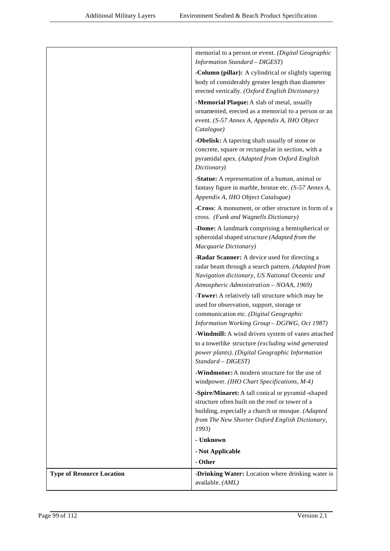|                                  | memorial to a person or event. (Digital Geographic<br><b>Information Standard - DIGEST)</b>                                                                                                                          |
|----------------------------------|----------------------------------------------------------------------------------------------------------------------------------------------------------------------------------------------------------------------|
|                                  | -Column (pillar): A cylindrical or slightly tapering<br>body of considerably greater length than diameter<br>erected vertically. (Oxford English Dictionary)                                                         |
|                                  | -Memorial Plaque: A slab of metal, usually<br>ornamented, erected as a memorial to a person or an<br>event. (S-57 Annex A, Appendix A, IHO Object<br>Catalogue)                                                      |
|                                  | -Obelisk: A tapering shaft usually of stone or<br>concrete, square or rectangular in section, with a<br>pyramidal apex. (Adapted from Oxford English<br>Dictionary)                                                  |
|                                  | -Statue: A representation of a human, animal or<br>fantasy figure in marble, bronze etc. (S-57 Annex A,<br>Appendix A, IHO Object Catalogue)                                                                         |
|                                  | -Cross: A monument, or other structure in form of a<br>cross. (Funk and Wagnells Dictionary)                                                                                                                         |
|                                  | -Dome: A landmark comprising a hemispherical or<br>spheroidal shaped structure (Adapted from the<br>Macquarie Dictionary)                                                                                            |
|                                  | -Radar Scanner: A device used for directing a<br>radar beam through a search pattern. (Adapted from<br>Navigation dictionary, US National Oceanic and<br>Atmospheric Administration - NOAA, 1969)                    |
|                                  | -Tower: A relatively tall structure which may be<br>used for observation, support, storage or<br>communication etc. (Digital Geographic<br>Information Working Group - DGIWG, Oct 1987)                              |
|                                  | -Windmill: A wind driven system of vanes attached<br>to a towerlike structure (excluding wind generated<br>power plants). (Digital Geographic Information<br>Standard - DIGEST)                                      |
|                                  | <b>-Windmotor:</b> A modern structure for the use of<br>windpower. (IHO Chart Specifications, M-4)                                                                                                                   |
|                                  | -Spire/Minaret: A tall conical or pyramid-shaped<br>structure often built on the roof or tower of a<br>building, especially a church or mosque. (Adapted<br>from The New Shorter Oxford English Dictionary,<br>1993) |
|                                  | - Unknown                                                                                                                                                                                                            |
|                                  | - Not Applicable                                                                                                                                                                                                     |
| <b>Type of Resource Location</b> | - Other<br>-Drinking Water: Location where drinking water is                                                                                                                                                         |
|                                  | available. (AML)                                                                                                                                                                                                     |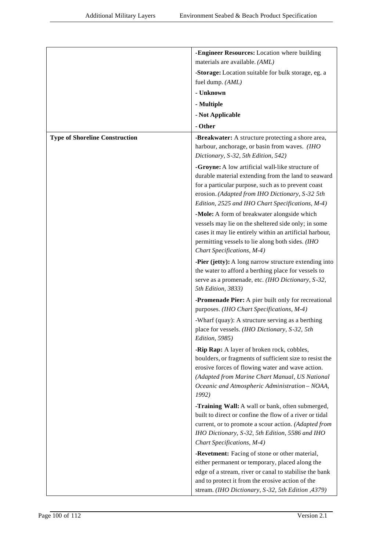|                                       | -Engineer Resources: Location where building                                                              |
|---------------------------------------|-----------------------------------------------------------------------------------------------------------|
|                                       | materials are available. (AML)                                                                            |
|                                       | -Storage: Location suitable for bulk storage, eg. a                                                       |
|                                       | fuel dump. (AML)                                                                                          |
|                                       | - Unknown                                                                                                 |
|                                       | - Multiple                                                                                                |
|                                       | - Not Applicable                                                                                          |
|                                       | - Other                                                                                                   |
| <b>Type of Shoreline Construction</b> | -Breakwater: A structure protecting a shore area,                                                         |
|                                       | harbour, anchorage, or basin from waves. (IHO                                                             |
|                                       | Dictionary, S-32, 5th Edition, 542)                                                                       |
|                                       | -Groyne: A low artificial wall-like structure of                                                          |
|                                       | durable material extending from the land to seaward                                                       |
|                                       | for a particular purpose, such as to prevent coast<br>erosion. (Adapted from IHO Dictionary, S-32 5th     |
|                                       | Edition, 2525 and IHO Chart Specifications, M-4)                                                          |
|                                       | -Mole: A form of breakwater alongside which                                                               |
|                                       | vessels may lie on the sheltered side only; in some                                                       |
|                                       | cases it may lie entirely within an artificial harbour,                                                   |
|                                       | permitting vessels to lie along both sides. (IHO                                                          |
|                                       | Chart Specifications, M-4)                                                                                |
|                                       | -Pier (jetty): A long narrow structure extending into                                                     |
|                                       | the water to afford a berthing place for vessels to<br>serve as a promenade, etc. (IHO Dictionary, S-32,  |
|                                       | 5th Edition, 3833)                                                                                        |
|                                       | -Promenade Pier: A pier built only for recreational                                                       |
|                                       | purposes. (IHO Chart Specifications, M-4)                                                                 |
|                                       | -Wharf (quay): A structure serving as a berthing                                                          |
|                                       | place for vessels. (IHO Dictionary, S-32, 5th                                                             |
|                                       | Edition, 5985)                                                                                            |
|                                       | -Rip Rap: A layer of broken rock, cobbles,                                                                |
|                                       | boulders, or fragments of sufficient size to resist the                                                   |
|                                       | erosive forces of flowing water and wave action.<br>(Adapted from Marine Chart Manual, US National        |
|                                       | Oceanic and Atmospheric Administration - NOAA,                                                            |
|                                       | 1992)                                                                                                     |
|                                       | -Training Wall: A wall or bank, often submerged,                                                          |
|                                       | built to direct or confine the flow of a river or tidal                                                   |
|                                       | current, or to promote a scour action. (Adapted from                                                      |
|                                       | IHO Dictionary, S-32, 5th Edition, 5586 and IHO                                                           |
|                                       | Chart Specifications, M-4)                                                                                |
|                                       | -Revetment: Facing of stone or other material,                                                            |
|                                       | either permanent or temporary, placed along the<br>edge of a stream, river or canal to stabilise the bank |
|                                       | and to protect it from the erosive action of the                                                          |
|                                       | stream. (IHO Dictionary, S-32, 5th Edition, 4379)                                                         |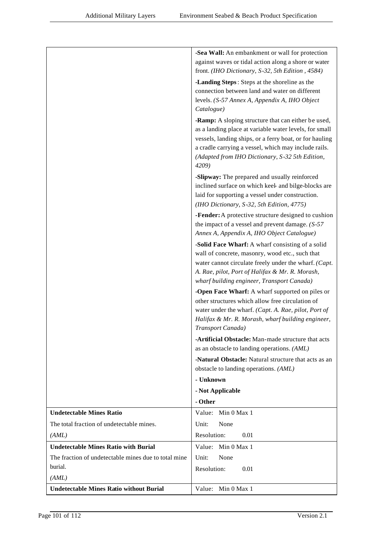|                                                      | -Sea Wall: An embankment or wall for protection                                                                   |
|------------------------------------------------------|-------------------------------------------------------------------------------------------------------------------|
|                                                      | against waves or tidal action along a shore or water                                                              |
|                                                      | front. (IHO Dictionary, S-32, 5th Edition, 4584)                                                                  |
|                                                      | -Landing Steps: Steps at the shoreline as the                                                                     |
|                                                      | connection between land and water on different                                                                    |
|                                                      | levels. (S-57 Annex A, Appendix A, IHO Object                                                                     |
|                                                      | Catalogue)                                                                                                        |
|                                                      | -Ramp: A sloping structure that can either be used,                                                               |
|                                                      | as a landing place at variable water levels, for small<br>vessels, landing ships, or a ferry boat, or for hauling |
|                                                      | a cradle carrying a vessel, which may include rails.                                                              |
|                                                      | (Adapted from IHO Dictionary, S-32 5th Edition,                                                                   |
|                                                      | 4209)                                                                                                             |
|                                                      | -Slipway: The prepared and usually reinforced                                                                     |
|                                                      | inclined surface on which keel- and bilge-blocks are                                                              |
|                                                      | laid for supporting a vessel under construction.                                                                  |
|                                                      | (IHO Dictionary, S-32, 5th Edition, 4775)                                                                         |
|                                                      | -Fender: A protective structure designed to cushion                                                               |
|                                                      | the impact of a vessel and prevent damage. $(S-57)$<br>Annex A, Appendix A, IHO Object Catalogue)                 |
|                                                      | -Solid Face Wharf: A wharf consisting of a solid                                                                  |
|                                                      | wall of concrete, masonry, wood etc., such that                                                                   |
|                                                      | water cannot circulate freely under the wharf. (Capt.                                                             |
|                                                      | A. Rae, pilot, Port of Halifax & Mr. R. Morash,<br>wharf building engineer, Transport Canada)                     |
|                                                      | -Open Face Wharf: A wharf supported on piles or                                                                   |
|                                                      | other structures which allow free circulation of                                                                  |
|                                                      | water under the wharf. (Capt. A. Rae, pilot, Port of                                                              |
|                                                      | Halifax & Mr. R. Morash, wharf building engineer,                                                                 |
|                                                      | Transport Canada)                                                                                                 |
|                                                      | -Artificial Obstacle: Man-made structure that acts                                                                |
|                                                      | as an obstacle to landing operations. (AML)                                                                       |
|                                                      | -Natural Obstacle: Natural structure that acts as an                                                              |
|                                                      | obstacle to landing operations. (AML)<br>- Unknown                                                                |
|                                                      |                                                                                                                   |
|                                                      | - Not Applicable<br>- Other                                                                                       |
| <b>Undetectable Mines Ratio</b>                      | Value: Min 0 Max 1                                                                                                |
| The total fraction of undetectable mines.            | Unit:<br>None                                                                                                     |
| (AML)                                                | Resolution:<br>0.01                                                                                               |
| <b>Undetectable Mines Ratio with Burial</b>          | Value: Min 0 Max 1                                                                                                |
| The fraction of undetectable mines due to total mine | Unit:<br>None                                                                                                     |
| burial.                                              | Resolution:<br>0.01                                                                                               |
| (AML)                                                |                                                                                                                   |
| <b>Undetectable Mines Ratio without Burial</b>       | Value:<br>Min 0 Max 1                                                                                             |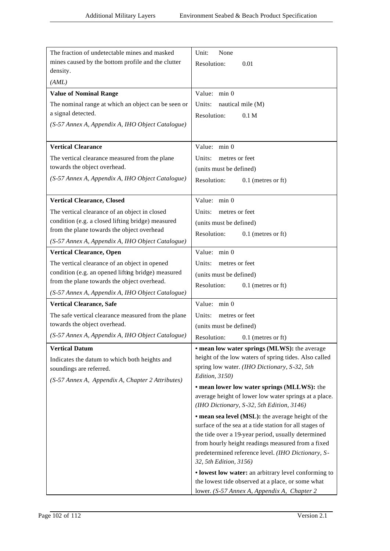| The fraction of undetectable mines and masked                                       | Unit:<br>None                                                                                           |
|-------------------------------------------------------------------------------------|---------------------------------------------------------------------------------------------------------|
| mines caused by the bottom profile and the clutter                                  | Resolution:<br>0.01                                                                                     |
| density.                                                                            |                                                                                                         |
| (AML)                                                                               |                                                                                                         |
| <b>Value of Nominal Range</b>                                                       | Value: min 0                                                                                            |
| The nominal range at which an object can be seen or                                 | nautical mile (M)<br>Units:                                                                             |
| a signal detected.                                                                  | Resolution:<br>0.1 <sub>M</sub>                                                                         |
| (S-57 Annex A, Appendix A, IHO Object Catalogue)                                    |                                                                                                         |
|                                                                                     |                                                                                                         |
| <b>Vertical Clearance</b>                                                           | Value: min 0                                                                                            |
| The vertical clearance measured from the plane                                      | Units:<br>metres or feet                                                                                |
| towards the object overhead.                                                        | (units must be defined)                                                                                 |
| (S-57 Annex A, Appendix A, IHO Object Catalogue)                                    | Resolution:<br>$0.1$ (metres or ft)                                                                     |
|                                                                                     |                                                                                                         |
| <b>Vertical Clearance, Closed</b>                                                   | Value: min 0                                                                                            |
| The vertical clearance of an object in closed                                       | Units:<br>metres or feet                                                                                |
| condition (e.g. a closed lifting bridge) measured                                   | (units must be defined)                                                                                 |
| from the plane towards the object overhead                                          | Resolution:<br>$0.1$ (metres or ft)                                                                     |
| (S-57 Annex A, Appendix A, IHO Object Catalogue)                                    |                                                                                                         |
| <b>Vertical Clearance, Open</b>                                                     | Value: min 0                                                                                            |
| The vertical clearance of an object in opened                                       | Units:<br>metres or feet                                                                                |
| condition (e.g. an opened lifting bridge) measured                                  | (units must be defined)                                                                                 |
| from the plane towards the object overhead.                                         | Resolution:<br>$0.1$ (metres or ft)                                                                     |
| (S-57 Annex A, Appendix A, IHO Object Catalogue)                                    |                                                                                                         |
| <b>Vertical Clearance, Safe</b>                                                     | Value: min 0                                                                                            |
| The safe vertical clearance measured from the plane<br>towards the object overhead. | Units:<br>metres or feet                                                                                |
|                                                                                     | (units must be defined)                                                                                 |
| (S-57 Annex A, Appendix A, IHO Object Catalogue)                                    | Resolution:<br>$0.1$ (metres or ft)                                                                     |
| <b>Vertical Datum</b>                                                               | • mean low water springs (MLWS): the average                                                            |
| Indicates the datum to which both heights and                                       | height of the low waters of spring tides. Also called<br>spring low water. (IHO Dictionary, S-32, 5th   |
| soundings are referred.                                                             | Edition, 3150)                                                                                          |
| (S-57 Annex A, Appendix A, Chapter 2 Attributes)                                    | • mean lower low water springs (MLLWS): the                                                             |
|                                                                                     | average height of lower low water springs at a place.                                                   |
|                                                                                     | (IHO Dictionary, S-32, 5th Edition, 3146)                                                               |
|                                                                                     | • mean sea level (MSL): the average height of the                                                       |
|                                                                                     | surface of the sea at a tide station for all stages of                                                  |
|                                                                                     | the tide over a 19-year period, usually determined                                                      |
|                                                                                     | from hourly height readings measured from a fixed<br>predetermined reference level. (IHO Dictionary, S- |
|                                                                                     | 32, 5th Edition, 3156)                                                                                  |
|                                                                                     | • lowest low water: an arbitrary level conforming to                                                    |
|                                                                                     | the lowest tide observed at a place, or some what                                                       |
|                                                                                     | lower. (S-57 Annex A, Appendix A, Chapter 2                                                             |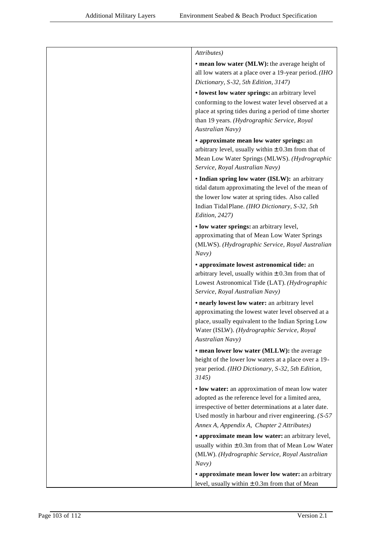| Attributes)                                                                                                                                                                                                                                                             |
|-------------------------------------------------------------------------------------------------------------------------------------------------------------------------------------------------------------------------------------------------------------------------|
| • mean low water (MLW): the average height of<br>all low waters at a place over a 19-year period. (IHO<br>Dictionary, S-32, 5th Edition, 3147)                                                                                                                          |
| • lowest low water springs: an arbitrary level<br>conforming to the lowest water level observed at a<br>place at spring tides during a period of time shorter<br>than 19 years. (Hydrographic Service, Royal<br><b>Australian Navy)</b>                                 |
| • approximate mean low water springs: an<br>arbitrary level, usually within $\pm$ 0.3m from that of<br>Mean Low Water Springs (MLWS). (Hydrographic<br>Service, Royal Australian Navy)                                                                                  |
| • Indian spring low water (ISLW): an arbitrary<br>tidal datum approximating the level of the mean of<br>the lower low water at spring tides. Also called<br>Indian Tidal Plane. (IHO Dictionary, S-32, 5th<br>Edition, 2427)                                            |
| • low water springs: an arbitrary level,<br>approximating that of Mean Low Water Springs<br>(MLWS). (Hydrographic Service, Royal Australian<br>Navy)                                                                                                                    |
| · approximate lowest astronomical tide: an<br>arbitrary level, usually within $\pm$ 0.3m from that of<br>Lowest Astronomical Tide (LAT). (Hydrographic<br>Service, Royal Australian Navy)                                                                               |
| • nearly lowest low water: an arbitrary level<br>approximating the lowest water level observed at a<br>place, usually equivalent to the Indian Spring Low<br>Water (ISLW). (Hydrographic Service, Royal<br>Australian Navy)                                             |
| • mean lower low water (MLLW): the average<br>height of the lower low waters at a place over a 19-<br>year period. (IHO Dictionary, S-32, 5th Edition,<br>3145)                                                                                                         |
| • low water: an approximation of mean low water<br>adopted as the reference level for a limited area,<br>irrespective of better determinations at a later date.<br>Used mostly in harbour and river engineering. $(S-57)$<br>Annex A, Appendix A, Chapter 2 Attributes) |
| • approximate mean low water: an arbitrary level,<br>usually within $\pm$ 0.3m from that of Mean Low Water<br>(MLW). (Hydrographic Service, Royal Australian<br>Navy)                                                                                                   |
| • approximate mean lower low water: an arbitrary<br>level, usually within $\pm$ 0.3m from that of Mean                                                                                                                                                                  |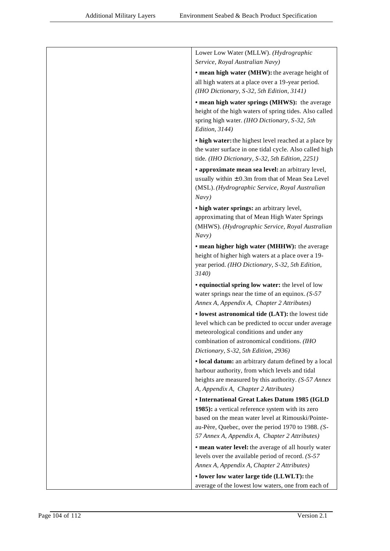| Lower Low Water (MLLW). (Hydrographic                                                                           |
|-----------------------------------------------------------------------------------------------------------------|
| Service, Royal Australian Navy)                                                                                 |
| • mean high water (MHW): the average height of                                                                  |
| all high waters at a place over a 19-year period.                                                               |
| (IHO Dictionary, S-32, 5th Edition, 3141)                                                                       |
| • mean high water springs (MHWS): the average                                                                   |
| height of the high waters of spring tides. Also called                                                          |
| spring high water. (IHO Dictionary, S-32, 5th<br>Edition, 3144)                                                 |
|                                                                                                                 |
| • high water: the highest level reached at a place by<br>the water surface in one tidal cycle. Also called high |
| tide. (IHO Dictionary, S-32, 5th Edition, 2251)                                                                 |
| • approximate mean sea level: an arbitrary level,                                                               |
| usually within $\pm 0.3$ m from that of Mean Sea Level                                                          |
| (MSL). (Hydrographic Service, Royal Australian                                                                  |
| Navy)                                                                                                           |
| • high water springs: an arbitrary level,                                                                       |
| approximating that of Mean High Water Springs                                                                   |
| (MHWS). (Hydrographic Service, Royal Australian                                                                 |
| Navy)                                                                                                           |
| • mean higher high water (MHHW): the average                                                                    |
| height of higher high waters at a place over a 19-                                                              |
| year period. (IHO Dictionary, S-32, 5th Edition,<br>3140)                                                       |
| • equinoctial spring low water: the level of low                                                                |
| water springs near the time of an equinox. $(S-57)$                                                             |
| Annex A, Appendix A, Chapter 2 Attributes)                                                                      |
| · lowest astronomical tide (LAT): the lowest tide                                                               |
| level which can be predicted to occur under average                                                             |
| meteorological conditions and under any                                                                         |
| combination of astronomical conditions. (IHO                                                                    |
| Dictionary, S-32, 5th Edition, 2936)                                                                            |
| • local datum: an arbitrary datum defined by a local                                                            |
| harbour authority, from which levels and tidal<br>heights are measured by this authority. (S-57 Annex           |
| A, Appendix A, Chapter 2 Attributes)                                                                            |
| • International Great Lakes Datum 1985 (IGLD                                                                    |
| 1985): a vertical reference system with its zero                                                                |
| based on the mean water level at Rimouski/Pointe-                                                               |
| au-Père, Quebec, over the period 1970 to 1988. (S-                                                              |
| 57 Annex A, Appendix A, Chapter 2 Attributes)                                                                   |
| • mean water level: the average of all hourly water                                                             |
| levels over the available period of record. $(S-57)$                                                            |
| Annex A, Appendix A, Chapter 2 Attributes)                                                                      |
| • lower low water large tide (LLWLT): the                                                                       |
| average of the lowest low waters, one from each of                                                              |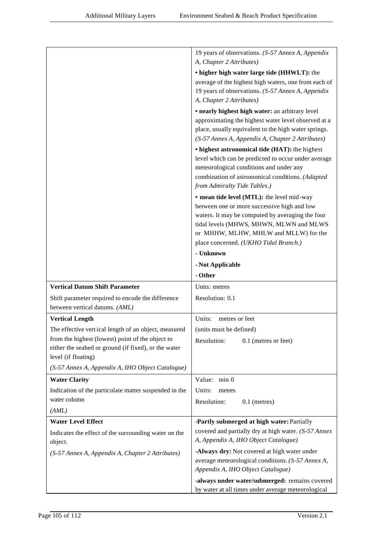|                                                                 | 19 years of observations. (S-57 Annex A, Appendix                                                      |
|-----------------------------------------------------------------|--------------------------------------------------------------------------------------------------------|
|                                                                 | A, Chapter 2 Attributes)                                                                               |
|                                                                 | • higher high water large tide (HHWLT): the                                                            |
|                                                                 | average of the highest high waters, one from each of                                                   |
|                                                                 | 19 years of observations. (S-57 Annex A, Appendix                                                      |
|                                                                 | A, Chapter 2 Attributes)                                                                               |
|                                                                 | • nearly highest high water: an arbitrary level<br>approximating the highest water level observed at a |
|                                                                 | place, usually equivalent to the high water springs.                                                   |
|                                                                 | (S-57 Annex A, Appendix A, Chapter 2 Attributes)                                                       |
|                                                                 | • highest astronomical tide (HAT): the highest                                                         |
|                                                                 | level which can be predicted to occur under average                                                    |
|                                                                 | meteorological conditions and under any                                                                |
|                                                                 | combination of astronomical conditions. (Adapted                                                       |
|                                                                 | from Admiralty Tide Tables.)                                                                           |
|                                                                 | • mean tide level (MTL): the level mid-way                                                             |
|                                                                 | between one or more successive high and low                                                            |
|                                                                 | waters. It may be computed by averaging the four                                                       |
|                                                                 | tidal levels (MHWS, MHWN, MLWN and MLWS<br>or MHHW, MLHW, MHLW and MLLW) for the                       |
|                                                                 | place concerned. (UKHO Tidal Branch.)                                                                  |
|                                                                 | - Unknown                                                                                              |
|                                                                 | - Not Applicable                                                                                       |
|                                                                 |                                                                                                        |
|                                                                 | - Other                                                                                                |
| <b>Vertical Datum Shift Parameter</b>                           | Units: metres                                                                                          |
| Shift parameter required to encode the difference               | Resolution: 0.1                                                                                        |
| between vertical datums. (AML)                                  |                                                                                                        |
| <b>Vertical Length</b>                                          | metres or feet<br>Units:                                                                               |
| The effective vertical length of an object, measured            | (units must be defined)                                                                                |
| from the highest (lowest) point of the object to                | Resolution:<br>0.1 (metres or feet)                                                                    |
| either the seabed or ground (if fixed), or the water            |                                                                                                        |
| level (if floating)                                             |                                                                                                        |
| (S-57 Annex A, Appendix A, IHO Object Catalogue)                |                                                                                                        |
| <b>Water Clarity</b>                                            | Value: min 0                                                                                           |
| Indication of the particulate matter suspended in the           | Units:<br>metres                                                                                       |
| water column                                                    | Resolution:<br>$0.1$ (metres)                                                                          |
| (AML)                                                           |                                                                                                        |
| <b>Water Level Effect</b>                                       | -Partly submerged at high water: Partially                                                             |
| Indicates the effect of the surrounding water on the<br>object. | covered and partially dry at high water. (S-57 Annex<br>A, Appendix A, IHO Object Catalogue)           |
| (S-57 Annex A, Appendix A, Chapter 2 Attributes)                | -Always dry: Not covered at high water under                                                           |
|                                                                 | average meteorological conditions. (S-57 Annex A,                                                      |
|                                                                 | Appendix A, IHO Object Catalogue)                                                                      |
|                                                                 | -always under water/submerged: remains covered<br>by water at all times under average meteorological   |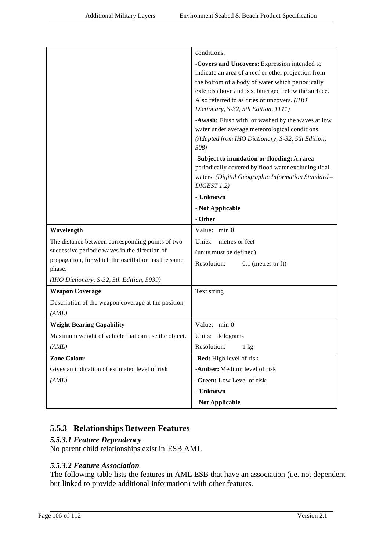|                                                                                                      | conditions.                                                                                                                                                                                                                                                                                         |
|------------------------------------------------------------------------------------------------------|-----------------------------------------------------------------------------------------------------------------------------------------------------------------------------------------------------------------------------------------------------------------------------------------------------|
|                                                                                                      | -Covers and Uncovers: Expression intended to<br>indicate an area of a reef or other projection from<br>the bottom of a body of water which periodically<br>extends above and is submerged below the surface.<br>Also referred to as dries or uncovers. (IHO<br>Dictionary, S-32, 5th Edition, 1111) |
|                                                                                                      | -Awash: Flush with, or washed by the waves at low<br>water under average meteorological conditions.<br>(Adapted from IHO Dictionary, S-32, 5th Edition,<br>308)                                                                                                                                     |
|                                                                                                      | -Subject to inundation or flooding: An area<br>periodically covered by flood water excluding tidal<br>waters. (Digital Geographic Information Standard -<br>DIGEST 1.2)                                                                                                                             |
|                                                                                                      | - Unknown                                                                                                                                                                                                                                                                                           |
|                                                                                                      | - Not Applicable                                                                                                                                                                                                                                                                                    |
|                                                                                                      | - Other                                                                                                                                                                                                                                                                                             |
| Wavelength                                                                                           | Value: min 0                                                                                                                                                                                                                                                                                        |
| The distance between corresponding points of two                                                     | Units:<br>metres or feet                                                                                                                                                                                                                                                                            |
| successive periodic waves in the direction of<br>propagation, for which the oscillation has the same | (units must be defined)                                                                                                                                                                                                                                                                             |
| phase.                                                                                               | Resolution:<br>$0.1$ (metres or ft)                                                                                                                                                                                                                                                                 |
| (IHO Dictionary, S-32, 5th Edition, 5939)                                                            |                                                                                                                                                                                                                                                                                                     |
| <b>Weapon Coverage</b>                                                                               | Text string                                                                                                                                                                                                                                                                                         |
| Description of the weapon coverage at the position                                                   |                                                                                                                                                                                                                                                                                                     |
| (AML)                                                                                                |                                                                                                                                                                                                                                                                                                     |
| <b>Weight Bearing Capability</b>                                                                     | Value: min 0                                                                                                                                                                                                                                                                                        |
| Maximum weight of vehicle that can use the object.                                                   | Units:<br>kilograms                                                                                                                                                                                                                                                                                 |
| (AML)                                                                                                | Resolution:<br>$1 \text{ kg}$                                                                                                                                                                                                                                                                       |
| <b>Zone Colour</b>                                                                                   | -Red: High level of risk                                                                                                                                                                                                                                                                            |
| Gives an indication of estimated level of risk                                                       | -Amber: Medium level of risk                                                                                                                                                                                                                                                                        |
| (AML)                                                                                                | -Green: Low Level of risk                                                                                                                                                                                                                                                                           |
|                                                                                                      | - Unknown                                                                                                                                                                                                                                                                                           |
|                                                                                                      | - Not Applicable                                                                                                                                                                                                                                                                                    |

# **5.5.3 Relationships Between Features**

### *5.5.3.1 Feature Dependency*

No parent child relationships exist in ESB AML

### *5.5.3.2 Feature Association*

The following table lists the features in AML ESB that have an association (i.e. not dependent but linked to provide additional information) with other features.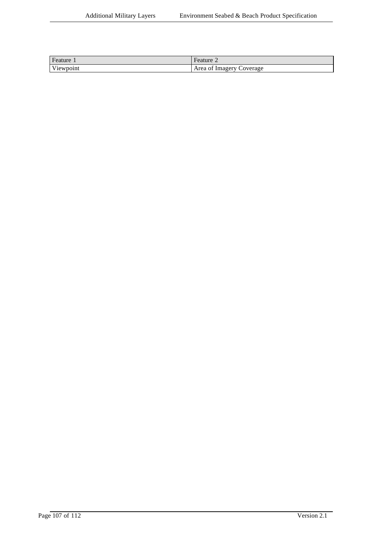| Feature 1 | $^\circ$ reature $\sim$        |
|-----------|--------------------------------|
| Viewpoint | Area of<br>Coverage<br>Imagery |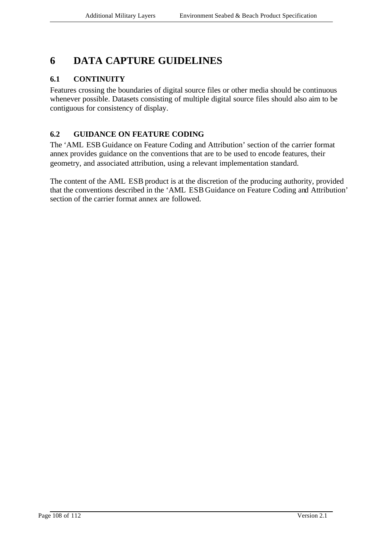# **6 DATA CAPTURE GUIDELINES**

### **6.1 CONTINUITY**

Features crossing the boundaries of digital source files or other media should be continuous whenever possible. Datasets consisting of multiple digital source files should also aim to be contiguous for consistency of display.

## **6.2 GUIDANCE ON FEATURE CODING**

The 'AML ESB Guidance on Feature Coding and Attribution' section of the carrier format annex provides guidance on the conventions that are to be used to encode features, their geometry, and associated attribution, using a relevant implementation standard.

The content of the AML ESB product is at the discretion of the producing authority, provided that the conventions described in the 'AML ESB Guidance on Feature Coding and Attribution' section of the carrier format annex are followed.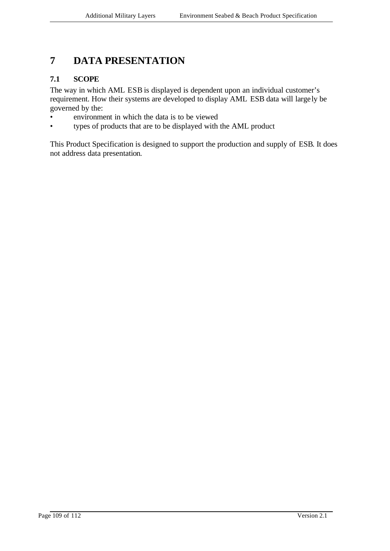# **7 DATA PRESENTATION**

### **7.1 SCOPE**

The way in which AML ESB is displayed is dependent upon an individual customer's requirement. How their systems are developed to display AML ESB data will large ly be governed by the:

- environment in which the data is to be viewed
- types of products that are to be displayed with the AML product

This Product Specification is designed to support the production and supply of ESB. It does not address data presentation.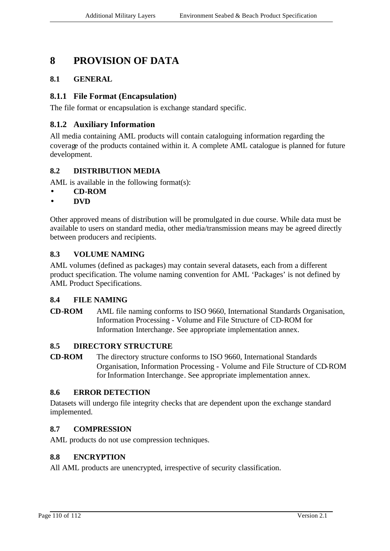## **8 PROVISION OF DATA**

#### **8.1 GENERAL**

#### **8.1.1 File Format (Encapsulation)**

The file format or encapsulation is exchange standard specific.

#### **8.1.2 Auxiliary Information**

All media containing AML products will contain cataloguing information regarding the coverage of the products contained within it. A complete AML catalogue is planned for future development.

#### **8.2 DISTRIBUTION MEDIA**

AML is available in the following format(s):

- **CD-ROM**
- **DVD**

Other approved means of distribution will be promulgated in due course. While data must be available to users on standard media, other media/transmission means may be agreed directly between producers and recipients.

#### **8.3 VOLUME NAMING**

AML volumes (defined as packages) may contain several datasets, each from a different product specification. The volume naming convention for AML 'Packages' is not defined by AML Product Specifications.

#### **8.4 FILE NAMING**

**CD-ROM** AML file naming conforms to ISO 9660, International Standards Organisation, Information Processing - Volume and File Structure of CD-ROM for Information Interchange. See appropriate implementation annex.

#### **8.5 DIRECTORY STRUCTURE**

**CD-ROM** The directory structure conforms to ISO 9660, International Standards Organisation, Information Processing - Volume and File Structure of CD-ROM for Information Interchange. See appropriate implementation annex.

#### **8.6 ERROR DETECTION**

Datasets will undergo file integrity checks that are dependent upon the exchange standard implemented.

#### **8.7 COMPRESSION**

AML products do not use compression techniques.

#### **8.8 ENCRYPTION**

All AML products are unencrypted, irrespective of security classification.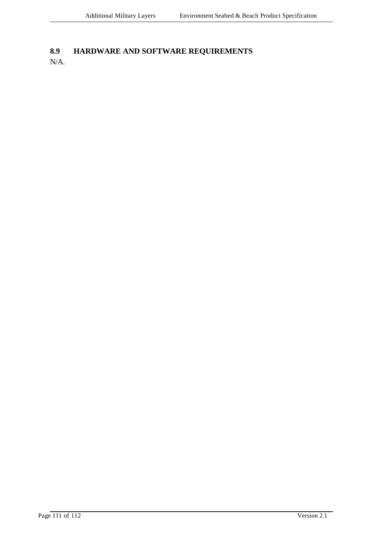### **8.9 HARDWARE AND SOFTWARE REQUIREMENTS**

N/A.